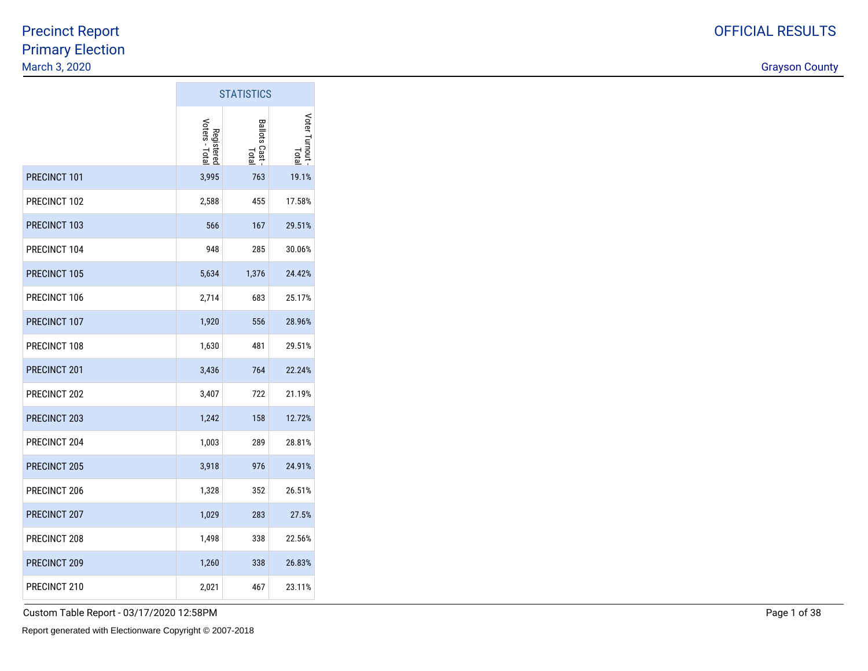discussion of the country of the country of the country of the country of the country of the country of the country of the country of the country of the country of the country of the country of the country of the country o

|              | <b>STATISTICS</b>            |                              |                        |
|--------------|------------------------------|------------------------------|------------------------|
|              | Voters - Total<br>Registerec | <b>Ballots Cast</b><br>Total | Voter Turnout<br>Total |
| PRECINCT 101 | 3,995                        | 763                          | 19.1%                  |
| PRECINCT 102 | 2,588                        | 455                          | 17.58%                 |
| PRECINCT 103 | 566                          | 167                          | 29.51%                 |
| PRECINCT 104 | 948                          | 285                          | 30.06%                 |
| PRECINCT 105 | 5,634                        | 1,376                        | 24.42%                 |
| PRECINCT 106 | 2,714                        | 683                          | 25.17%                 |
| PRECINCT 107 | 1,920                        | 556                          | 28.96%                 |
| PRECINCT 108 | 1,630                        | 481                          | 29.51%                 |
| PRECINCT 201 | 3,436                        | 764                          | 22.24%                 |
| PRECINCT 202 | 3,407                        | 722                          | 21.19%                 |
| PRECINCT 203 | 1,242                        | 158                          | 12.72%                 |
| PRECINCT 204 | 1,003                        | 289                          | 28.81%                 |
| PRECINCT 205 | 3,918                        | 976                          | 24.91%                 |
| PRECINCT 206 | 1,328                        | 352                          | 26.51%                 |
| PRECINCT 207 | 1,029                        | 283                          | 27.5%                  |
| PRECINCT 208 | 1,498                        | 338                          | 22.56%                 |
| PRECINCT 209 | 1,260                        | 338                          | 26.83%                 |
| PRECINCT 210 | 2,021                        | 467                          | 23.11%                 |

 $\sim$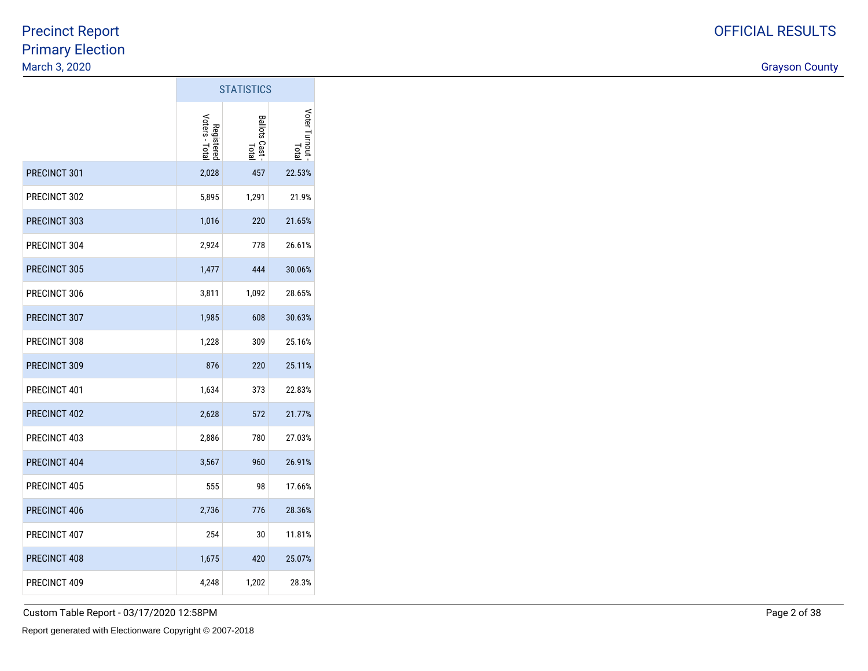discussion of the country of the country of the country of the country of the country of the country of the country of the country of the country of the country of the country of the country of the country of the country o

|                     | <b>STATISTICS</b>            |                              |                      |  |  |  |  |
|---------------------|------------------------------|------------------------------|----------------------|--|--|--|--|
|                     | Voters - Total<br>Registerec | <b>Ballots Cast</b><br>Total | Voter Turnout<br>pap |  |  |  |  |
| PRECINCT 301        | 2,028                        | 457                          | 22.53%               |  |  |  |  |
| PRECINCT 302        | 5,895                        | 1,291                        | 21.9%                |  |  |  |  |
| PRECINCT 303        | 1,016                        | 220                          | 21.65%               |  |  |  |  |
| PRECINCT 304        | 2,924                        | 778                          | 26.61%               |  |  |  |  |
| <b>PRECINCT 305</b> | 1,477                        | 444                          | 30.06%               |  |  |  |  |
| PRECINCT 306        | 3,811                        | 1,092                        | 28.65%               |  |  |  |  |
| PRECINCT 307        | 1,985                        | 608                          | 30.63%               |  |  |  |  |
| PRECINCT 308        | 1,228                        | 309                          | 25.16%               |  |  |  |  |
| PRECINCT 309        | 876                          | 220                          | 25.11%               |  |  |  |  |
| PRECINCT 401        | 1,634                        | 373                          | 22.83%               |  |  |  |  |
| PRECINCT 402        | 2,628                        | 572                          | 21.77%               |  |  |  |  |
| PRECINCT 403        | 2,886                        | 780                          | 27.03%               |  |  |  |  |
| PRECINCT 404        | 3,567                        | 960                          | 26.91%               |  |  |  |  |
| PRECINCT 405        | 555                          | 98                           | 17.66%               |  |  |  |  |
| PRECINCT 406        | 2,736                        | 776                          | 28.36%               |  |  |  |  |
| PRECINCT 407        | 254                          | 30                           | 11.81%               |  |  |  |  |
| PRECINCT 408        | 1,675                        | 420                          | 25.07%               |  |  |  |  |
| PRECINCT 409        | 4,248                        | 1,202                        | 28.3%                |  |  |  |  |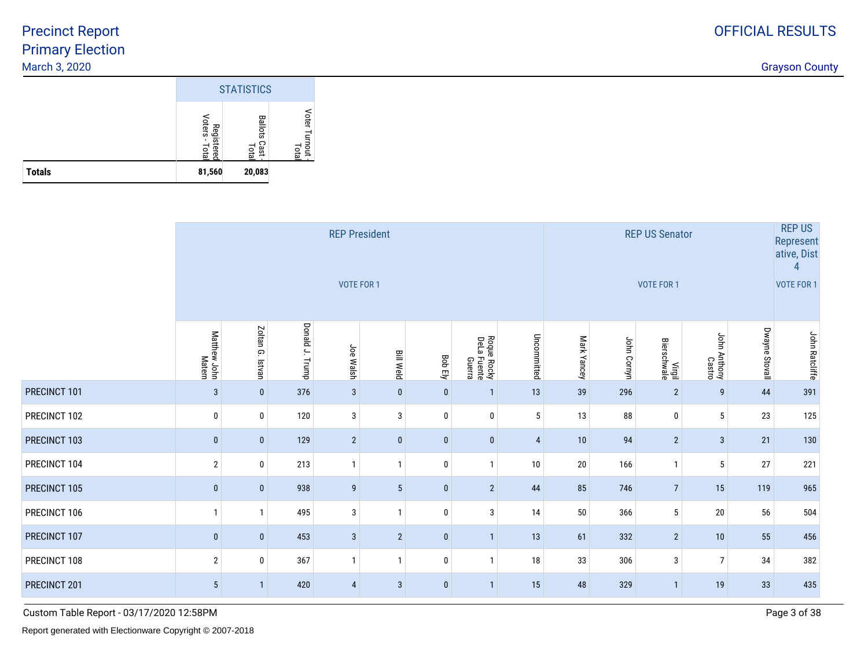discussion of the country of the country of the country of the country of the country of the country of the country of the country of the country of the country of the country of the country of the country of the country o

|               | <b>STATISTICS</b>             |                                |                                             |  |  |  |  |  |
|---------------|-------------------------------|--------------------------------|---------------------------------------------|--|--|--|--|--|
|               | Voters<br>Registered<br>Total | <b>Ballots</b><br>Cast<br>Tota | Voter Turnout <del> </del><br>Tota <b> </b> |  |  |  |  |  |
| <b>Totals</b> | 81,560                        | 20,083                         |                                             |  |  |  |  |  |

|              |                        |                     |                    | <b>REP President</b><br>VOTE FOR 1 |                  |                |                                      | <b>REP US</b><br><b>REP US Senator</b><br>Represent<br>ative, Dist<br><b>VOTE FOR 1</b><br>VOTE FOR 1 |             |             |                       |                        |                |                       |  |  |
|--------------|------------------------|---------------------|--------------------|------------------------------------|------------------|----------------|--------------------------------------|-------------------------------------------------------------------------------------------------------|-------------|-------------|-----------------------|------------------------|----------------|-----------------------|--|--|
|              | Matthew John<br>Matern | Zoltan G.<br>Istvan | Donald J.<br>Trump | Joe Walsh                          | <b>Bill Weld</b> | <b>Bob Ely</b> | Roque Rocky<br>DeLa Fuente<br>Guerra | Uncommitted                                                                                           | Mark Yancey | John Cornyn | Virgil<br>Bierschwale | John Anthony<br>Kastro | Dwayne Stovall | <b>John Ratcliffe</b> |  |  |
| PRECINCT 101 | $\mathbf{3}$           | $\bf{0}$            | 376                | $\mathbf{3}$                       | $\bf{0}$         | $\bf{0}$       | $\mathbf{1}$                         | 13                                                                                                    | 39          | 296         | $\overline{2}$        | 9                      | 44             | 391                   |  |  |
| PRECINCT 102 | $\bf{0}$               | 0                   | 120                | 3                                  | 3                | $\mathbf 0$    | 0                                    | 5                                                                                                     | 13          | 88          | $\mathbf 0$           | 5                      | 23             | 125                   |  |  |
| PRECINCT 103 | $\bf{0}$               | $\pmb{0}$           | 129                | $\overline{2}$                     | $\bf{0}$         | $\bf{0}$       | $\mathbf{0}$                         | 4                                                                                                     | 10          | 94          | $\overline{2}$        | 3                      | 21             | 130                   |  |  |
| PRECINCT 104 | $\overline{2}$         | 0                   | 213                | $\mathbf{1}$                       |                  | 0              | $\mathbf{1}$                         | 10                                                                                                    | 20          | 166         |                       | 5                      | 27             | 221                   |  |  |
| PRECINCT 105 | $\bf{0}$               | $\mathbf{0}$        | 938                | 9                                  | $5\phantom{.0}$  | $\mathbf{0}$   | $2\overline{ }$                      | 44                                                                                                    | 85          | 746         | $\overline{7}$        | 15                     | 119            | 965                   |  |  |
| PRECINCT 106 | $\mathbf{1}$           | $\mathbf{1}$        | 495                | 3                                  | $\mathbf{1}$     | $\mathbf 0$    | 3                                    | 14                                                                                                    | 50          | 366         | 5                     | 20                     | 56             | 504                   |  |  |
| PRECINCT 107 | $\bf{0}$               | $\mathbf 0$         | 453                | $\mathbf{3}$                       | $\overline{2}$   | $\mathbf{0}$   | $\mathbf{1}$                         | 13                                                                                                    | 61          | 332         | $\overline{2}$        | 10                     | 55             | 456                   |  |  |
| PRECINCT 108 | $\overline{2}$         | 0                   | 367                | 1                                  |                  | $\mathbf 0$    | $\mathbf{1}$                         | 18                                                                                                    | 33          | 306         | 3                     | 7                      | 34             | 382                   |  |  |
| PRECINCT 201 | $5\phantom{.0}$        | $\mathbf{1}$        | 420                | $\overline{4}$                     | $\mathbf{3}$     | $\mathbf{0}$   | $\mathbf{1}$                         | 15                                                                                                    | 48          | 329         | $\mathbf{1}$          | 19                     | 33             | 435                   |  |  |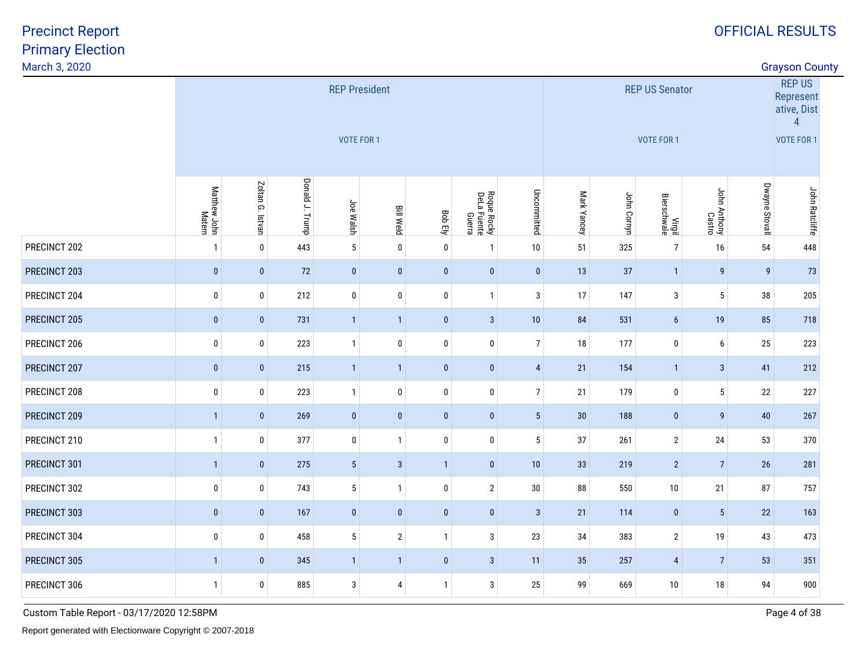Primary ElectionMarch 3, 2020Precinct Report

| March 3, 2020 |                        |                                                                                                                                                                                                                                                     |     |                 |                                    |                |              |                |                                     |                            |                                                              |                        | <b>Grayson County</b> |                       |  |
|---------------|------------------------|-----------------------------------------------------------------------------------------------------------------------------------------------------------------------------------------------------------------------------------------------------|-----|-----------------|------------------------------------|----------------|--------------|----------------|-------------------------------------|----------------------------|--------------------------------------------------------------|------------------------|-----------------------|-----------------------|--|
|               |                        |                                                                                                                                                                                                                                                     |     |                 | <b>REP President</b><br>VOTE FOR 1 |                |              |                | <b>REP US Senator</b><br>VOTE FOR 1 |                            | <b>REP US</b><br>Represent<br>ative, Dist<br>4<br>VOTE FOR 1 |                        |                       |                       |  |
|               | Matthew John<br>Matern | Donald J. Trump<br>Zoltan G. Istvan<br>Uncommitted<br>Roque Rocky<br>DeLa Fuente<br>Guerra<br>Joe Walsh<br><b>Bill Weld</b><br><b>Bob Ely</b><br>$5\phantom{a}$<br>443<br>$\mathbf 0$<br>0<br>$\mathbf 0$<br>$10\,$<br>$\mathbf{1}$<br>$\mathbf{1}$ |     |                 |                                    |                |              |                |                                     | Mark Yancey<br>John Cornyn | Virgil<br>Bierschwale                                        | John Anthony<br>Castro | Dwayne Stovall        | <b>John Ratcliffe</b> |  |
| PRECINCT 202  |                        |                                                                                                                                                                                                                                                     |     |                 |                                    |                |              |                | 51                                  | 325                        | $\overline{7}$                                               | 16                     | 54                    | 448                   |  |
| PRECINCT 203  | $\pmb{0}$              | $\pmb{0}$                                                                                                                                                                                                                                           | 72  | $\bf{0}$        | $\mathbf{0}$                       | $\bf{0}$       | $\mathbf{0}$ | $\mathbf 0$    | 13                                  | 37                         | $\overline{1}$                                               | $\boldsymbol{9}$       | 9                     | 73                    |  |
| PRECINCT 204  | $\bf{0}$               | $\pmb{0}$                                                                                                                                                                                                                                           | 212 | $\pmb{0}$       | $\pmb{0}$                          | $\mathbf 0$    | $\mathbf{1}$ | 3              | 17                                  | 147                        | $\mathbf{3}$                                                 | $5\phantom{a}$         | $38\,$                | 205                   |  |
| PRECINCT 205  | $\mathbf 0$            | $\pmb{0}$                                                                                                                                                                                                                                           | 731 | $\mathbf{1}$    | $\mathbf{1}$                       | $\pmb{0}$      | $\mathbf{3}$ | 10             | 84                                  | 531                        | $6\phantom{.}$                                               | 19                     | 85                    | 718                   |  |
| PRECINCT 206  | 0                      | 0                                                                                                                                                                                                                                                   | 223 | $\mathbf{1}$    | $\mathbf 0$                        | $\mathbf 0$    | 0            | $\overline{7}$ | 18                                  | 177                        | 0                                                            | 6                      | $25\,$                | 223                   |  |
| PRECINCT 207  | $\pmb{0}$              | $\pmb{0}$                                                                                                                                                                                                                                           | 215 | $\overline{1}$  | $\overline{1}$                     | $\pmb{0}$      | $\pmb{0}$    | $\overline{4}$ | 21                                  | 154                        | $\mathbf{1}$                                                 | $\mathbf{3}$           | 41                    | 212                   |  |
| PRECINCT 208  | $\bf{0}$               | $\pmb{0}$                                                                                                                                                                                                                                           | 223 | $\mathbf{1}$    | $\pmb{0}$                          | $\pmb{0}$      | $\pmb{0}$    | $\overline{7}$ | 21                                  | 179                        | $\pmb{0}$                                                    | 5 <sup>1</sup>         | 22                    | 227                   |  |
| PRECINCT 209  | $\mathbf{1}$           | $\pmb{0}$                                                                                                                                                                                                                                           | 269 | $\bf{0}$        | $\pmb{0}$                          | $\pmb{0}$      | $\mathbf{0}$ | $\sqrt{5}$     | 30                                  | 188                        | $\pmb{0}$                                                    | $\boldsymbol{9}$       | $40\,$                | 267                   |  |
| PRECINCT 210  | $\mathbf{1}$           | 0                                                                                                                                                                                                                                                   | 377 | $\mathbf 0$     | $\mathbf{1}$                       | $\mathbf 0$    | $\mathbf 0$  | 5              | 37                                  | 261                        | $\overline{2}$                                               | 24                     | 53                    | 370                   |  |
| PRECINCT 301  | $\mathbf{1}$           | $\pmb{0}$                                                                                                                                                                                                                                           | 275 | $5\phantom{.0}$ | $\mathbf{3}$                       | $\overline{1}$ | $\mathbf{0}$ | 10             | 33                                  | 219                        | $\overline{2}$                                               | $\overline{7}$         | $26\phantom{.}$       | 281                   |  |
| PRECINCT 302  | $\bf{0}$               | $\pmb{0}$                                                                                                                                                                                                                                           | 743 | $5\phantom{.0}$ | $\mathbf{1}$                       | $\bf{0}$       | $\sqrt{2}$   | $30\,$         | 88                                  | 550                        | $10\,$                                                       | 21                     | 87                    | 757                   |  |
| PRECINCT 303  | $\mathbf{0}$           | $\pmb{0}$                                                                                                                                                                                                                                           | 167 | $\bf{0}$        | $\mathbf{0}$                       | $\mathbf{0}$   | $\mathbf{0}$ | $\mathbf{3}$   | 21                                  | 114                        | $\mathbf 0$                                                  | $5\phantom{.0}$        | 22                    | 163                   |  |
| PRECINCT 304  | 0                      | 0                                                                                                                                                                                                                                                   | 458 | $5\phantom{.0}$ | $\overline{2}$                     | $\mathbf{1}$   | 3            | 23             | 34                                  | 383                        | $\mathbf{2}$                                                 | 19                     | 43                    | 473                   |  |
| PRECINCT 305  | $\mathbf{1}$           | $\pmb{0}$                                                                                                                                                                                                                                           | 345 | $\mathbf{1}$    | $\overline{1}$                     | $\mathbf{0}$   | $\mathbf{3}$ | 11             | 35                                  | 257                        | 4                                                            | $\overline{7}$         | 53                    | 351                   |  |
| PRECINCT 306  | $\mathbf{1}$           | 0                                                                                                                                                                                                                                                   | 885 | $\mathbf{3}$    | $\overline{4}$                     | $\mathbf{1}$   | $\mathbf{3}$ | 25             | 99                                  | 669                        | $10\,$                                                       | $18\,$                 | 94                    | 900                   |  |
|               |                        |                                                                                                                                                                                                                                                     |     |                 |                                    |                |              |                |                                     |                            |                                                              |                        |                       |                       |  |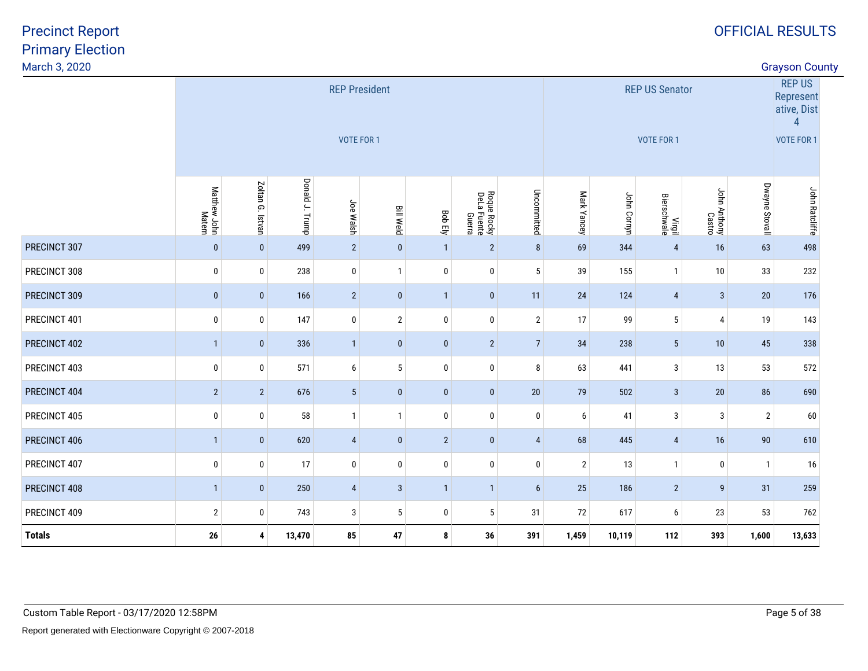|  | <b>Grayson County</b> |  |
|--|-----------------------|--|
|--|-----------------------|--|

| March 3, 2020 |                        |                  |                 |                                           |                  |                | <b>Grayson County</b>                |                 |                |                                     |                       |                        |                                                                           |                |
|---------------|------------------------|------------------|-----------------|-------------------------------------------|------------------|----------------|--------------------------------------|-----------------|----------------|-------------------------------------|-----------------------|------------------------|---------------------------------------------------------------------------|----------------|
|               |                        |                  |                 | <b>REP President</b><br><b>VOTE FOR 1</b> |                  |                |                                      |                 |                | <b>REP US Senator</b><br>VOTE FOR 1 |                       |                        | <b>REP US</b><br>Represent<br>ative, Dist<br>$\overline{4}$<br>VOTE FOR 1 |                |
|               | Matthew John<br>Matern | Zoltan G. Istvan | Donald J. Trump | Joe Walsh                                 | <b>Bill Weld</b> | Bob Ely        | Roque Rocky<br>DeLa Fuente<br>Guerra | Uncommitted     | Mark Yancey    | John Cornyn                         | Virgil<br>Bierschwale | John Anthony<br>Castro | Dwayne Stovall                                                            | John Ratcliffe |
| PRECINCT 307  | $\mathbf{0}$           | $\mathbf 0$      | 499             | $\overline{2}$                            | $\mathbf{0}$     | $\mathbf{1}$   | $\overline{2}$                       | 8               | 69             | 344                                 | $\overline{4}$        | 16                     | 63                                                                        | 498            |
| PRECINCT 308  | 0                      | $\bf{0}$         | 238             | $\mathbf 0$                               | $\overline{1}$   | $\bf{0}$       | 0                                    | 5               | 39             | 155                                 | $\mathbf{1}$          | $10\,$                 | 33                                                                        | 232            |
| PRECINCT 309  | $\bf{0}$               | $\mathbf 0$      | 166             | $\overline{2}$                            | $\pmb{0}$        | $\mathbf{1}$   | $\pmb{0}$                            | 11              | 24             | 124                                 | 4                     | $\mathbf{3}$           | $20\,$                                                                    | 176            |
| PRECINCT 401  | 0                      | $\bf{0}$         | 147             | $\pmb{0}$                                 | $\overline{2}$   | $\mathbf 0$    | $\mathbf 0$                          | $\overline{2}$  | 17             | 99                                  | 5                     | $\pmb{4}$              | 19                                                                        | 143            |
| PRECINCT 402  | $\mathbf{1}$           | $\mathbf{0}$     | 336             | $\overline{1}$                            | $\mathbf{0}$     | $\mathbf{0}$   | $\overline{2}$                       | $7\overline{ }$ | 34             | 238                                 | 5 <sup>5</sup>        | $10$                   | 45                                                                        | 338            |
| PRECINCT 403  | $\mathbf 0$            | $\bf{0}$         | 571             | $\boldsymbol{6}$                          | 5                | $\mathbf 0$    | $\mathbf 0$                          | 8               | 63             | 441                                 | 3                     | 13                     | 53                                                                        | 572            |
| PRECINCT 404  | $\sqrt{2}$             | $\overline{2}$   | 676             | $5\phantom{.0}$                           | $\pmb{0}$        | $\mathbf{0}$   | $\bf{0}$                             | 20              | 79             | 502                                 | 3 <sup>2</sup>        | $20\,$                 | 86                                                                        | 690            |
| PRECINCT 405  | $\bf{0}$               | 0                | 58              | $\mathbf{1}$                              | $\mathbf{1}$     | $\bf{0}$       | 0                                    | $\bf{0}$        | 6              | 41                                  | 3                     | $\sqrt{3}$             | $\overline{2}$                                                            | 60             |
| PRECINCT 406  | $\mathbf{1}$           | $\mathbf 0$      | 620             | $\overline{4}$                            | $\mathbf{0}$     | $\overline{2}$ | $\bf{0}$                             | $\overline{4}$  | 68             | 445                                 | 4                     | 16                     | $90\,$                                                                    | 610            |
| PRECINCT 407  | $\bf{0}$               | $\bf{0}$         | 17              | $\pmb{0}$                                 | $\pmb{0}$        | $\bf{0}$       | $\mathbf 0$                          | $\bf{0}$        | $\overline{2}$ | 13                                  | $\mathbf{1}$          | $\bm{0}$               | $\mathbf{1}$                                                              | 16             |
| PRECINCT 408  | $\mathbf{1}$           | $\mathbf{0}$     | 250             | $\overline{4}$                            | $\mathbf{3}$     | $\mathbf{1}$   | $\mathbf{1}$                         | 6               | 25             | 186                                 | $\overline{2}$        | 9                      | 31                                                                        | 259            |
| PRECINCT 409  | $\overline{2}$         | 0                | 743             | $\mathbf{3}$                              | $5\phantom{.0}$  | 0              | 5                                    | 31              | 72             | 617                                 | 6                     | 23                     | 53                                                                        | 762            |
| <b>Totals</b> | 26                     | 4                | 13,470          | 85                                        | 47               | 8              | 36                                   | 391             | 1,459          | 10,119                              | 112                   | 393                    | 1,600                                                                     | 13,633         |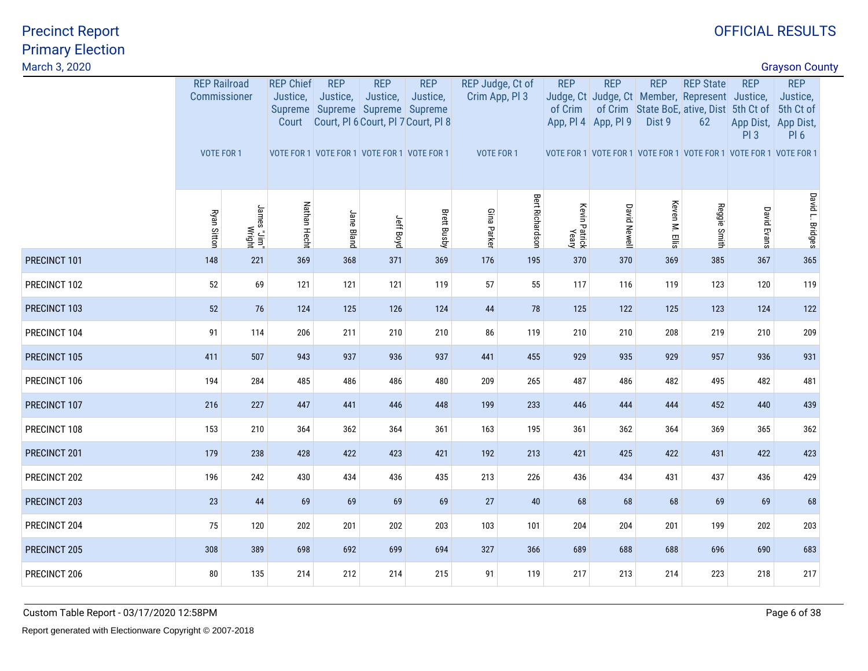| March 3, 2020<br><b>Grayson County</b> |                                   |                                   |                     |            |                                       |                        |                                                                                                                                                       |                        |                                                  |                     |                       |                                   |                      |                                                                                                                                                                                                     |                   |                                                                  |  |
|----------------------------------------|-----------------------------------|-----------------------------------|---------------------|------------|---------------------------------------|------------------------|-------------------------------------------------------------------------------------------------------------------------------------------------------|------------------------|--------------------------------------------------|---------------------|-----------------------|-----------------------------------|----------------------|-----------------------------------------------------------------------------------------------------------------------------------------------------------------------------------------------------|-------------------|------------------------------------------------------------------|--|
|                                        | Commissioner<br><b>VOTE FOR 1</b> |                                   | <b>REP Railroad</b> |            | <b>REP Chief</b><br>Justice,<br>Court | <b>REP</b><br>Justice, | <b>REP</b><br>Justice,<br>Supreme   Supreme   Supreme   Supreme<br>Court, PI 6 Court, PI 7 Court, PI 8<br>VOTE FOR 1 VOTE FOR 1 VOTE FOR 1 VOTE FOR 1 | <b>REP</b><br>Justice, | REP Judge, Ct of<br>Crim App, Pl 3<br>VOTE FOR 1 |                     | <b>REP</b><br>of Crim | <b>REP</b><br>App, Pl 4 App, Pl 9 | <b>REP</b><br>Dist 9 | <b>REP State</b><br>Judge, Ct Judge, Ct Member, Represent Justice,<br>of Crim State BoE, ative, Dist 5th Ct of 5th Ct of<br>62<br>VOTE FOR 1 VOTE FOR 1 VOTE FOR 1 VOTE FOR 1 VOTE FOR 1 VOTE FOR 1 | <b>REP</b><br>PI3 | <b>REP</b><br>Justice,<br>App Dist, App Dist,<br>PI <sub>6</sub> |  |
|                                        | <b>Ryan Sitton</b>                | 'mil." <sub>semal</sub><br>htight | Nathan Hecht        | Jane Bland | Jeff Boyd                             | <b>Brett Busby</b>     | Gina Parker                                                                                                                                           | Bert Richardson        | Kevin Patrick<br>Yeary                           | <b>David Newell</b> | Keven M. Ellis        | Reggie Smith                      | <b>David Evans</b>   | David L. Bridges                                                                                                                                                                                    |                   |                                                                  |  |
| PRECINCT 101                           | 148                               | 221                               | 369                 | 368        | 371                                   | 369                    | 176                                                                                                                                                   | 195                    | 370                                              | 370                 | 369                   | 385                               | 367                  | 365                                                                                                                                                                                                 |                   |                                                                  |  |
| PRECINCT 102                           | 52                                | 69                                | 121                 | 121        | 121                                   | 119                    | 57                                                                                                                                                    | 55                     | 117                                              | 116                 | 119                   | 123                               | 120                  | 119                                                                                                                                                                                                 |                   |                                                                  |  |
| PRECINCT 103                           | 52                                | 76                                | 124                 | 125        | 126                                   | 124                    | 44                                                                                                                                                    | 78                     | 125                                              | 122                 | 125                   | 123                               | 124                  | 122                                                                                                                                                                                                 |                   |                                                                  |  |
| PRECINCT 104                           | 91                                | 114                               | 206                 | 211        | 210                                   | 210                    | 86                                                                                                                                                    | 119                    | 210                                              | 210                 | 208                   | 219                               | 210                  | 209                                                                                                                                                                                                 |                   |                                                                  |  |
| PRECINCT 105                           | 411                               | 507                               | 943                 | 937        | 936                                   | 937                    | 441                                                                                                                                                   | 455                    | 929                                              | 935                 | 929                   | 957                               | 936                  | 931                                                                                                                                                                                                 |                   |                                                                  |  |
| PRECINCT 106                           | 194                               | 284                               | 485                 | 486        | 486                                   | 480                    | 209                                                                                                                                                   | 265                    | 487                                              | 486                 | 482                   | 495                               | 482                  | 481                                                                                                                                                                                                 |                   |                                                                  |  |
| PRECINCT 107                           | 216                               | 227                               | 447                 | 441        | 446                                   | 448                    | 199                                                                                                                                                   | 233                    | 446                                              | 444                 | 444                   | 452                               | 440                  | 439                                                                                                                                                                                                 |                   |                                                                  |  |
| PRECINCT 108                           | 153                               | 210                               | 364                 | 362        | 364                                   | 361                    | 163                                                                                                                                                   | 195                    | 361                                              | 362                 | 364                   | 369                               | 365                  | 362                                                                                                                                                                                                 |                   |                                                                  |  |
| PRECINCT 201                           | 179                               | 238                               | 428                 | 422        | 423                                   | 421                    | 192                                                                                                                                                   | 213                    | 421                                              | 425                 | 422                   | 431                               | 422                  | 423                                                                                                                                                                                                 |                   |                                                                  |  |
| PRECINCT 202                           | 196                               | 242                               | 430                 | 434        | 436                                   | 435                    | 213                                                                                                                                                   | 226                    | 436                                              | 434                 | 431                   | 437                               | 436                  | 429                                                                                                                                                                                                 |                   |                                                                  |  |
| PRECINCT 203                           | 23                                | 44                                | 69                  | 69         | 69                                    | 69                     | 27                                                                                                                                                    | 40                     | 68                                               | 68                  | 68                    | 69                                | 69                   | 68                                                                                                                                                                                                  |                   |                                                                  |  |
| PRECINCT 204                           | 75                                | 120                               | 202                 | 201        | 202                                   | 203                    | 103                                                                                                                                                   | 101                    | 204                                              | 204                 | 201                   | 199                               | 202                  | 203                                                                                                                                                                                                 |                   |                                                                  |  |
| PRECINCT 205                           | 308                               | 389                               | 698                 | 692        | 699                                   | 694                    | 327                                                                                                                                                   | 366                    | 689                                              | 688                 | 688                   | 696                               | 690                  | 683                                                                                                                                                                                                 |                   |                                                                  |  |
| PRECINCT 206                           | 80                                | 135                               | 214                 | 212        | 214                                   | 215                    | 91                                                                                                                                                    | 119                    | 217                                              | 213                 | 214                   | 223                               | 218                  | 217                                                                                                                                                                                                 |                   |                                                                  |  |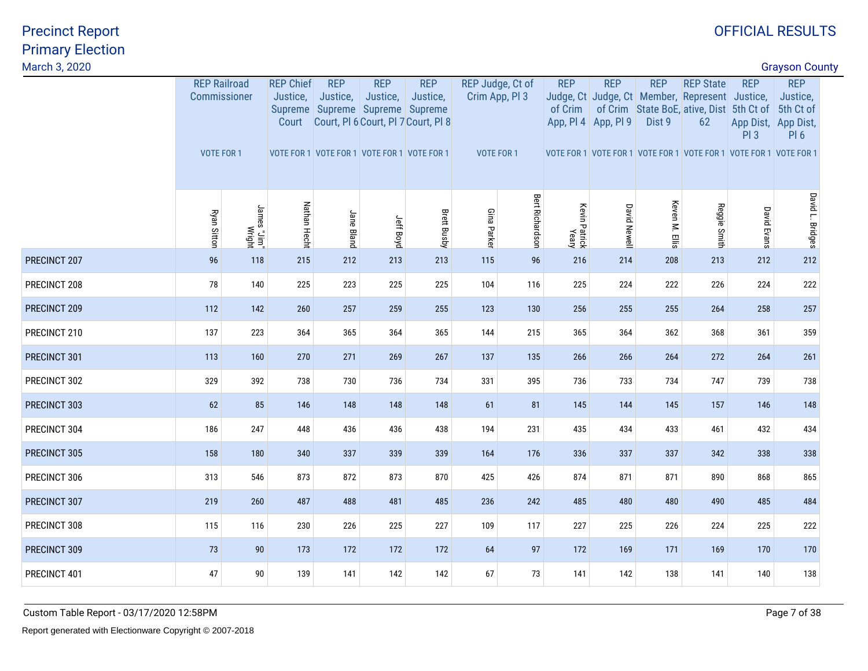| March 3, 2020<br><b>Grayson County</b> |                           |                     |            |                  |                    |                                                                                                                                     |                        |                                                         |                        |                                                                                                              |              |                    |                                                |                                                                                                                                                |            |                      |                        |                   |                                           |  |
|----------------------------------------|---------------------------|---------------------|------------|------------------|--------------------|-------------------------------------------------------------------------------------------------------------------------------------|------------------------|---------------------------------------------------------|------------------------|--------------------------------------------------------------------------------------------------------------|--------------|--------------------|------------------------------------------------|------------------------------------------------------------------------------------------------------------------------------------------------|------------|----------------------|------------------------|-------------------|-------------------------------------------|--|
| Commissioner<br><b>VOTE FOR 1</b>      |                           |                     |            |                  |                    |                                                                                                                                     |                        | Justice,<br>Court                                       | <b>REP</b><br>Justice, | Justice,<br>Justice,                                                                                         |              |                    |                                                | <b>REP</b><br>of Crim                                                                                                                          | <b>REP</b> | <b>REP</b><br>Dist 9 | <b>REP State</b><br>62 | <b>REP</b><br>PI3 | <b>REP</b><br>Justice,<br>PI <sub>6</sub> |  |
| Ryan Sitton                            | 'mi'u" zemal.<br>http://w | Nathan Hecht        | Jane Bland | Jeff Boyd        | <b>Brett Busby</b> | Gina Parker                                                                                                                         | <b>Bert Richardson</b> |                                                         | <b>David Newell</b>    | Keven M. Ellis                                                                                               | Reggie Smith | <b>David Evans</b> | David L. Bridges                               |                                                                                                                                                |            |                      |                        |                   |                                           |  |
| 96                                     | 118                       | 215                 | 212        | 213              | 213                | 115                                                                                                                                 | 96                     | 216                                                     | 214                    | 208                                                                                                          | 213          | 212                | 212                                            |                                                                                                                                                |            |                      |                        |                   |                                           |  |
| 78                                     | 140                       | 225                 | 223        | 225              | 225                | 104                                                                                                                                 | 116                    |                                                         | 224                    | 222                                                                                                          | 226          | 224                | 222                                            |                                                                                                                                                |            |                      |                        |                   |                                           |  |
| 112                                    | 142                       | 260                 | 257        | 259              | 255                | 123                                                                                                                                 | 130                    | 256                                                     | 255                    | 255                                                                                                          | 264          | 258                | 257                                            |                                                                                                                                                |            |                      |                        |                   |                                           |  |
| 137                                    | 223                       | 364                 | 365        | 364              | 365                | 144                                                                                                                                 | 215                    |                                                         | 364                    | 362                                                                                                          | 368          | 361                | 359                                            |                                                                                                                                                |            |                      |                        |                   |                                           |  |
| 113                                    | 160                       | 270                 | 271        | 269              | 267                | 137                                                                                                                                 | 135                    | 266                                                     | 266                    | 264                                                                                                          | 272          | 264                | 261                                            |                                                                                                                                                |            |                      |                        |                   |                                           |  |
| 329                                    | 392                       | 738                 | 730        | 736              | 734                | 331                                                                                                                                 | 395                    |                                                         | 733                    | 734                                                                                                          | 747          | 739                | 738                                            |                                                                                                                                                |            |                      |                        |                   |                                           |  |
| 62                                     | 85                        | 146                 | 148        | 148              | 148                | 61                                                                                                                                  | 81                     |                                                         | 144                    | 145                                                                                                          | 157          | 146                | 148                                            |                                                                                                                                                |            |                      |                        |                   |                                           |  |
| 186                                    | 247                       | 448                 | 436        | 436              | 438                | 194                                                                                                                                 | 231                    |                                                         | 434                    | 433                                                                                                          | 461          | 432                | 434                                            |                                                                                                                                                |            |                      |                        |                   |                                           |  |
| 158                                    | 180                       | 340                 | 337        | 339              | 339                | 164                                                                                                                                 | 176                    |                                                         | 337                    | 337                                                                                                          | 342          | 338                | 338                                            |                                                                                                                                                |            |                      |                        |                   |                                           |  |
| 313                                    | 546                       | 873                 | 872        | 873              | 870                | 425                                                                                                                                 | 426                    |                                                         | 871                    | 871                                                                                                          | 890          | 868                | 865                                            |                                                                                                                                                |            |                      |                        |                   |                                           |  |
| 219                                    | 260                       | 487                 | 488        | 481              | 485                | 236                                                                                                                                 | 242                    |                                                         | 480                    | 480                                                                                                          | 490          | 485                | 484                                            |                                                                                                                                                |            |                      |                        |                   |                                           |  |
| 115                                    | 116                       | 230                 | 226        | 225              | 227                | 109                                                                                                                                 | 117                    | 227                                                     | 225                    | 226                                                                                                          | 224          | 225                | 222                                            |                                                                                                                                                |            |                      |                        |                   |                                           |  |
| 73                                     | 90                        | 173                 | 172        | 172              | 172                | 64                                                                                                                                  | 97                     |                                                         | 169                    | 171                                                                                                          | 169          | 170                | 170                                            |                                                                                                                                                |            |                      |                        |                   |                                           |  |
| 47                                     | 90                        | 139                 | 141        | 142              | 142                | 67                                                                                                                                  | 73                     | 141                                                     | 142                    | 138                                                                                                          | 141          | 140                | 138                                            |                                                                                                                                                |            |                      |                        |                   |                                           |  |
|                                        |                           | <b>REP Railroad</b> |            | <b>REP Chief</b> | <b>REP</b>         | <b>REP</b><br>Supreme Supreme Supreme Supreme<br>Court, PI 6 Court, PI 7 Court, PI 8<br>VOTE FOR 1 VOTE FOR 1 VOTE FOR 1 VOTE FOR 1 |                        | REP Judge, Ct of<br>Crim App, Pl 3<br><b>VOTE FOR 1</b> |                        | App, Pl 4 App, Pl 9<br>Kevin Patrick<br>Yeary<br>225<br>365<br>736<br>145<br>435<br>336<br>874<br>485<br>172 |              |                    | Judge, Ct Judge, Ct Member, Represent Justice, | of Crim State BoE, ative, Dist 5th Ct of 5th Ct of<br>App Dist, App Dist,<br>VOTE FOR 1 VOTE FOR 1 VOTE FOR 1 VOTE FOR 1 VOTE FOR 1 VOTE FOR 1 |            |                      |                        |                   |                                           |  |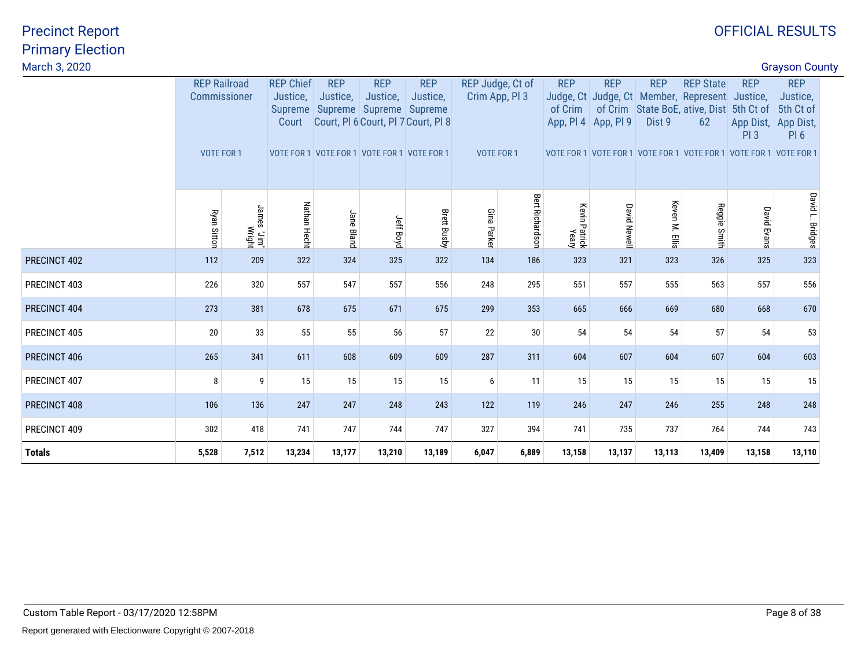| March 3, 2020 |                                                   |                              |                                                         |                        |                                                                                                  |                                                               |                   |                                    |                        |                                   |                      |                                                                                                                                                                                             |                    | <b>Grayson County</b>                                                         |  |
|---------------|---------------------------------------------------|------------------------------|---------------------------------------------------------|------------------------|--------------------------------------------------------------------------------------------------|---------------------------------------------------------------|-------------------|------------------------------------|------------------------|-----------------------------------|----------------------|---------------------------------------------------------------------------------------------------------------------------------------------------------------------------------------------|--------------------|-------------------------------------------------------------------------------|--|
|               | <b>REP Railroad</b><br>Commissioner<br>VOTE FOR 1 |                              | <b>REP Chief</b><br>Justice,<br><b>Supreme</b><br>Court | <b>REP</b><br>Justice, | <b>REP</b><br>Justice,<br>Supreme Supreme Supreme<br>VOTE FOR 1 VOTE FOR 1 VOTE FOR 1 VOTE FOR 1 | <b>REP</b><br>Justice,<br>Court, PI 6 Court, PI 7 Court, PI 8 | <b>VOTE FOR 1</b> | REP Judge, Ct of<br>Crim App, PI 3 | <b>REP</b><br>of Crim  | <b>REP</b><br>App, Pl 4 App, Pl 9 | <b>REP</b><br>Dist 9 | <b>REP State</b><br>Judge, Ct Judge, Ct   Member, Represent Justice,<br>of Crim State BoE, ative, Dist 5th Ct of<br>62<br>VOTE FOR 1 VOTE FOR 1 VOTE FOR 1 VOTE FOR 1 VOTE FOR 1 VOTE FOR 1 | <b>REP</b><br>PI3  | <b>REP</b><br>Justice,<br>5th Ct of<br>App Dist, App Dist,<br>PI <sub>6</sub> |  |
|               | <b>Ryan Sitton</b>                                | "mil." anmul<br>"mil." anmul | Nathan Hecht                                            | Jane Bland             | Jeff Boyd                                                                                        | <b>Brett Busby</b>                                            | Gina Parkel       | <b>Bert Richardson</b>             | Kevin Patrick<br>Yeary | <b>David Newell</b>               | Keven M. Ellis       | Reggie Smith                                                                                                                                                                                | <b>David Evans</b> | David L. Bridges                                                              |  |
| PRECINCT 402  | 112                                               | 209                          | 322                                                     | 324                    | 325                                                                                              | 322                                                           | 134               | 186                                | 323                    | 321                               | 323                  | 326                                                                                                                                                                                         | 325                | 323                                                                           |  |
| PRECINCT 403  | 226                                               | 320                          | 557                                                     | 547                    | 557                                                                                              | 556                                                           | 248               | 295                                | 551                    | 557                               | 555                  | 563                                                                                                                                                                                         | 557                | 556                                                                           |  |
| PRECINCT 404  | 273                                               | 381                          | 678                                                     | 675                    | 671                                                                                              | 675                                                           | 299               | 353                                | 665                    | 666                               | 669                  | 680                                                                                                                                                                                         | 668                | 670                                                                           |  |
| PRECINCT 405  | 20                                                | 33                           | 55                                                      | 55                     | 56                                                                                               | 57                                                            | 22                | 30                                 | 54                     | 54                                | 54                   | 57                                                                                                                                                                                          | 54                 | 53                                                                            |  |
| PRECINCT 406  | 265                                               | 341                          | 611                                                     | 608                    | 609                                                                                              | 609                                                           | 287               | 311                                | 604                    | 607                               | 604                  | 607                                                                                                                                                                                         | 604                | 603                                                                           |  |
| PRECINCT 407  | 8                                                 | 9                            | 15                                                      | 15                     | 15                                                                                               | 15                                                            | 6                 | 11                                 | 15                     | 15                                | 15                   | 15                                                                                                                                                                                          | 15                 | 15                                                                            |  |
| PRECINCT 408  | 106                                               | 136                          | 247                                                     | 247                    | 248                                                                                              | 243                                                           | 122               | 119                                | 246                    | 247                               | 246                  | 255                                                                                                                                                                                         | 248                | 248                                                                           |  |
| PRECINCT 409  | 302                                               | 418                          | 741                                                     | 747                    | 744                                                                                              | 747                                                           | 327               | 394                                | 741                    | 735                               | 737                  | 764                                                                                                                                                                                         | 744                | 743                                                                           |  |
| <b>Totals</b> | 5,528                                             | 7,512                        | 13,234                                                  | 13,177                 | 13,210                                                                                           | 13,189                                                        | 6,047             | 6,889                              | 13,158                 | 13,137                            | 13,113               | 13,409                                                                                                                                                                                      | 13,158             | 13,110                                                                        |  |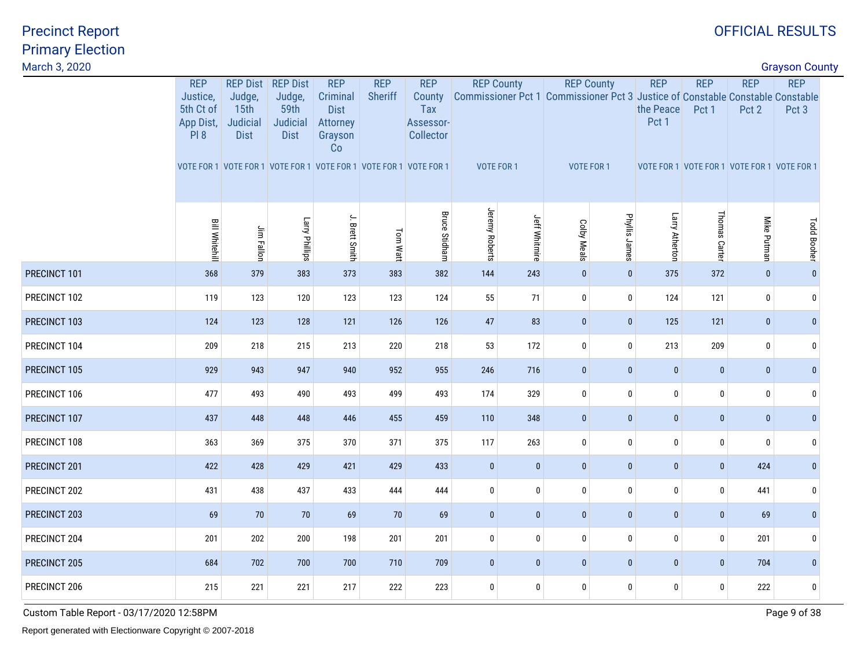| March 3, 2020<br><b>Grayson County</b> |                                                  |                                           |                                           |                                                      |                                                                   |                                         |                   |                      |              |                   |                                                                                                      |               |              |                    |  |
|----------------------------------------|--------------------------------------------------|-------------------------------------------|-------------------------------------------|------------------------------------------------------|-------------------------------------------------------------------|-----------------------------------------|-------------------|----------------------|--------------|-------------------|------------------------------------------------------------------------------------------------------|---------------|--------------|--------------------|--|
|                                        | <b>REP</b>                                       | <b>REP Dist</b>                           | <b>REP Dist</b>                           | <b>REP</b>                                           | <b>REP</b>                                                        | <b>REP</b>                              | <b>REP County</b> |                      |              | <b>REP County</b> | <b>REP</b>                                                                                           | <b>REP</b>    | <b>REP</b>   | <b>REP</b>         |  |
|                                        | Justice,<br>5th Ct of<br>App Dist,<br><b>PI8</b> | Judge,<br>15th<br>Judicial<br><b>Dist</b> | Judge,<br>59th<br>Judicial<br><b>Dist</b> | Criminal<br><b>Dist</b><br>Attorney<br>Grayson<br>Co | <b>Sheriff</b>                                                    | County<br>Tax<br>Assessor-<br>Collector |                   |                      |              |                   | Commissioner Pct 1 Commissioner Pct 3 Justice of Constable Constable Constable<br>the Peace<br>Pct 1 | Pct 1         | Pct 2        | Pct 3              |  |
|                                        |                                                  |                                           |                                           |                                                      | VOTE FOR 1 VOTE FOR 1 VOTE FOR 1 VOTE FOR 1 VOTE FOR 1 VOTE FOR 1 |                                         | VOTE FOR 1        |                      |              | <b>VOTE FOR 1</b> | VOTE FOR 1 VOTE FOR 1 VOTE FOR 1 VOTE FOR 1                                                          |               |              |                    |  |
|                                        | <b>Bill Whitehill</b>                            | Jim Fallon                                | Larry Phillips                            | J. Brett Smith                                       | Tom Watt                                                          | <b>Bruce Stidham</b>                    | Jeremy Roberts    | <b>Jeff Whitmire</b> | Colby Meals  | Phyllis James     | Larry Atherton                                                                                       | Thomas Carter | Mike Putman  | <b>Todd Booher</b> |  |
| PRECINCT 101                           | 368                                              | 379                                       | 383                                       | 373                                                  | 383                                                               | 382                                     | 144               | 243                  | $\mathbf{0}$ | $\mathbf{0}$      | 375                                                                                                  | 372           | $\mathbf{0}$ | $\Omega$           |  |
| PRECINCT 102                           | 119                                              | 123                                       | 120                                       | 123                                                  | 123                                                               | 124                                     | 55                | 71                   | $\mathbf 0$  | $\mathbf 0$       | 124                                                                                                  | 121           | $\mathbf 0$  | $\mathbf{0}$       |  |
| PRECINCT 103                           | 124                                              | 123                                       | 128                                       | 121                                                  | 126                                                               | 126                                     | 47                | 83                   | $\pmb{0}$    | $\mathbf{0}$      | 125                                                                                                  | 121           | $\bf{0}$     | $\mathbf{0}$       |  |
| PRECINCT 104                           | 209                                              | 218                                       | 215                                       | 213                                                  | 220                                                               | 218                                     | 53                | 172                  | $\pmb{0}$    | $\bf{0}$          | 213                                                                                                  | 209           | $\pmb{0}$    | $\mathbf{0}$       |  |
| PRECINCT 105                           | 929                                              | 943                                       | 947                                       | 940                                                  | 952                                                               | 955                                     | 246               | 716                  | $\pmb{0}$    | $\mathbf 0$       | $\pmb{0}$                                                                                            | $\pmb{0}$     | $\pmb{0}$    | $\mathbf{0}$       |  |
| PRECINCT 106                           | 477                                              | 493                                       | 490                                       | 493                                                  | 499                                                               | 493                                     | 174               | 329                  | $\bf{0}$     | $\mathbf 0$       | 0                                                                                                    | $\bm{0}$      | $\mathbf 0$  | $\Omega$           |  |
| PRECINCT 107                           | 437                                              | 448                                       | 448                                       | 446                                                  | 455                                                               | 459                                     | 110               | 348                  | $\mathbf 0$  | $\bf{0}$          | $\mathbf 0$                                                                                          | $\bf{0}$      | $\bf{0}$     | $\mathbf{0}$       |  |
| PRECINCT 108                           | 363                                              | 369                                       | 375                                       | 370                                                  | 371                                                               | 375                                     | 117               | 263                  | $\pmb{0}$    | $\bf{0}$          | 0                                                                                                    | $\pmb{0}$     | $\pmb{0}$    | $\mathbf 0$        |  |
| PRECINCT 201                           | 422                                              | 428                                       | 429                                       | 421                                                  | 429                                                               | 433                                     | $\pmb{0}$         | $\pmb{0}$            | $\mathbf 0$  | $\bf{0}$          | $\pmb{0}$                                                                                            | $\bf{0}$      | 424          | $\mathbf{0}$       |  |
| PRECINCT 202                           | 431                                              | 438                                       | 437                                       | 433                                                  | 444                                                               | 444                                     | $\mathbf{0}$      | $\pmb{0}$            | $\pmb{0}$    | $\bf{0}$          | 0                                                                                                    | $\pmb{0}$     | 441          | $\mathbf{0}$       |  |
| PRECINCT 203                           | 69                                               | 70                                        | 70                                        | 69                                                   | 70                                                                | 69                                      | $\mathbf{0}$      | $\mathbf{0}$         | $\mathbf 0$  | $\mathbf{0}$      | $\mathbf 0$                                                                                          | $\mathbf{0}$  | 69           | $\mathbf{0}$       |  |
| PRECINCT 204                           | 201                                              | 202                                       | 200                                       | 198                                                  | 201                                                               | 201                                     | $\mathbf 0$       | $\bf{0}$             | $\bf{0}$     | $\mathbf 0$       | 0                                                                                                    | $\pmb{0}$     | 201          | $\mathbf{0}$       |  |
| PRECINCT 205                           | 684                                              | 702                                       | 700                                       | 700                                                  | 710                                                               | 709                                     | $\mathbf{0}$      | $\bf{0}$             | $\pmb{0}$    | $\mathbf 0$       | $\mathbf 0$                                                                                          | $\pmb{0}$     | 704          | $\mathbf 0$        |  |
| PRECINCT 206                           | 215                                              | 221                                       | 221                                       | 217                                                  | 222                                                               | 223                                     | $\mathbf 0$       | 0                    | $\pmb{0}$    | $\mathbf 0$       | 0                                                                                                    | $\mathbf 0$   | 222          | $\mathbf{0}$       |  |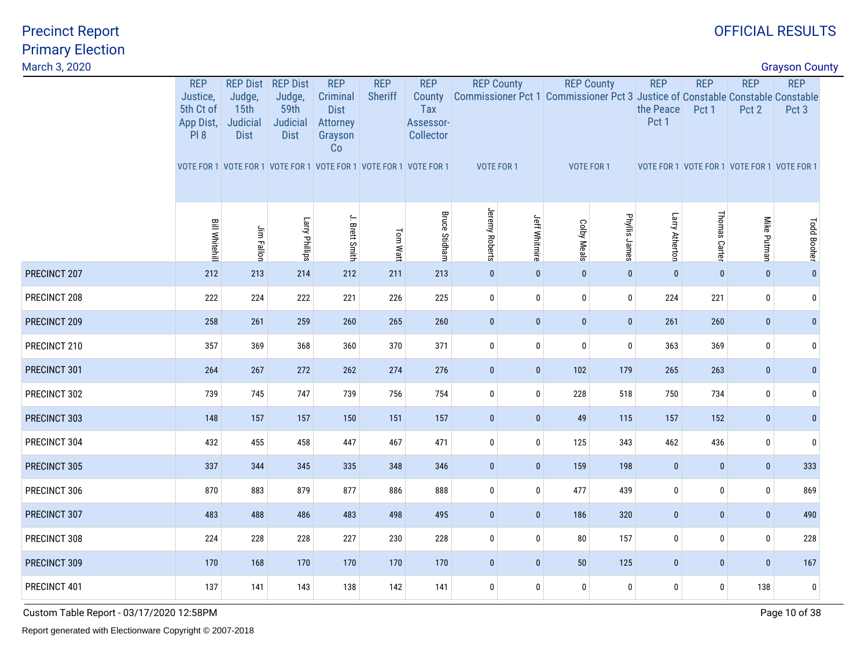| March 3, 2020<br><b>Grayson County</b> |                                                  |                                                                   |                                           |                                                      |                |                                         |                |                      |                    |                   |                                             |               |              |                                                                                         |  |
|----------------------------------------|--------------------------------------------------|-------------------------------------------------------------------|-------------------------------------------|------------------------------------------------------|----------------|-----------------------------------------|----------------|----------------------|--------------------|-------------------|---------------------------------------------|---------------|--------------|-----------------------------------------------------------------------------------------|--|
|                                        | <b>REP</b>                                       | <b>REP Dist</b>                                                   | <b>REP Dist</b>                           | <b>REP</b>                                           | <b>REP</b>     | <b>REP</b>                              |                | <b>REP County</b>    |                    | <b>REP County</b> | <b>REP</b>                                  | <b>REP</b>    | <b>REP</b>   | <b>REP</b>                                                                              |  |
|                                        | Justice,<br>5th Ct of<br>App Dist,<br><b>PI8</b> | Judge,<br>15th<br>Judicial<br><b>Dist</b>                         | Judge,<br>59th<br>Judicial<br><b>Dist</b> | Criminal<br><b>Dist</b><br>Attorney<br>Grayson<br>Co | <b>Sheriff</b> | County<br>Tax<br>Assessor-<br>Collector |                |                      |                    |                   | the Peace<br>Pct 1                          | Pct 1         | Pct 2        | Commissioner Pct 1 Commissioner Pct 3 Justice of Constable Constable Constable<br>Pct 3 |  |
|                                        |                                                  | VOTE FOR 1 VOTE FOR 1 VOTE FOR 1 VOTE FOR 1 VOTE FOR 1 VOTE FOR 1 |                                           |                                                      |                |                                         | VOTE FOR 1     |                      |                    | VOTE FOR 1        | VOTE FOR 1 VOTE FOR 1 VOTE FOR 1 VOTE FOR 1 |               |              |                                                                                         |  |
|                                        | <b>Bill Whitehill</b>                            | Jim Fallon                                                        | Larry Phillips                            | J. Brett Smith                                       | Tom Watt       | <b>Bruce Stidham</b>                    | Jeremy Roberts | <b>Jeff Whitmire</b> | <b>Colby Meals</b> | Phyllis James     | Larry Atherton                              | Thomas Carter | Mike Putman  | <b>Todd Booher</b>                                                                      |  |
| PRECINCT 207                           | 212                                              | 213                                                               | 214                                       | 212                                                  | 211            | 213                                     | $\mathbf{0}$   | $\pmb{0}$            | $\mathbf{0}$       | $\mathbf{0}$      | $\mathbf{0}$                                | $\pmb{0}$     | $\mathbf{0}$ | $\mathbf{0}$                                                                            |  |
| PRECINCT 208                           | 222                                              | 224                                                               | 222                                       | 221                                                  | 226            | 225                                     | $\mathbf 0$    | $\bf{0}$             | $\pmb{0}$          | 0                 | 224                                         | 221           | $\bf{0}$     | $\mathbf{0}$                                                                            |  |
| PRECINCT 209                           | 258                                              | 261                                                               | 259                                       | 260                                                  | 265            | 260                                     | $\mathbf 0$    | $\pmb{0}$            | $\mathbf 0$        | $\mathbf{0}$      | 261                                         | 260           | $\bf{0}$     | $\mathbf{0}$                                                                            |  |
| PRECINCT 210                           | 357                                              | 369                                                               | 368                                       | 360                                                  | 370            | 371                                     | $\bf{0}$       | $\bf{0}$             | $\pmb{0}$          | $\mathbf 0$       | 363                                         | 369           | $\bf{0}$     | $\Omega$                                                                                |  |
| PRECINCT 301                           | 264                                              | 267                                                               | 272                                       | 262                                                  | 274            | 276                                     | $\mathbf 0$    | $\bf{0}$             | 102                | 179               | 265                                         | 263           | $\bf{0}$     | $\mathbf{0}$                                                                            |  |
| PRECINCT 302                           | 739                                              | 745                                                               | 747                                       | 739                                                  | 756            | 754                                     | $\mathbf 0$    | $\bf 0$              | 228                | 518               | 750                                         | 734           | $\bf{0}$     | $\Omega$                                                                                |  |
| PRECINCT 303                           | 148                                              | 157                                                               | 157                                       | 150                                                  | 151            | 157                                     | $\mathbf{0}$   | $\mathbf{0}$         | 49                 | 115               | 157                                         | 152           | $\mathbf{0}$ | $\mathbf{0}$                                                                            |  |
| PRECINCT 304                           | 432                                              | 455                                                               | 458                                       | 447                                                  | 467            | 471                                     | $\mathbf 0$    | $\bf{0}$             | 125                | 343               | 462                                         | 436           | $\mathbf 0$  | $\mathbf{0}$                                                                            |  |
| PRECINCT 305                           | 337                                              | 344                                                               | 345                                       | 335                                                  | 348            | 346                                     | $\bf{0}$       | $\bf{0}$             | 159                | 198               | $\mathbf{0}$                                | $\bf{0}$      | $\bf{0}$     | 333                                                                                     |  |
| PRECINCT 306                           | 870                                              | 883                                                               | 879                                       | 877                                                  | 886            | 888                                     | $\mathbf 0$    | $\pmb{0}$            | 477                | 439               | 0                                           | $\pmb{0}$     | $\bf{0}$     | 869                                                                                     |  |
| PRECINCT 307                           | 483                                              | 488                                                               | 486                                       | 483                                                  | 498            | 495                                     | $\mathbf 0$    | $\pmb{0}$            | 186                | 320               | $\pmb{0}$                                   | $\pmb{0}$     | $\pmb{0}$    | 490                                                                                     |  |
| PRECINCT 308                           | 224                                              | 228                                                               | 228                                       | 227                                                  | 230            | 228                                     | $\pmb{0}$      | 0                    | 80                 | 157               | 0                                           | $\bm{0}$      | $\mathbf 0$  | 228                                                                                     |  |
| PRECINCT 309                           | 170                                              | 168                                                               | 170                                       | 170                                                  | 170            | 170                                     | $\mathbf{0}$   | $\pmb{0}$            | 50                 | 125               | $\pmb{0}$                                   | $\pmb{0}$     | $\mathbf{0}$ | 167                                                                                     |  |
| PRECINCT 401                           | 137                                              | 141                                                               | 143                                       | 138                                                  | 142            | 141                                     | $\pmb{0}$      | $\bf{0}$             | 0                  | $\mathbf 0$       | 0                                           | $\bm{0}$      | 138          | $\pmb{0}$                                                                               |  |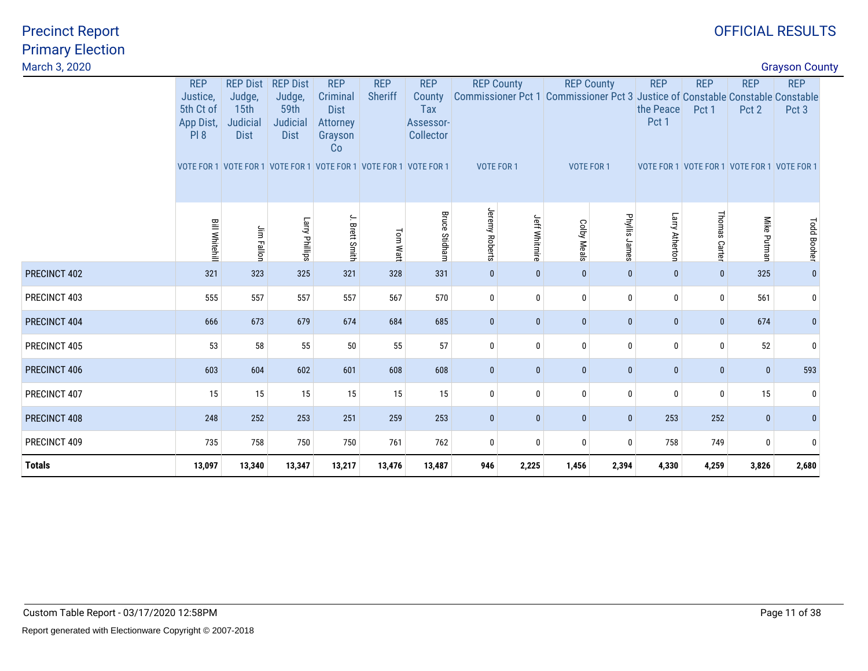| March 3, 2020 |                                                          |                                                                                                                                               |                                                              |                                                                    |                              |                                                       |                   |                   |              |                                 |                                  |                                                                    |                     | <b>Grayson County</b>                                                                                 |  |
|---------------|----------------------------------------------------------|-----------------------------------------------------------------------------------------------------------------------------------------------|--------------------------------------------------------------|--------------------------------------------------------------------|------------------------------|-------------------------------------------------------|-------------------|-------------------|--------------|---------------------------------|----------------------------------|--------------------------------------------------------------------|---------------------|-------------------------------------------------------------------------------------------------------|--|
|               | <b>REP</b><br>Justice,<br>5th Ct of<br>App Dist,<br>PI 8 | <b>REP Dist</b><br>Judge,<br>15 <sub>th</sub><br>Judicial<br><b>Dist</b><br>VOTE FOR 1 VOTE FOR 1 VOTE FOR 1 VOTE FOR 1 VOTE FOR 1 VOTE FOR 1 | <b>REP Dist</b><br>Judge,<br>59th<br>Judicial<br><b>Dist</b> | <b>REP</b><br>Criminal<br><b>Dist</b><br>Attorney<br>Grayson<br>Co | <b>REP</b><br><b>Sheriff</b> | <b>REP</b><br>County<br>Tax<br>Assessor-<br>Collector | <b>VOTE FOR 1</b> | <b>REP County</b> |              | <b>REP County</b><br>VOTE FOR 1 | <b>REP</b><br>the Peace<br>Pct 1 | <b>REP</b><br>Pct 1<br>VOTE FOR 1 VOTE FOR 1 VOTE FOR 1 VOTE FOR 1 | <b>REP</b><br>Pct 2 | <b>REP</b><br>Commissioner Pct 1 Commissioner Pct 3 Justice of Constable Constable Constable<br>Pct 3 |  |
|               | <b>Bill Whitehill</b>                                    | Jim Fallon                                                                                                                                    | Larry Phillips                                               | J. Brett Smith                                                     | Tom Watt                     | <b>Bruce Stidham</b>                                  | Jeremy Roberts    | Jeff Whitmire     | Colby Meals  | Phyllis James                   | Larry Atherton                   | Thomas Carter                                                      | Mike Putman         | <b>Todd Booher</b>                                                                                    |  |
| PRECINCT 402  | 321                                                      | 323                                                                                                                                           | 325                                                          | 321                                                                | 328                          | 331                                                   | $\mathbf{0}$      | $\mathbf{0}$      | $\mathbf{0}$ | $\mathbf{0}$                    | 0                                | $\overline{0}$                                                     | 325                 |                                                                                                       |  |
| PRECINCT 403  | 555                                                      | 557                                                                                                                                           | 557                                                          | 557                                                                | 567                          | 570                                                   | $\mathbf{0}$      | 0                 | $\mathbf 0$  | 0                               | 0                                | $\mathbf 0$                                                        | 561                 | $\mathbf{0}$                                                                                          |  |
| PRECINCT 404  | 666                                                      | 673                                                                                                                                           | 679                                                          | 674                                                                | 684                          | 685                                                   | $\bf{0}$          | $\pmb{0}$         | $\bf{0}$     | $\bf{0}$                        | 0                                | $\pmb{0}$                                                          | 674                 |                                                                                                       |  |
| PRECINCT 405  | 53                                                       | 58                                                                                                                                            | 55                                                           | 50                                                                 | 55                           | 57                                                    | $\mathbf{0}$      | $\mathbf{0}$      | $\mathbf{0}$ | $\mathbf{0}$                    | 0                                | $\bf{0}$                                                           | 52                  |                                                                                                       |  |
| PRECINCT 406  | 603                                                      | 604                                                                                                                                           | 602                                                          | 601                                                                | 608                          | 608                                                   | $\bf{0}$          | $\pmb{0}$         | $\mathbf{0}$ | $\mathbf{0}$                    | $\mathbf 0$                      | $\mathbf{0}$                                                       | $\mathbf{0}$        | 593                                                                                                   |  |
| PRECINCT 407  | 15                                                       | 15                                                                                                                                            | 15                                                           | 15                                                                 | 15                           | 15                                                    | $\mathbf{0}$      | $\mathbf{0}$      | 0            | $\mathbf{0}$                    | $\mathbf{0}$                     | $\boldsymbol{0}$                                                   | 15                  |                                                                                                       |  |
| PRECINCT 408  | 248                                                      | 252                                                                                                                                           | 253                                                          | 251                                                                | 259                          | 253                                                   | $\mathbf{0}$      | $\mathbf{0}$      | $\mathbf{0}$ | $\mathbf{0}$                    | 253                              | 252                                                                | $\mathbf{0}$        |                                                                                                       |  |
| PRECINCT 409  | 735                                                      | 758                                                                                                                                           | 750                                                          | 750                                                                | 761                          | 762                                                   | $\mathbf{0}$      | $\mathbf{0}$      | $\mathbf 0$  | $\mathbf{0}$                    | 758                              | 749                                                                | $\mathbf{0}$        |                                                                                                       |  |
| <b>Totals</b> | 13,097                                                   | 13,340                                                                                                                                        | 13,347                                                       | 13,217                                                             | 13,476                       | 13,487                                                | 946               | 2,225             | 1,456        | 2,394                           | 4,330                            | 4,259                                                              | 3,826               | 2,680                                                                                                 |  |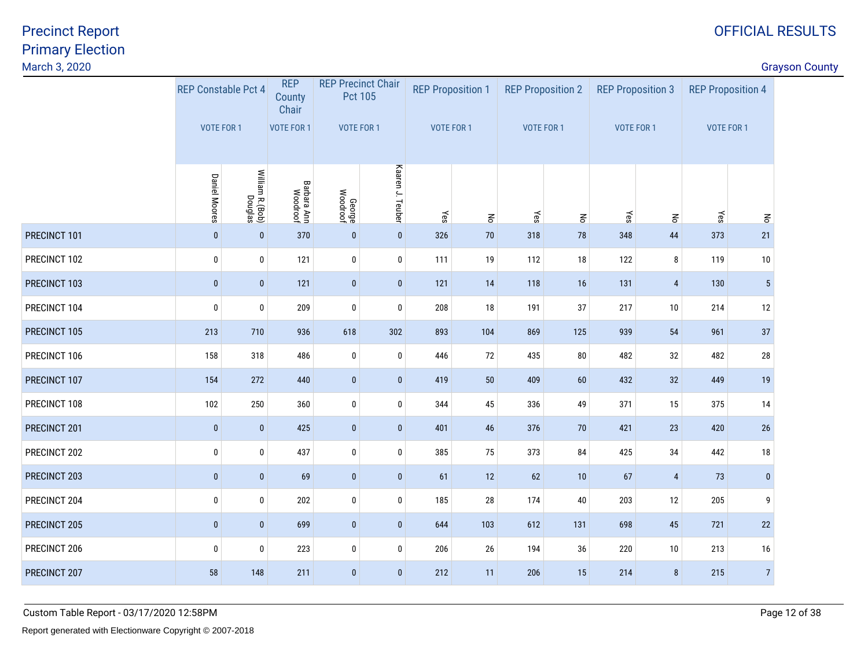| March 3, 2020 |                            |                            |                                |                    |                                             |                          |              |                          |              |                   |                          |                          |                | <b>Grayson County</b> |
|---------------|----------------------------|----------------------------|--------------------------------|--------------------|---------------------------------------------|--------------------------|--------------|--------------------------|--------------|-------------------|--------------------------|--------------------------|----------------|-----------------------|
|               | <b>REP Constable Pct 4</b> |                            | <b>REP</b><br>County<br>Chair  |                    | <b>REP Precinct Chair</b><br><b>Pct 105</b> | <b>REP Proposition 1</b> |              | <b>REP Proposition 2</b> |              |                   | <b>REP Proposition 3</b> | <b>REP Proposition 4</b> |                |                       |
|               | <b>VOTE FOR 1</b>          |                            | VOTE FOR 1                     | VOTE FOR 1         |                                             | VOTE FOR 1               |              | VOTE FOR 1               |              | <b>VOTE FOR 1</b> |                          | VOTE FOR 1               |                |                       |
|               | <b>Daniel Moores</b>       | William R.(Bob)<br>Douglas | <b>Barbara Ann</b><br>Woodroof | George<br>Woodroof | Kaaren J. Teuber                            | Yes                      | $\mathbf{g}$ | $\leq$                   | $\mathbf{g}$ | Yes               | $\mathbf{g}$             | Yes                      | $\mathbf{g}$   |                       |
| PRECINCT 101  | $\bf{0}$                   | $\pmb{0}$                  | 370                            | $\bf{0}$           | $\pmb{0}$                                   | 326                      | 70           | 318                      | 78           | 348               | 44                       | 373                      | 21             |                       |
| PRECINCT 102  | 0                          | 0                          | 121                            | $\bm{0}$           | $\bf{0}$                                    | 111                      | 19           | 112                      | 18           | 122               | 8                        | 119                      | 10             |                       |
| PRECINCT 103  | $\bf{0}$                   | $\mathbf{0}$               | 121                            | $\bf{0}$           | $\pmb{0}$                                   | 121                      | 14           | 118                      | 16           | 131               | $\overline{4}$           | 130                      | 5 <sub>5</sub> |                       |
| PRECINCT 104  | $\mathbf 0$                | 0                          | 209                            | $\bm{0}$           | $\mathbf 0$                                 | 208                      | $18\,$       | 191                      | 37           | 217               | $10\,$                   | 214                      | $12\,$         |                       |
| PRECINCT 105  | 213                        | 710                        | 936                            | 618                | 302                                         | 893                      | 104          | 869                      | 125          | 939               | 54                       | 961                      | 37             |                       |
| PRECINCT 106  | 158                        | 318                        | 486                            | $\pmb{0}$          | $\pmb{0}$                                   | 446                      | 72           | 435                      | 80           | 482               | $32\,$                   | 482                      | 28             |                       |
| PRECINCT 107  | 154                        | 272                        | 440                            | $\pmb{0}$          | $\pmb{0}$                                   | 419                      | 50           | 409                      | 60           | 432               | 32                       | 449                      | 19             |                       |
| PRECINCT 108  | 102                        | 250                        | 360                            | $\mathbf{0}$       | $\pmb{0}$                                   | 344                      | 45           | 336                      | 49           | 371               | $15\,$                   | 375                      | 14             |                       |
| PRECINCT 201  | $\bf{0}$                   | $\bf{0}$                   | 425                            | $\vert 0 \vert$    | $\bf{0}$                                    | 401                      | 46           | 376                      | 70           | 421               | 23                       | 420                      | 26             |                       |
| PRECINCT 202  | $\bf{0}$                   | 0                          | 437                            | $\mathbf{0}$       | $\bf{0}$                                    | 385                      | 75           | 373                      | 84           | 425               | $34\,$                   | 442                      | $18\,$         |                       |
| PRECINCT 203  | $\bf{0}$                   | $\pmb{0}$                  | 69                             | $\pmb{0}$          | $\bf{0}$                                    | 61                       | 12           | 62                       | $10$         | 67                | $\overline{4}$           | 73                       | $\pmb{0}$      |                       |
| PRECINCT 204  | $\bf{0}$                   | 0                          | 202                            | $\pmb{0}$          | $\pmb{0}$                                   | 185                      | 28           | 174                      | 40           | 203               | 12                       | 205                      | 9              |                       |
| PRECINCT 205  | $\mathbf 0$                | $\pmb{0}$                  | 699                            | $\bf{0}$           | $\pmb{0}$                                   | 644                      | 103          | 612                      | 131          | 698               | 45                       | 721                      | 22             |                       |
| PRECINCT 206  | $\mathbf 0$                | $\pmb{0}$                  | 223                            | $\pmb{0}$          | $\pmb{0}$                                   | 206                      | $26\,$       | 194                      | 36           | 220               | 10                       | 213                      | 16             |                       |
| PRECINCT 207  | 58                         | 148                        | 211                            | $\pmb{0}$          | $\mathbf 0$                                 | 212                      | 11           | 206                      | 15           | 214               | 8                        | 215                      | $\overline{7}$ |                       |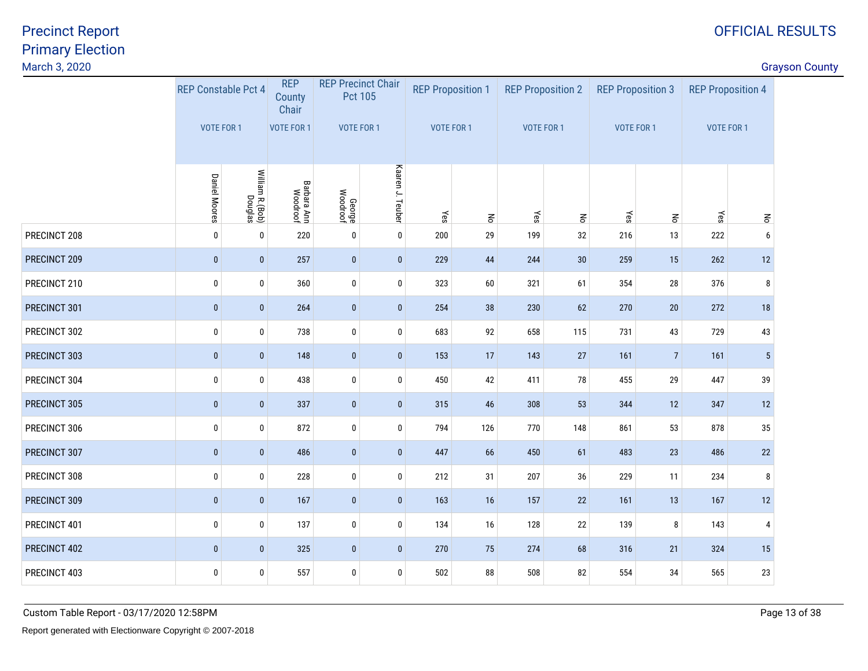| March 3, 2020 |                            |                            |                               |                    |                                             |                          |              |                          |                    |                          |                    |                          |                | <b>Grayson County</b> |
|---------------|----------------------------|----------------------------|-------------------------------|--------------------|---------------------------------------------|--------------------------|--------------|--------------------------|--------------------|--------------------------|--------------------|--------------------------|----------------|-----------------------|
|               | <b>REP Constable Pct 4</b> |                            | <b>REP</b><br>County<br>Chair |                    | <b>REP Precinct Chair</b><br><b>Pct 105</b> | <b>REP Proposition 1</b> |              | <b>REP Proposition 2</b> |                    | <b>REP Proposition 3</b> |                    | <b>REP Proposition 4</b> |                |                       |
|               | VOTE FOR 1                 |                            | <b>VOTE FOR 1</b>             |                    | VOTE FOR 1                                  | VOTE FOR 1               |              | VOTE FOR 1               |                    | VOTE FOR 1               |                    | VOTE FOR 1               |                |                       |
|               | <b>Daniel Moores</b>       | William R.(Bob)<br>Douglas | Barbara Ann<br>Woodroof       | George<br>Woodroof | Kaaren J. Teuber                            | Yes                      | $\mathbf{g}$ | Yes                      | $\mathsf{S}% _{T}$ | Yes                      | $\mathsf{S}% _{T}$ | Yes                      | $\mathbf{g}$   |                       |
| PRECINCT 208  | $\mathbf 0$                | 0                          | 220                           | $\mathbf 0$        | $\pmb{0}$                                   | 200                      | 29           | 199                      | 32                 | 216                      | 13                 | 222                      | 6              |                       |
| PRECINCT 209  | $\mathbf{0}$               | $\mathbf 0$                | 257                           | $\mathbf{0}$       | $\mathbf{0}$                                | 229                      | 44           | 244                      | 30                 | 259                      | 15                 | 262                      | 12             |                       |
| PRECINCT 210  | $\bf{0}$                   | 0                          | 360                           | $\pmb{0}$          | $\pmb{0}$                                   | 323                      | 60           | 321                      | 61                 | 354                      | $28\,$             | 376                      | 8              |                       |
| PRECINCT 301  | $\pmb{0}$                  | $\pmb{0}$                  | 264                           | $\bf{0}$           | $\pmb{0}$                                   | 254                      | 38           | 230                      | 62                 | 270                      | $20\,$             | 272                      | $18\,$         |                       |
| PRECINCT 302  | $\bf{0}$                   | 0                          | 738                           | $\pmb{0}$          | $\mathbf 0$                                 | 683                      | 92           | 658                      | 115                | 731                      | 43                 | 729                      | 43             |                       |
| PRECINCT 303  | $\mathbf 0$                | $\mathbf 0$                | 148                           | $\mathbf{0}$       | $\pmb{0}$                                   | 153                      | 17           | 143                      | 27                 | 161                      | $\overline{7}$     | 161                      | 5 <sup>5</sup> |                       |
| PRECINCT 304  | 0                          | 0                          | 438                           | $\bm{0}$           | $\bf{0}$                                    | 450                      | 42           | 411                      | 78                 | 455                      | 29                 | 447                      | 39             |                       |
| PRECINCT 305  | $\mathbf 0$                | $\pmb{0}$                  | 337                           | $\bf{0}$           | $\pmb{0}$                                   | 315                      | 46           | 308                      | 53                 | 344                      | 12                 | 347                      | 12             |                       |
| PRECINCT 306  | 0                          | 0                          | 872                           | $\bf{0}$           | $\pmb{0}$                                   | 794                      | 126          | 770                      | 148                | 861                      | 53                 | 878                      | 35             |                       |
| PRECINCT 307  | $\pmb{0}$                  | $\pmb{0}$                  | 486                           | $\pmb{0}$          | $\pmb{0}$                                   | 447                      | 66           | 450                      | 61                 | 483                      | 23                 | 486                      | 22             |                       |
| PRECINCT 308  | 0                          | $\pmb{0}$                  | 228                           | $\pmb{0}$          | $\pmb{0}$                                   | 212                      | 31           | 207                      | $36\,$             | 229                      | 11                 | 234                      | 8              |                       |
| PRECINCT 309  | $\mathbf 0$                | $\pmb{0}$                  | 167                           | $\bf{0}$           | $\pmb{0}$                                   | 163                      | 16           | 157                      | 22                 | 161                      | 13                 | 167                      | 12             |                       |
| PRECINCT 401  | 0                          | 0                          | 137                           | $\bm{0}$           | $\mathbf 0$                                 | 134                      | 16           | 128                      | 22                 | 139                      | 8                  | 143                      | $\overline{4}$ |                       |
| PRECINCT 402  | $\mathbf{0}$               | $\pmb{0}$                  | 325                           | $\bf{0}$           | $\mathbf{0}$                                | 270                      | 75           | 274                      | 68                 | 316                      | 21                 | 324                      | 15             |                       |
| PRECINCT 403  | $\mathbf{0}$               | 0                          | 557                           | $\bf{0}$           | $\mathbf 0$                                 | 502                      | 88           | 508                      | 82                 | 554                      | 34                 | 565                      | 23             |                       |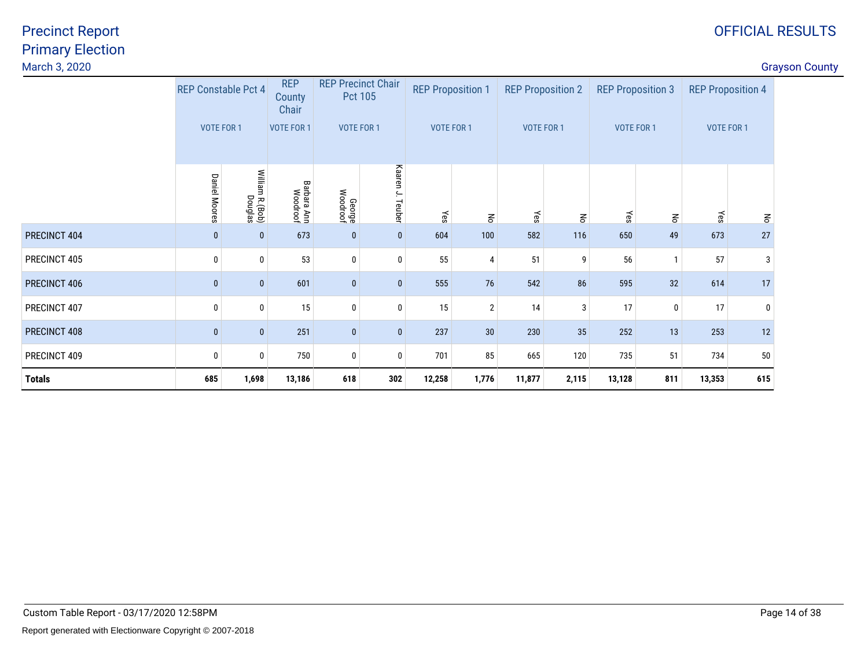| <b>Grayson County</b> |  |
|-----------------------|--|
|-----------------------|--|

| March 3, 2020 |                            |                                  |                               |                    |                                      |        |                          |        |                          |        |                          |                          |                                                                                                                                                            | <b>Grayson County</b> |
|---------------|----------------------------|----------------------------------|-------------------------------|--------------------|--------------------------------------|--------|--------------------------|--------|--------------------------|--------|--------------------------|--------------------------|------------------------------------------------------------------------------------------------------------------------------------------------------------|-----------------------|
|               | <b>REP Constable Pct 4</b> |                                  | <b>REP</b><br>County<br>Chair |                    | <b>REP Precinct Chair</b><br>Pct 105 |        | <b>REP Proposition 1</b> |        | <b>REP Proposition 2</b> |        | <b>REP Proposition 3</b> | <b>REP Proposition 4</b> |                                                                                                                                                            |                       |
|               | <b>VOTE FOR 1</b>          |                                  | <b>VOTE FOR 1</b>             |                    | VOTE FOR 1                           |        | VOTE FOR 1               |        | VOTE FOR 1               |        | VOTE FOR 1               | VOTE FOR 1               |                                                                                                                                                            |                       |
|               | <b>Daniel Moores</b>       | William<br>h R. (Bob)<br>Douglas | Barbara Ann<br>Woodroof       | George<br>Woodroof | Kaaren J. Teuber                     | Yes    | $\mathbb{R}^2$           | Yes    | $\mathbf{g}$             | γes    | $\mathbf{g}$             | kes                      | $\mathsf{S}% _{T}=\mathsf{S}_{T}\!\left( a,b\right) ,\mathsf{S}_{T}=\mathsf{S}_{T}\!\left( a,b\right) ,\mathsf{S}_{T}=\mathsf{S}_{T}\!\left( a,b\right) ,$ |                       |
| PRECINCT 404  | $\bf{0}$                   | $\bf{0}$                         | 673                           | $\bf{0}$           | $\bf{0}$                             | 604    | 100                      | 582    | 116                      | 650    | 49                       | 673                      | $27\,$                                                                                                                                                     |                       |
| PRECINCT 405  | $\mathbf{0}$               | 0                                | 53                            | 0                  | $\bf{0}$                             | 55     | 4                        | 51     | 9                        | 56     |                          | 57                       | 3                                                                                                                                                          |                       |
| PRECINCT 406  | $\Omega$                   | $\mathbf{0}$                     | 601                           | $\boldsymbol{0}$   | $\mathbf{0}$                         | 555    | 76                       | 542    | 86                       | 595    | 32                       | 614                      | 17                                                                                                                                                         |                       |
| PRECINCT 407  | $\Omega$                   | 0                                | 15                            | $\pmb{0}$          | $\bf{0}$                             | 15     | $\overline{2}$           | 14     | 3                        | 17     | $\mathbf 0$              | 17                       | 0                                                                                                                                                          |                       |
| PRECINCT 408  | $\Omega$                   | 0                                | 251                           | $\bf{0}$           | $\mathbf{0}$                         | 237    | 30                       | 230    | 35                       | 252    | 13                       | 253                      | 12                                                                                                                                                         |                       |
| PRECINCT 409  | $\mathbf{0}$               | 0                                | 750                           | $\pmb{0}$          | 0                                    | 701    | 85                       | 665    | 120                      | 735    | 51                       | 734                      | $50\,$                                                                                                                                                     |                       |
| <b>Totals</b> | 685                        | 1,698                            | 13,186                        | 618                | 302                                  | 12,258 | 1,776                    | 11,877 | 2,115                    | 13,128 | 811                      | 13,353                   | 615                                                                                                                                                        |                       |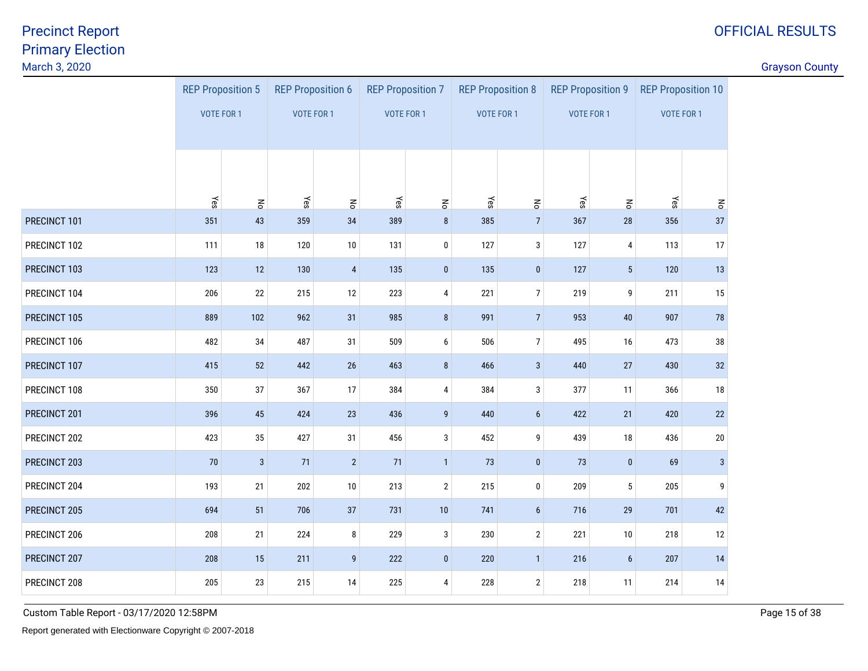discussion of the country of the country of the country of the country of the country of the country of the country of the country of the country of the country of the country of the country of the country of the country o

|              | <b>REP Proposition 5</b> |                                      | <b>REP Proposition 6</b> |                                      | <b>REP Proposition 7</b> |                                      | <b>REP Proposition 8</b> |                                         | <b>REP Proposition 9</b> |                                 | <b>REP Proposition 10</b> |                    |
|--------------|--------------------------|--------------------------------------|--------------------------|--------------------------------------|--------------------------|--------------------------------------|--------------------------|-----------------------------------------|--------------------------|---------------------------------|---------------------------|--------------------|
|              | <b>VOTE FOR 1</b>        |                                      | <b>VOTE FOR 1</b>        |                                      | VOTE FOR 1               |                                      | <b>VOTE FOR 1</b>        |                                         | VOTE FOR 1               |                                 | VOTE FOR 1                |                    |
|              |                          |                                      |                          |                                      |                          |                                      |                          |                                         |                          |                                 |                           |                    |
|              |                          |                                      |                          |                                      |                          |                                      |                          |                                         |                          |                                 |                           |                    |
|              |                          |                                      |                          |                                      |                          |                                      |                          |                                         |                          |                                 |                           |                    |
| PRECINCT 101 | Yes<br>351               | $\mathop{\mathsf{g}}\nolimits$<br>43 | Yes<br>359               | $\mathop{\mathsf{S}}\nolimits$<br>34 | Yes<br>389               | $\mathsf{R}^{\mathsf{C}}$<br>$\bf 8$ | Yes<br>385               | $\mathop{\mathsf{S}}$<br>$\overline{7}$ | Yes<br>367               | $\mathsf{R}^{\mathsf{c}}$<br>28 | Yes<br>356                | $\mathsf{S}$<br>37 |
| PRECINCT 102 | 111                      | $18\,$                               | 120                      | 10                                   | 131                      | $\pmb{0}$                            | 127                      | $\mathbf{3}$                            | 127                      | $\pmb{4}$                       | 113                       | 17                 |
| PRECINCT 103 | 123                      | 12                                   | 130                      | $\overline{4}$                       | 135                      | $\pmb{0}$                            | 135                      | $\pmb{0}$                               | 127                      | $\sqrt{5}$                      | 120                       | 13                 |
| PRECINCT 104 | 206                      | 22                                   | 215                      | 12                                   | 223                      | 4                                    | 221                      | $\overline{7}$                          | 219                      | 9                               | 211                       | 15                 |
| PRECINCT 105 | 889                      | 102                                  | 962                      | 31                                   | 985                      | $\bf 8$                              | 991                      | $7\overline{ }$                         | 953                      | 40                              | 907                       | 78                 |
| PRECINCT 106 | 482                      | $34\,$                               | 487                      | 31                                   | 509                      | 6                                    | 506                      | $\overline{7}$                          | 495                      | 16                              | 473                       | 38                 |
|              |                          |                                      |                          |                                      |                          |                                      |                          |                                         |                          |                                 |                           |                    |
| PRECINCT 107 | 415                      | 52                                   | 442                      | 26                                   | 463                      | $\bf 8$                              | 466                      | $\mathbf{3}$                            | 440                      | $27\,$                          | 430                       | 32                 |
| PRECINCT 108 | 350                      | 37                                   | 367                      | 17                                   | 384                      | 4                                    | 384                      | 3                                       | 377                      | 11                              | 366                       | 18                 |
| PRECINCT 201 | 396                      | 45                                   | 424                      | 23                                   | 436                      | $\overline{9}$                       | 440                      | $6\phantom{a}$                          | 422                      | 21                              | 420                       | 22                 |
| PRECINCT 202 | 423                      | $35\,$                               | 427                      | 31                                   | 456                      | $\mathbf{3}$                         | 452                      | 9                                       | 439                      | 18                              | 436                       | $20\,$             |
| PRECINCT 203 | 70                       | $\mathbf{3}$                         | 71                       | $\overline{2}$                       | 71                       | $\mathbf{1}$                         | 73                       | $\pmb{0}$                               | 73                       | $\mathbf 0$                     | 69                        | $\mathbf{3}$       |
| PRECINCT 204 | 193                      | 21                                   | 202                      | 10                                   | 213                      | $\mathbf{2}$                         | 215                      | $\bf{0}$                                | 209                      | $5\phantom{.0}$                 | 205                       | 9                  |
| PRECINCT 205 | 694                      | 51                                   | 706                      | 37                                   | 731                      | $10$                                 | 741                      | $6\phantom{a}$                          | 716                      | 29                              | 701                       | 42                 |
| PRECINCT 206 | 208                      | 21                                   | 224                      | 8                                    | 229                      | $\mathbf{3}$                         | 230                      | $\mathbf{2}$                            | 221                      | 10                              | 218                       | 12                 |
| PRECINCT 207 | 208                      | $15\,$                               | 211                      | 9                                    | 222                      | $\pmb{0}$                            | 220                      | $\mathbf{1}$                            | 216                      | $\boldsymbol{6}$                | 207                       | 14                 |
| PRECINCT 208 | 205                      | 23                                   | 215                      | 14                                   | 225                      | 4                                    | 228                      | $\overline{2}$                          | 218                      | 11                              | 214                       | 14                 |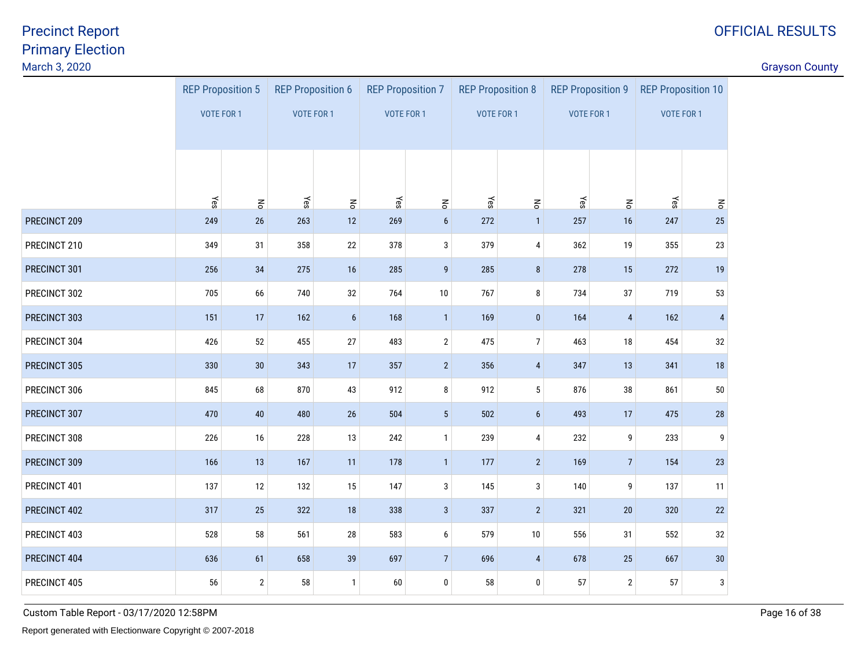discussion of the country of the country of the country of the country of the country of the country of the country of the country of the country of the country of the country of the country of the country of the country o

|              | <b>REP Proposition 5</b> |                       | <b>REP Proposition 6</b> |                  | <b>REP Proposition 7</b> |                           | <b>REP Proposition 8</b> |                                | <b>REP Proposition 9</b> |                       | <b>REP Proposition 10</b> |                         |
|--------------|--------------------------|-----------------------|--------------------------|------------------|--------------------------|---------------------------|--------------------------|--------------------------------|--------------------------|-----------------------|---------------------------|-------------------------|
|              | <b>VOTE FOR 1</b>        |                       | <b>VOTE FOR 1</b>        |                  | <b>VOTE FOR 1</b>        |                           | VOTE FOR 1               |                                | VOTE FOR 1               |                       | <b>VOTE FOR 1</b>         |                         |
|              |                          |                       |                          |                  |                          |                           |                          |                                |                          |                       |                           |                         |
|              |                          |                       |                          |                  |                          |                           |                          |                                |                          |                       |                           |                         |
|              |                          |                       |                          |                  |                          |                           |                          |                                |                          |                       |                           |                         |
|              | Yes                      | $\mathop{\mathsf{S}}$ | Yes                      | $\mathsf{S}$     | Yes                      | $\mathsf{R}^{\mathsf{S}}$ | Yes                      | $\mathop{\mathsf{S}}\nolimits$ | Yes                      | $\mathop{\mathsf{S}}$ | Yes                       | $\mathbf{r}_\mathsf{O}$ |
| PRECINCT 209 | 249                      | 26                    | 263                      | 12               | 269                      | $\boldsymbol{6}$          | 272                      | $\mathbf{1}$                   | 257                      | 16                    | 247                       | 25                      |
| PRECINCT 210 | 349                      | 31                    | 358                      | 22               | 378                      | $\sqrt{3}$                | 379                      | 4                              | 362                      | 19                    | 355                       | 23                      |
| PRECINCT 301 | 256                      | 34                    | 275                      | 16               | 285                      | $\overline{9}$            | 285                      | $\bf 8$                        | 278                      | 15                    | 272                       | 19                      |
| PRECINCT 302 | 705                      | 66                    | 740                      | 32               | 764                      | $10\,$                    | 767                      | 8                              | 734                      | 37                    | 719                       | 53                      |
| PRECINCT 303 | 151                      | 17                    | 162                      | $\boldsymbol{6}$ | 168                      | $\overline{1}$            | 169                      | $\mathbf 0$                    | 164                      | $\overline{4}$        | 162                       | $\overline{4}$          |
| PRECINCT 304 | 426                      | 52                    | 455                      | 27               | 483                      | $\mathbf{2}$              | 475                      | $\overline{7}$                 | 463                      | 18                    | 454                       | 32                      |
| PRECINCT 305 | 330                      | 30                    | 343                      | 17               | 357                      | $2^{\circ}$               | 356                      | $\overline{4}$                 | 347                      | 13                    | 341                       | 18                      |
| PRECINCT 306 | 845                      | 68                    | 870                      | 43               | 912                      | 8                         | 912                      | $5\phantom{.0}$                | 876                      | 38                    | 861                       | 50                      |
| PRECINCT 307 | 470                      | 40                    | 480                      | $26\,$           | 504                      | $5\phantom{.0}$           | 502                      | $\boldsymbol{6}$               | 493                      | 17                    | 475                       | $28\,$                  |
| PRECINCT 308 | 226                      | 16                    | 228                      | 13               | 242                      | $\mathbf{1}$              | 239                      | $\overline{4}$                 | 232                      | 9                     | 233                       | 9                       |
| PRECINCT 309 | 166                      | 13                    | 167                      | 11               | 178                      | $\overline{1}$            | 177                      | $\overline{2}$                 | 169                      | $7\overline{ }$       | 154                       | 23                      |
| PRECINCT 401 | 137                      | 12                    | 132                      | 15               | 147                      | 3                         | 145                      | 3                              | 140                      | 9                     | 137                       | 11                      |
| PRECINCT 402 | 317                      | 25                    | 322                      | 18               | 338                      | $\mathbf{3}$              | 337                      | $\overline{2}$                 | 321                      | 20                    | 320                       | 22                      |
| PRECINCT 403 | 528                      | 58                    | 561                      | $28\,$           | 583                      | 6                         | 579                      | 10                             | 556                      | 31                    | 552                       | 32                      |
| PRECINCT 404 | 636                      | 61                    | 658                      | $39\,$           | 697                      | $\overline{7}$            | 696                      | $\overline{4}$                 | 678                      | 25                    | 667                       | $30\,$                  |
| PRECINCT 405 | 56                       | $\overline{2}$        | 58                       | $\overline{1}$   | 60                       | $\pmb{0}$                 | 58                       | $\mathbf 0$                    | 57                       | $\overline{2}$        | 57                        | 3                       |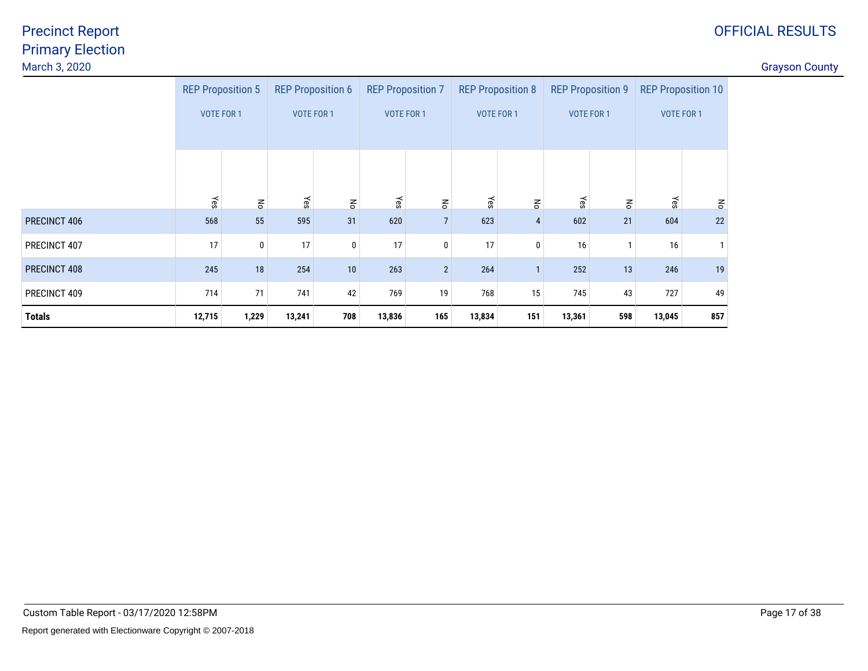#### discussion of the country of the country of the country of the country of the country of the country of the country of the country of the country of the country of the country of the country of the country of the country o

|               |                   | <b>REP Proposition 5</b>       | <b>REP Proposition 6</b> |                       | <b>REP Proposition 7</b> |                | <b>REP Proposition 8</b> |                | <b>REP Proposition 9</b> |              | <b>REP Proposition 10</b> |              |
|---------------|-------------------|--------------------------------|--------------------------|-----------------------|--------------------------|----------------|--------------------------|----------------|--------------------------|--------------|---------------------------|--------------|
|               | <b>VOTE FOR 1</b> |                                | <b>VOTE FOR 1</b>        |                       | <b>VOTE FOR 1</b>        |                | <b>VOTE FOR 1</b>        |                | <b>VOTE FOR 1</b>        |              | <b>VOTE FOR 1</b>         |              |
|               | Yes               | $\mathop{\mathsf{S}}\nolimits$ | Yes                      | $\mathop{\mathsf{S}}$ | Yes                      | $\mathsf{S}$   | Yes                      | $\mathbf{g}$   | Yes                      | $\mathsf{S}$ | Yes                       | $\mathsf{S}$ |
| PRECINCT 406  | 568               | 55                             | 595                      | 31                    | 620                      | $\overline{7}$ | 623                      | $\overline{4}$ | 602                      | 21           | 604                       | 22           |
| PRECINCT 407  | 17                | 0                              | 17                       | 0                     | 17                       | 0              | 17                       | 0              | 16                       |              | 16                        | -1           |
| PRECINCT 408  | 245               | 18                             | 254                      | 10                    | 263                      | $\overline{2}$ | 264                      | $\mathbf{1}$   | 252                      | 13           | 246                       | 19           |
| PRECINCT 409  | 714               | 71                             | 741                      | 42                    | 769                      | 19             | 768                      | 15             | 745                      | 43           | 727                       | 49           |
| <b>Totals</b> | 12,715            | 1,229                          | 13,241                   | 708                   | 13,836                   | 165            | 13,834                   | 151            | 13,361                   | 598          | 13,045                    | 857          |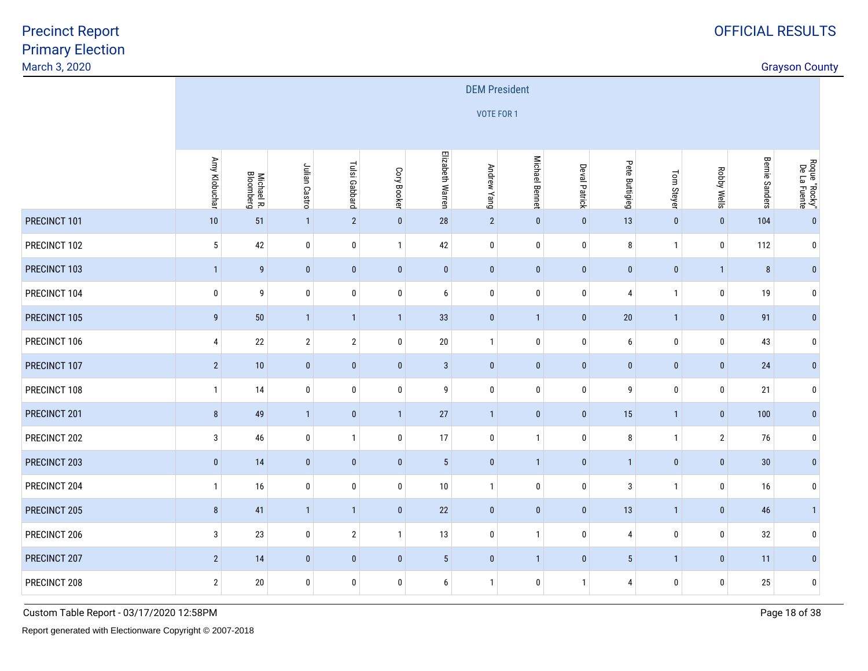discussion of the country of the country of the country of the country of the country of the country of the country of the country of the country of the country of the country of the country of the country of the country o

|              |                  |                         |                |                |              |                  | <b>DEM President</b> |                       |                      |                |              |                    |                |                               |
|--------------|------------------|-------------------------|----------------|----------------|--------------|------------------|----------------------|-----------------------|----------------------|----------------|--------------|--------------------|----------------|-------------------------------|
|              |                  |                         |                |                |              |                  | VOTE FOR 1           |                       |                      |                |              |                    |                |                               |
|              |                  |                         |                |                |              |                  |                      |                       |                      |                |              |                    |                |                               |
|              | Amy Klobuchar    | Michael R.<br>Bloomberg | Julian Castro  | Tulsi Gabbard  | Cory Booker  | Elizabeth Warren | Andrew Yang          | <b>Michael Bennet</b> | <b>Deval Patrick</b> | Pete Buttigieg | Tom Steyer   | <b>Robby Wells</b> | Bernie Sanders | Roque "Rocky"<br>De La Fuente |
| PRECINCT 101 | 10               | 51                      | $\overline{1}$ | $\sqrt{2}$     | $\pmb{0}$    | 28               | $\overline{2}$       | $\pmb{0}$             | $\pmb{0}$            | 13             | $\mathbf 0$  | $\pmb{0}$          | 104            | $\mathbf{0}$                  |
| PRECINCT 102 | $\sqrt{5}$       | 42                      | $\pmb{0}$      | 0              | $\mathbf{1}$ | 42               | $\pmb{0}$            | 0                     | 0                    | 8              | $\mathbf{1}$ | $\pmb{0}$          | 112            | $\mathbf 0$                   |
| PRECINCT 103 | $\mathbf{1}$     | 9                       | $\pmb{0}$      | $\pmb{0}$      | $\pmb{0}$    | $\bf{0}$         | $\pmb{0}$            | $\pmb{0}$             | $\pmb{0}$            | $\pmb{0}$      | $\mathbf 0$  | $\mathbf{1}$       | 8              | $\bf{0}$                      |
| PRECINCT 104 | $\bf{0}$         | 9                       | $\pmb{0}$      | 0              | $\pmb{0}$    | 6                | $\boldsymbol{0}$     | 0                     | 0                    | $\overline{4}$ | -1           | $\bf{0}$           | 19             | 0                             |
| PRECINCT 105 | $\boldsymbol{9}$ | $50\,$                  | $\overline{1}$ | $\mathbf{1}$   | $\mathbf{1}$ | 33               | $\pmb{0}$            | $\mathbf{1}$          | $\pmb{0}$            | $20\,$         | $\mathbf{1}$ | $\mathbf{0}$       | 91             | $\mathbf{0}$                  |
| PRECINCT 106 | $\overline{4}$   | $22\,$                  | $\overline{2}$ | $\overline{2}$ | $\pmb{0}$    | $20\,$           | $\overline{1}$       | 0                     | 0                    | 6              | $\mathbf 0$  | $\pmb{0}$          | 43             | $\mathbf 0$                   |
| PRECINCT 107 | $\sqrt{2}$       | 10                      | $\pmb{0}$      | $\pmb{0}$      | $\pmb{0}$    | $\mathbf{3}$     | $\pmb{0}$            | $\pmb{0}$             | $\pmb{0}$            | $\mathbf 0$    | $\mathbf 0$  | $\mathbf{0}$       | 24             | $\bf{0}$                      |
| PRECINCT 108 | $\mathbf{1}$     | 14                      | $\pmb{0}$      | 0              | $\pmb{0}$    | 9                | $\pmb{0}$            | 0                     | 0                    | 9              | $\bf{0}$     | $\pmb{0}$          | 21             | $\mathbf 0$                   |
| PRECINCT 201 | $\bf 8$          | 49                      | $\overline{1}$ | $\bf{0}$       | $\mathbf{1}$ | 27               | $\overline{1}$       | $\pmb{0}$             | $\pmb{0}$            | 15             | $\mathbf{1}$ | $\bf{0}$           | 100            | $\bf{0}$                      |
| PRECINCT 202 | 3                | 46                      | 0              | $\mathbf{1}$   | 0            | 17               | $\pmb{0}$            | $\mathbf{1}$          | 0                    | 8              | $\mathbf{1}$ | $\overline{2}$     | 76             | $\mathbf 0$                   |
| PRECINCT 203 | $\mathbf{0}$     | 14                      | $\bf{0}$       | $\bf{0}$       | $\mathbf{0}$ | $5\phantom{.0}$  | $\mathbf{0}$         | $\mathbf{1}$          | $\mathbf{0}$         | $\mathbf{1}$   | $\mathbf{0}$ | $\mathbf{0}$       | 30             | $\bf{0}$                      |
| PRECINCT 204 | $\mathbf{1}$     | 16                      | 0              | 0              | 0            | 10               | $\overline{1}$       | 0                     | 0                    | 3              | $\mathbf{1}$ | $\bf{0}$           | 16             | 0                             |
| PRECINCT 205 | 8                | 41                      | $\overline{1}$ | $\mathbf{1}$   | $\pmb{0}$    | 22               | $\mathbf 0$          | $\pmb{0}$             | $\mathbf 0$          | 13             | $\mathbf{1}$ | $\mathbf{0}$       | 46             | $\overline{1}$                |
| PRECINCT 206 | 3                | 23                      | $\mathbf 0$    | $\overline{2}$ | $\mathbf{1}$ | 13               | $\pmb{0}$            | $\mathbf{1}$          | 0                    | $\overline{4}$ | $\bf{0}$     | $\bf{0}$           | 32             | $\mathbf 0$                   |
| PRECINCT 207 | $\overline{2}$   | 14                      | $\bf{0}$       | $\pmb{0}$      | $\bf{0}$     | $5\,$            | $\pmb{0}$            | $\mathbf{1}$          | $\bf{0}$             | $\sqrt{5}$     | $\mathbf{1}$ | $\mathbf{0}$       | 11             | $\bf{0}$                      |
| PRECINCT 208 | $\overline{2}$   | 20                      | 0              | 0              | 0            | 6                | $\mathbf{1}$         | 0                     | $\mathbf{1}$         | 4              | 0            | $\bf{0}$           | 25             | $\mathbf 0$                   |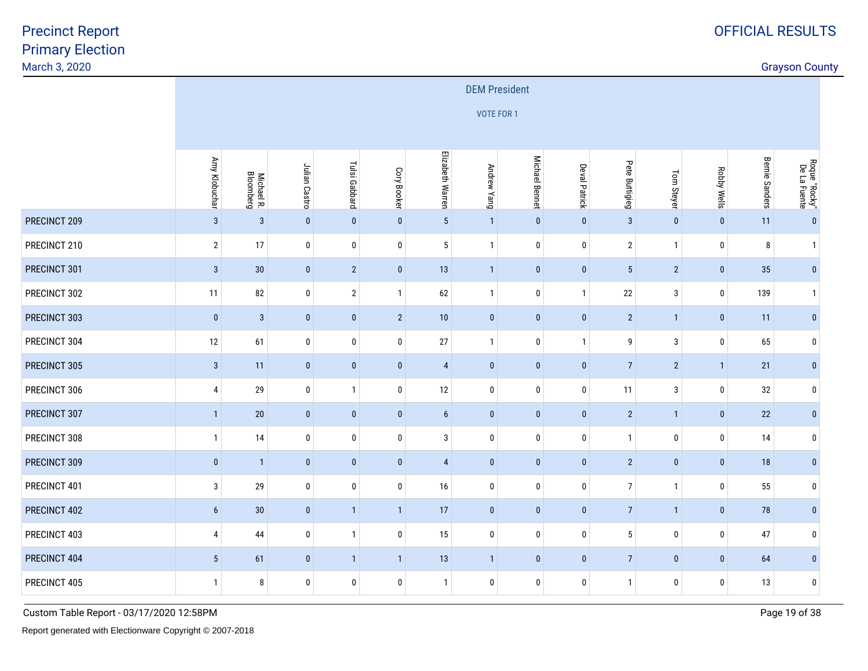discussion of the country of the country of the country of the country of the country of the country of the country of the country of the country of the country of the country of the country of the country of the country o

|              |                 |                         |               |                |              |                  | <b>DEM President</b> |                |                      |                |                |                    |                |                               |
|--------------|-----------------|-------------------------|---------------|----------------|--------------|------------------|----------------------|----------------|----------------------|----------------|----------------|--------------------|----------------|-------------------------------|
|              |                 |                         |               |                |              |                  | <b>VOTE FOR 1</b>    |                |                      |                |                |                    |                |                               |
|              |                 |                         |               |                |              |                  |                      |                |                      |                |                |                    |                |                               |
|              | Amy Klobuchar   | Michael R.<br>Bloomberg | Julian Castro | Tulsi Gabbard  | Cory Booker  | Elizabeth Warren | Andrew Yang          | Michael Bennet | <b>Deval Patrick</b> | Pete Buttigieg | Tom Steyer     | <b>Robby Wells</b> | Bernie Sanders | Roque "Rocky"<br>De La Fuente |
| PRECINCT 209 | $\mathbf{3}$    | $\overline{3}$          | $\pmb{0}$     | $\pmb{0}$      | $\pmb{0}$    | $5\phantom{.0}$  | $\overline{1}$       | $\pmb{0}$      | $\pmb{0}$            | $\sqrt{3}$     | $\pmb{0}$      | $\pmb{0}$          | 11             | $\mathbf{0}$                  |
| PRECINCT 210 | $\overline{2}$  | 17                      | $\pmb{0}$     | $\bf{0}$       | $\pmb{0}$    | $5\phantom{.0}$  | $\mathbf{1}$         | 0              | 0                    | $\sqrt{2}$     | $\mathbf{1}$   | $\pmb{0}$          | 8              | $\overline{1}$                |
| PRECINCT 301 | $\mathbf{3}$    | 30                      | $\pmb{0}$     | $\overline{2}$ | $\pmb{0}$    | 13               | $\overline{1}$       | $\pmb{0}$      | $\pmb{0}$            | $\sqrt{5}$     | $\overline{2}$ | $\pmb{0}$          | 35             | $\bf{0}$                      |
| PRECINCT 302 | 11              | 82                      | $\pmb{0}$     | $\sqrt{2}$     | $\mathbf{1}$ | 62               | $\mathbf{1}$         | 0              | $\mathbf{1}$         | 22             | $\mathbf{3}$   | $\pmb{0}$          | 139            | $\overline{1}$                |
| PRECINCT 303 | $\mathbf 0$     | $\sqrt{3}$              | $\pmb{0}$     | $\pmb{0}$      | $\sqrt{2}$   | 10               | $\mathbf{0}$         | $\pmb{0}$      | $\pmb{0}$            | $\sqrt{2}$     | $\mathbf{1}$   | $\pmb{0}$          | 11             | $\mathbf{0}$                  |
| PRECINCT 304 | $12\,$          | 61                      | $\pmb{0}$     | 0              | $\bf{0}$     | 27               | $\overline{1}$       | 0              | $\mathbf{1}$         | 9              | 3              | $\pmb{0}$          | 65             | $\bm{0}$                      |
| PRECINCT 305 | $\mathbf{3}$    | 11                      | $\pmb{0}$     | $\pmb{0}$      | $\pmb{0}$    | $\overline{4}$   | $\pmb{0}$            | $\pmb{0}$      | $\pmb{0}$            | $\overline{7}$ | $\overline{2}$ | $\overline{1}$     | 21             | $\pmb{0}$                     |
| PRECINCT 306 | 4               | 29                      | $\pmb{0}$     | $\mathbf{1}$   | $\pmb{0}$    | 12               | $\mathbf 0$          | 0              | $\pmb{0}$            | 11             | 3              | $\pmb{0}$          | 32             | $\mathbf 0$                   |
| PRECINCT 307 | $\mathbf{1}$    | $20\,$                  | $\pmb{0}$     | $\pmb{0}$      | $\pmb{0}$    | $\boldsymbol{6}$ | $\pmb{0}$            | $\pmb{0}$      | $\pmb{0}$            | $\overline{2}$ | $\mathbf{1}$   | $\pmb{0}$          | 22             | $\bf{0}$                      |
| PRECINCT 308 | $\mathbf{1}$    | 14                      | $\pmb{0}$     | 0              | $\mathbf 0$  | 3                | $\boldsymbol{0}$     | 0              | $\pmb{0}$            | $\mathbf{1}$   | $\mathbf 0$    | $\bf{0}$           | 14             | $\bm{0}$                      |
| PRECINCT 309 | $\pmb{0}$       | $\overline{1}$          | $\pmb{0}$     | $\pmb{0}$      | $\mathbf{0}$ | $\overline{4}$   | $\mathbf{0}$         | $\pmb{0}$      | $\pmb{0}$            | $\sqrt{2}$     | $\pmb{0}$      | $\pmb{0}$          | 18             | $\mathbf{0}$                  |
| PRECINCT 401 | $\mathbf{3}$    | 29                      | $\pmb{0}$     | 0              | $\bf{0}$     | 16               | $\boldsymbol{0}$     | 0              | $\pmb{0}$            | $\overline{7}$ | $\mathbf{1}$   | $\pmb{0}$          | 55             | $\bm{0}$                      |
| PRECINCT 402 | $6\phantom{.0}$ | 30                      | $\pmb{0}$     | $\mathbf{1}$   | $\mathbf{1}$ | 17               | $\pmb{0}$            | $\pmb{0}$      | $\pmb{0}$            | $\overline{7}$ | $\mathbf{1}$   | $\pmb{0}$          | 78             | $\bf{0}$                      |
| PRECINCT 403 | 4               | 44                      | $\pmb{0}$     | $\mathbf{1}$   | $\mathbf 0$  | 15               | $\mathbf 0$          | 0              | $\pmb{0}$            | $\sqrt{5}$     | $\mathbf 0$    | $\pmb{0}$          | 47             | $\mathbf 0$                   |
| PRECINCT 404 | 5 <sup>5</sup>  | 61                      | $\pmb{0}$     | $\mathbf{1}$   | $\mathbf{1}$ | 13               | $\overline{1}$       | $\pmb{0}$      | $\pmb{0}$            | $\overline{7}$ | $\bf{0}$       | $\mathbf{0}$       | 64             | $\bf{0}$                      |
| PRECINCT 405 | $\mathbf{1}$    | 8                       | 0             | 0              | $\bf{0}$     | $\mathbf{1}$     | $\boldsymbol{0}$     | 0              | 0                    | $\mathbf{1}$   | 0              | $\bf{0}$           | 13             | $\pmb{0}$                     |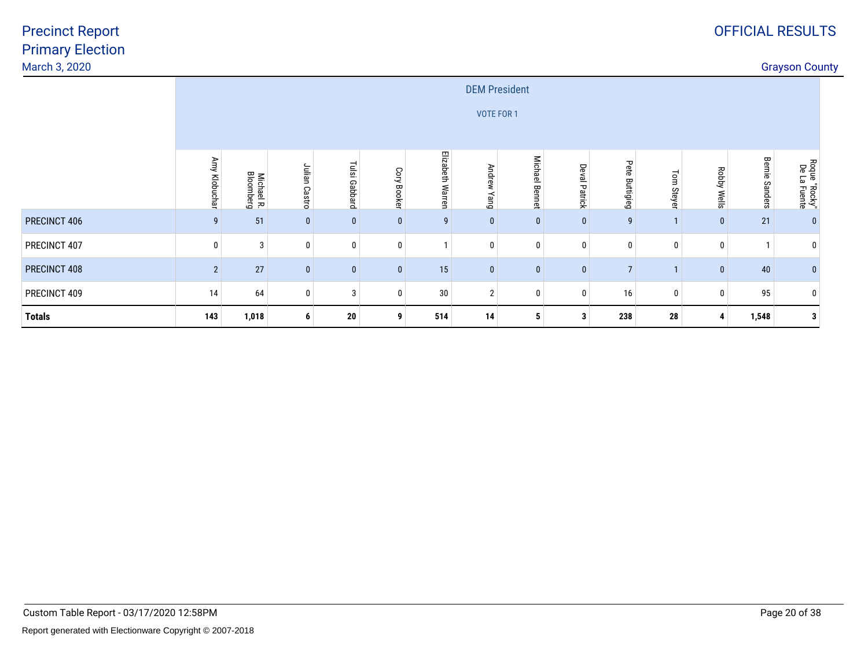| March 3, 2020 |                |                         |               |               |             |                  |                       |                          |                      |                   |               |             |                | <b>Grayson County</b>         |  |
|---------------|----------------|-------------------------|---------------|---------------|-------------|------------------|-----------------------|--------------------------|----------------------|-------------------|---------------|-------------|----------------|-------------------------------|--|
|               |                |                         |               |               |             |                  |                       | <b>DEM President</b>     |                      |                   |               |             |                |                               |  |
|               |                |                         |               |               |             |                  |                       | VOTE FOR 1               |                      |                   |               |             |                |                               |  |
|               |                |                         |               |               |             |                  |                       |                          |                      |                   |               |             |                |                               |  |
|               | Amy Klobuchar  | Michael R.<br>Bloomberg | Julian Castro | Tulsi Gabbard | Cory Booker | Elizabeth Warren | <b>Andrew</b><br>puey | <b>Michael</b><br>Bennet | <b>Deval Patrick</b> | Pete<br>Buttigieg | Tom<br>Steyer | Robby Wells | Bernie Sanders | Roque "Rocky"<br>De La Fuente |  |
| PRECINCT 406  | g              | 51                      | $\bf{0}$      | $\bf{0}$      | $\bf{0}$    | 9                | 0                     |                          | $\mathbf 0$          | 9                 |               | $\pmb{0}$   | $21\,$         |                               |  |
| PRECINCT 407  |                | 3                       | 0             | 0             | 0           |                  | $\mathbf{0}$          |                          | $\mathbf 0$          | 0                 | 0             | $\mathbf 0$ |                |                               |  |
| PRECINCT 408  | $\overline{2}$ | 27                      | $\bf{0}$      | $\bf{0}$      | $\bf{0}$    | 15               | $\mathbf{0}$          | $\mathbf{0}$             | $\mathbf{0}$         | $\overline{7}$    |               | $\bf{0}$    | 40             |                               |  |
| PRECINCT 409  | 14             | 64                      | 0             | 3             | 0           | $30\,$           | $\mathbf{2}$          |                          | $\mathbf 0$          | 16                | 0             | 0           | 95             |                               |  |
| <b>Totals</b> | 143            | 1,018                   | 6             | 20            | 9           | 514              | 14                    | 5                        | 3                    | 238               | 28            | 4           | 1,548          | 3                             |  |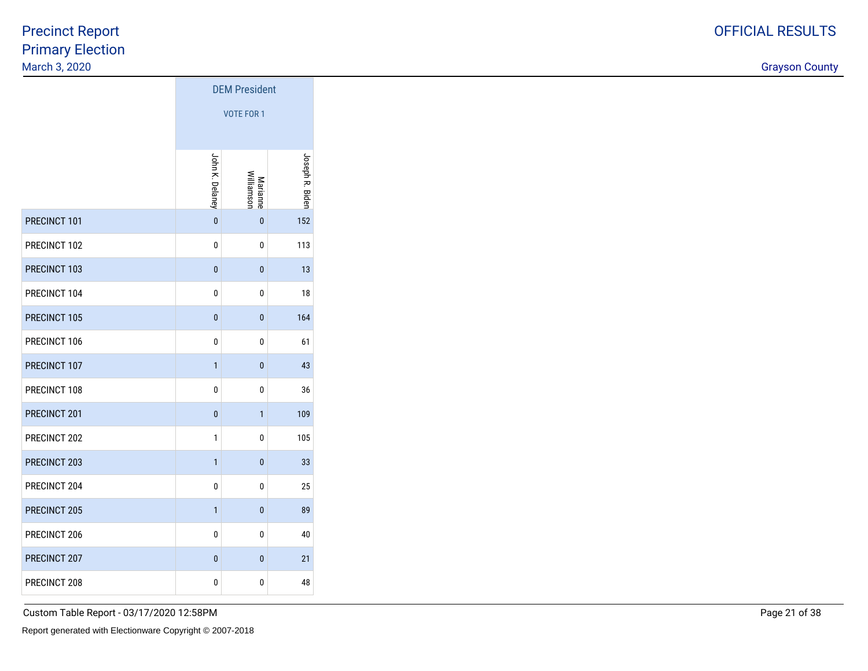discussion of the country of the country of the country of the country of the country of the country of the country of the country of the country of the country of the country of the country of the country of the country o

|              | <b>DEM President</b> |                               |                 |  |  |  |  |  |
|--------------|----------------------|-------------------------------|-----------------|--|--|--|--|--|
|              | <b>VOTE FOR 1</b>    |                               |                 |  |  |  |  |  |
|              | John K. Delaney      | Williamson<br><b>Marianne</b> | Joseph R. Biden |  |  |  |  |  |
| PRECINCT 101 | $\mathbf{0}$         | $\bf{0}$                      | 152             |  |  |  |  |  |
| PRECINCT 102 | 0                    | 0                             | 113             |  |  |  |  |  |
| PRECINCT 103 | $\mathbf{0}$         | 0                             | 13              |  |  |  |  |  |
| PRECINCT 104 | 0                    | 0                             | 18              |  |  |  |  |  |
| PRECINCT 105 | $\mathbf{0}$         | $\mathbf{0}$                  | 164             |  |  |  |  |  |
| PRECINCT 106 | 0                    | 0                             | 61              |  |  |  |  |  |
| PRECINCT 107 | $\mathbf{1}$         | $\mathbf{0}$                  | 43              |  |  |  |  |  |
| PRECINCT 108 | 0                    | 0                             | 36              |  |  |  |  |  |
| PRECINCT 201 | 0                    | 1                             | 109             |  |  |  |  |  |
| PRECINCT 202 | 1                    | 0                             | 105             |  |  |  |  |  |
| PRECINCT 203 | $\mathbf{1}$         | $\mathbf{0}$                  | 33              |  |  |  |  |  |
| PRECINCT 204 | 0                    | 0                             | 25              |  |  |  |  |  |
| PRECINCT 205 | $\mathbf{1}$         | 0                             | 89              |  |  |  |  |  |
| PRECINCT 206 | 0                    | 0                             | 40              |  |  |  |  |  |
| PRECINCT 207 | $\mathbf{0}$         | $\mathbf{0}$                  | 21              |  |  |  |  |  |
| PRECINCT 208 | 0                    | 0                             | 48              |  |  |  |  |  |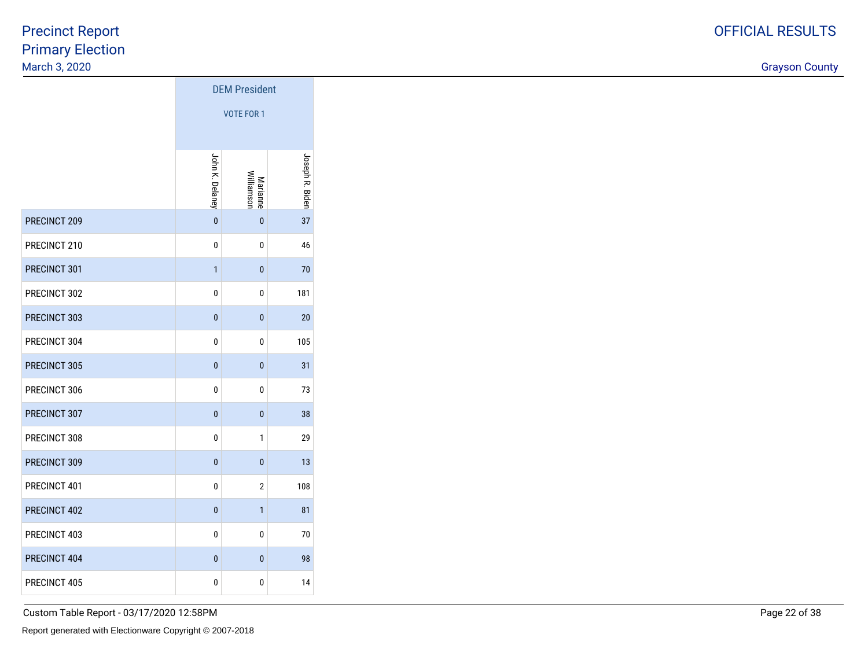discussion of the country of the country of the country of the country of the country of the country of the country of the country of the country of the country of the country of the country of the country of the country o

|              | <b>DEM President</b> |                        |                 |  |  |  |  |  |  |  |  |
|--------------|----------------------|------------------------|-----------------|--|--|--|--|--|--|--|--|
|              |                      | <b>VOTE FOR 1</b>      |                 |  |  |  |  |  |  |  |  |
|              | John K. Delaney      | Marianne<br>Williamson | Joseph R. Biden |  |  |  |  |  |  |  |  |
| PRECINCT 209 | $\mathbf{0}$         | $\bf{0}$               | 37              |  |  |  |  |  |  |  |  |
| PRECINCT 210 | 0                    | 0                      | 46              |  |  |  |  |  |  |  |  |
| PRECINCT 301 | $\mathbf{1}$         | $\bf{0}$               | 70              |  |  |  |  |  |  |  |  |
| PRECINCT 302 | 0                    | 0                      | 181             |  |  |  |  |  |  |  |  |
| PRECINCT 303 | $\mathbf{0}$         | $\bf{0}$               | 20              |  |  |  |  |  |  |  |  |
| PRECINCT 304 | 0                    | 0                      | 105             |  |  |  |  |  |  |  |  |
| PRECINCT 305 | $\mathbf{0}$         | $\bf{0}$               | 31              |  |  |  |  |  |  |  |  |
| PRECINCT 306 | 0                    | 0                      | 73              |  |  |  |  |  |  |  |  |
| PRECINCT 307 | $\mathbf{0}$         | 0                      | 38              |  |  |  |  |  |  |  |  |
| PRECINCT 308 | 0                    | 1                      | 29              |  |  |  |  |  |  |  |  |
| PRECINCT 309 | $\mathbf{0}$         | $\mathbf{0}$           | 13              |  |  |  |  |  |  |  |  |
| PRECINCT 401 | 0                    | $\overline{2}$         | 108             |  |  |  |  |  |  |  |  |
| PRECINCT 402 | $\bf{0}$             | $\mathbf{1}$           | 81              |  |  |  |  |  |  |  |  |
| PRECINCT 403 | 0                    | 0                      | 70              |  |  |  |  |  |  |  |  |
| PRECINCT 404 | $\mathbf{0}$         | $\mathbf{0}$           | 98              |  |  |  |  |  |  |  |  |
| PRECINCT 405 | 0                    | 0                      | 14              |  |  |  |  |  |  |  |  |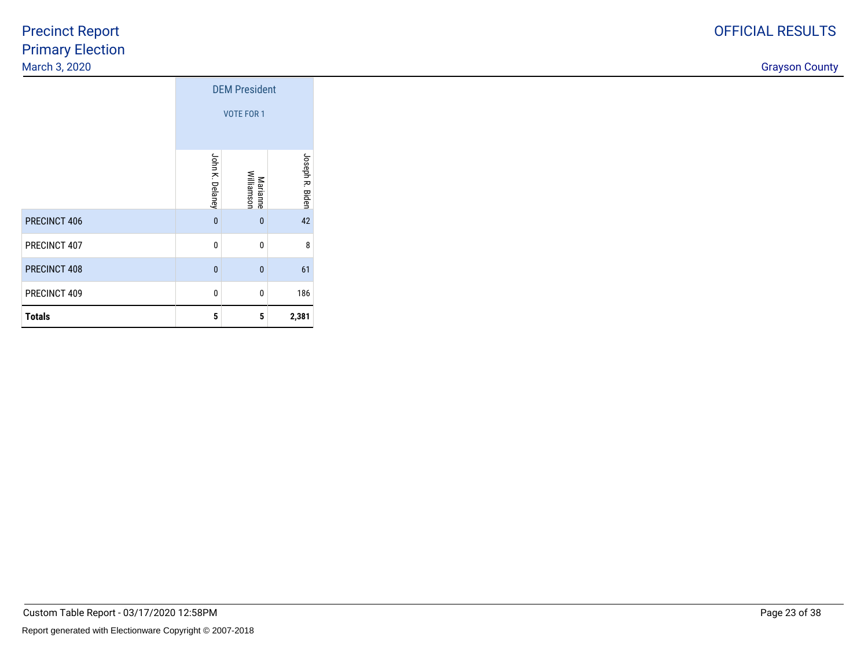discussion of the country of the country of the country of the country of the country of the country of the country of the country of the country of the country of the country of the country of the country of the country o

|               |                 | <b>DEM President</b><br><b>VOTE FOR 1</b> |                 |
|---------------|-----------------|-------------------------------------------|-----------------|
|               | John K. Delaney | Marianne<br>Williamson                    | Joseph R. Biden |
| PRECINCT 406  | $\mathbf{0}$    | $\mathbf{0}$                              | 42              |
| PRECINCT 407  | 0               | 0                                         | 8               |
| PRECINCT 408  | $\mathbf{0}$    | $\overline{0}$                            | 61              |
| PRECINCT 409  | 0               | $\mathbf{0}$                              | 186             |
| <b>Totals</b> | 5               | 5                                         | 2,381           |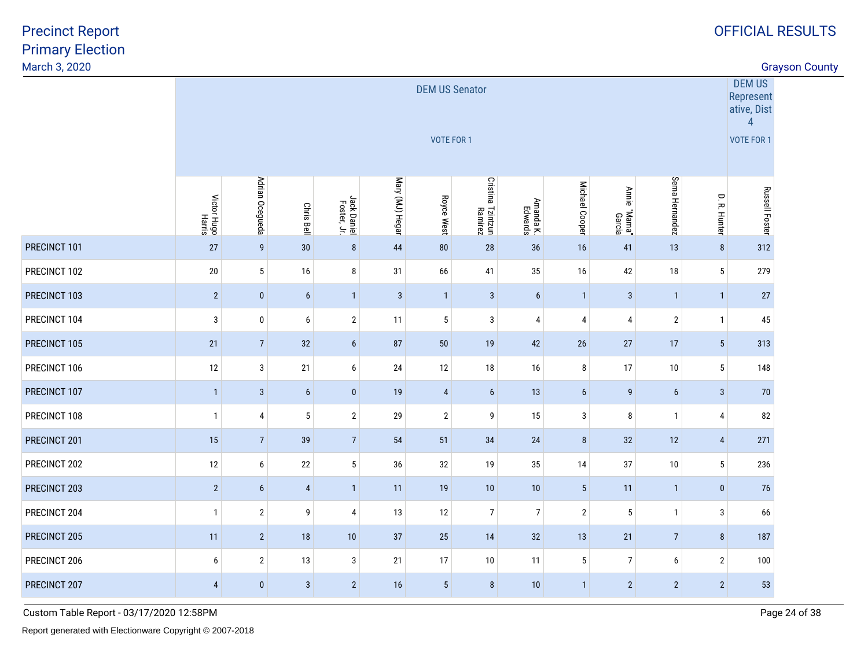discussion of the country of the country of the country of the country of the country of the country of the country of the country of the country of the country of the country of the country of the country of the country o

|              |                       |                 |                   |                            |                 | <b>DEM US Senator</b><br><b>VOTE FOR 1</b> |                              |                      |                 |                        |                  |                 | DEM US<br>Represent<br>ative, Dist<br>$\overline{4}$<br><b>VOTE FOR 1</b> |
|--------------|-----------------------|-----------------|-------------------|----------------------------|-----------------|--------------------------------------------|------------------------------|----------------------|-----------------|------------------------|------------------|-----------------|---------------------------------------------------------------------------|
|              |                       |                 |                   |                            |                 |                                            |                              |                      |                 |                        |                  |                 |                                                                           |
|              | Victor Hugo<br>Harris | Adrian Ocegueda | <b>Chris Bell</b> | Jack Daniel<br>Foster, Jr. | Mary (MJ) Hegar | Royce West                                 | Cristina Tzintzun<br>Ramirez | Amanda K.<br>Edwards | Michael Cooper  | Annie "Mama"<br>Garcia | Sema Hernandez   | D. R. Hunter    | <b>Russell Foster</b>                                                     |
| PRECINCT 101 | 27                    | $\overline{9}$  | 30                | $\bf 8$                    | 44              | 80                                         | 28                           | 36                   | 16              | 41                     | 13               | $\bf 8$         | 312                                                                       |
| PRECINCT 102 | $20\,$                | 5               | 16                | 8                          | 31              | 66                                         | 41                           | 35                   | 16              | 42                     | $18\,$           | $\sqrt{5}$      | 279                                                                       |
| PRECINCT 103 | $\sqrt{2}$            | $\pmb{0}$       | $6\phantom{1}6$   | $\overline{1}$             | $\sqrt{3}$      | $\overline{1}$                             | $\mathbf{3}$                 | $6\phantom{a}$       | $\overline{1}$  | $\mathbf{3}$           | $\mathbf{1}$     | $\mathbf{1}$    | 27                                                                        |
| PRECINCT 104 | $\mathbf{3}$          | $\pmb{0}$       | $\boldsymbol{6}$  | $\overline{2}$             | 11              | $5\phantom{.0}$                            | $\mathbf{3}$                 | 4                    | $\overline{4}$  | 4                      | $\sqrt{2}$       | $\mathbf{1}$    | 45                                                                        |
| PRECINCT 105 | 21                    | $\overline{7}$  | 32                | $6\phantom{.}6$            | 87              | $50\,$                                     | 19                           | 42                   | $26\,$          | 27                     | 17               | $\sqrt{5}$      | 313                                                                       |
| PRECINCT 106 | 12                    | 3               | 21                | 6                          | 24              | 12                                         | 18                           | 16                   | 8               | 17                     | $10\,$           | $\sqrt{5}$      | 148                                                                       |
| PRECINCT 107 | $\mathbf{1}$          | $\mathbf{3}$    | $6\phantom{1}6$   | $\bf{0}$                   | 19              | $\overline{4}$                             | $6\phantom{1}6$              | 13                   | $6\phantom{.}6$ | 9                      | $\boldsymbol{6}$ | $\mathbf{3}$    | 70                                                                        |
| PRECINCT 108 | $\mathbf{1}$          | 4               | $\sqrt{5}$        | $\overline{2}$             | 29              | $\mathbf{2}$                               | 9                            | 15                   | $\mathbf{3}$    | 8                      | $\overline{1}$   | 4               | 82                                                                        |
| PRECINCT 201 | 15                    | $\overline{7}$  | 39                | $\overline{7}$             | 54              | 51                                         | 34                           | 24                   | $\bf 8$         | 32                     | 12               | $\overline{4}$  | 271                                                                       |
| PRECINCT 202 | 12                    | 6               | 22                | $5\phantom{.0}$            | 36              | 32                                         | 19                           | 35                   | 14              | 37                     | $10\,$           | $5\phantom{.0}$ | 236                                                                       |
| PRECINCT 203 | $\overline{2}$        | $6\phantom{1}$  | $\overline{4}$    | $\overline{1}$             | 11              | 19                                         | 10                           | 10                   | $5\phantom{.0}$ | 11                     | $\overline{1}$   | $\pmb{0}$       | 76                                                                        |
| PRECINCT 204 | $\mathbf{1}$          | $\overline{2}$  | 9                 | $\overline{4}$             | 13              | 12                                         | $\overline{7}$               | $\overline{7}$       | $\overline{2}$  | 5                      | $\mathbf{1}$     | $\mathbf{3}$    | 66                                                                        |
| PRECINCT 205 | 11                    | $\sqrt{2}$      | 18                | 10                         | 37              | 25                                         | 14                           | 32                   | 13              | 21                     | $7\overline{ }$  | $\bf 8$         | 187                                                                       |
| PRECINCT 206 | 6                     | $\mathbf 2$     | 13                | $\mathbf{3}$               | 21              | 17                                         | 10                           | 11                   | $5\phantom{.0}$ | $\overline{7}$         | 6                | $\overline{2}$  | 100                                                                       |
| PRECINCT 207 | $\overline{4}$        | $\pmb{0}$       | $\sqrt{3}$        | $\overline{2}$             | 16              | $5\phantom{.0}$                            | $\boldsymbol{8}$             | 10                   | $\mathbf{1}$    | $\overline{2}$         | $\overline{2}$   | $\overline{2}$  | 53                                                                        |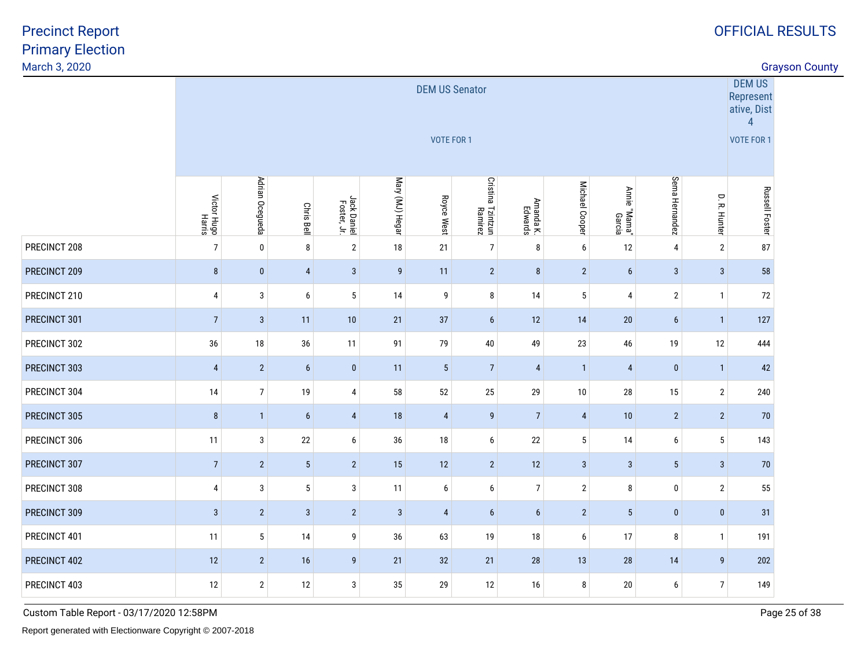discussion of the country of the country of the country of the country of the country of the country of the country of the country of the country of the country of the country of the country of the country of the country o

|              | DEM US<br><b>DEM US Senator</b><br>Represent<br>ative, Dist<br>$\overline{4}$<br><b>VOTE FOR 1</b> |                 |                   |                            |                  |            |                              |                      |                 |                        |                 |                |                       |  |  |
|--------------|----------------------------------------------------------------------------------------------------|-----------------|-------------------|----------------------------|------------------|------------|------------------------------|----------------------|-----------------|------------------------|-----------------|----------------|-----------------------|--|--|
|              |                                                                                                    |                 |                   |                            |                  |            |                              |                      |                 |                        |                 |                | <b>VOTE FOR 1</b>     |  |  |
|              | Victor Hugo<br>Harris                                                                              | Adrian Ocegueda | <b>Chris Bell</b> | Jack Daniel<br>Foster, Jr. | Mary (MJ) Hegar  | Royce West | Cristina Tzintzun<br>Ramirez | Amanda K.<br>Edwards | Michael Cooper  | Annie "Mama"<br>Garcia | Sema Hernandez  | D. R. Hunter   | <b>Russell Foster</b> |  |  |
| PRECINCT 208 | $\overline{7}$                                                                                     | $\mathbf 0$     | 8                 | $\overline{2}$             | 18               | 21         | $\overline{7}$               | 8                    | $6\phantom{a}$  | 12                     | 4               | $\overline{2}$ | 87                    |  |  |
| PRECINCT 209 | $\bf 8$                                                                                            | $\bf{0}$        | $\overline{4}$    | $\mathbf{3}$               | $\boldsymbol{9}$ | 11         | $\overline{2}$               | 8                    | $\overline{2}$  | 6                      | $\mathbf{3}$    | $\mathbf{3}$   | 58                    |  |  |
| PRECINCT 210 | 4                                                                                                  | 3               | 6                 | $5\,$                      | 14               | 9          | $\, 8$                       | 14                   | $5\,$           | 4                      | $\sqrt{2}$      | $\mathbf{1}$   | 72                    |  |  |
| PRECINCT 301 | $\overline{7}$                                                                                     | $\mathbf{3}$    | 11                | 10                         | 21               | 37         | 6                            | 12                   | 14              | 20                     | $6\phantom{1}$  | $\mathbf{1}$   | 127                   |  |  |
| PRECINCT 302 | 36                                                                                                 | 18              | 36                | 11                         | 91               | 79         | 40                           | 49                   | 23              | 46                     | 19              | 12             | 444                   |  |  |
| PRECINCT 303 | $\overline{4}$                                                                                     | $\overline{2}$  | $\boldsymbol{6}$  | $\bf{0}$                   | 11               | $\sqrt{5}$ | $\overline{7}$               | $\overline{4}$       | $\overline{1}$  | $\overline{4}$         | $\bf{0}$        | $\overline{1}$ | 42                    |  |  |
| PRECINCT 304 | 14                                                                                                 | 7               | 19                | 4                          | 58               | 52         | $25\,$                       | 29                   | 10              | 28                     | 15              | $\mathbf{2}$   | 240                   |  |  |
| PRECINCT 305 | $\bf 8$                                                                                            | $\overline{1}$  | $6\phantom{1}$    | $\overline{4}$             | 18               | 4          | $\overline{9}$               | $\overline{7}$       | $\overline{4}$  | 10                     | $\sqrt{2}$      | $\sqrt{2}$     | 70                    |  |  |
| PRECINCT 306 | 11                                                                                                 | 3               | 22                | 6                          | 36               | $18\,$     | 6                            | 22                   | $\sqrt{5}$      | 14                     | 6               | 5              | 143                   |  |  |
| PRECINCT 307 | $\overline{7}$                                                                                     | $\overline{2}$  | $\sqrt{5}$        | $\sqrt{2}$                 | 15               | 12         | $\overline{2}$               | 12                   | $\mathbf{3}$    | $\mathbf{3}$           | $5\phantom{.0}$ | $\mathbf{3}$   | $70\,$                |  |  |
| PRECINCT 308 | 4                                                                                                  | 3               | $\sqrt{5}$        | 3                          | 11               | 6          | 6                            | $\overline{7}$       | $\sqrt{2}$      | 8                      | 0               | $\mathbf{2}$   | 55                    |  |  |
| PRECINCT 309 | $\mathbf{3}$                                                                                       | $\overline{2}$  | $\mathbf{3}$      | $\overline{2}$             | $\mathbf{3}$     | 4          | 6                            | $6\phantom{a}$       | $\overline{2}$  | $5\phantom{.0}$        | $\pmb{0}$       | $\pmb{0}$      | 31                    |  |  |
| PRECINCT 401 | 11                                                                                                 | 5               | 14                | 9                          | 36               | 63         | 19                           | 18                   | $6\phantom{.0}$ | 17                     | 8               | $\mathbf{1}$   | 191                   |  |  |
| PRECINCT 402 | 12                                                                                                 | $\overline{2}$  | 16                | 9                          | 21               | 32         | 21                           | 28                   | 13              | 28                     | 14              | 9              | 202                   |  |  |
| PRECINCT 403 | 12                                                                                                 | $\overline{2}$  | 12                | 3                          | 35               | 29         | 12                           | 16                   | 8               | $20\,$                 | 6               | $\overline{7}$ | 149                   |  |  |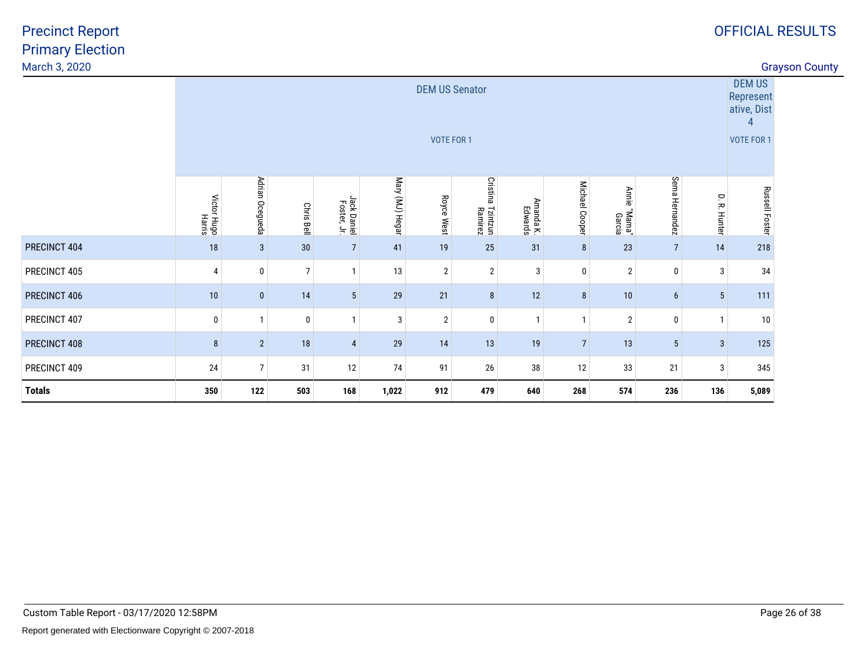discussion of the country of the country of the country of the country of the country of the country of the country of the country of the country of the country of the country of the country of the country of the country o

| PRECINCT 407<br>PRECINCT 408 | $\mathbf 0$<br>8 | $\overline{2}$                                                                                                                                                                                                                                                                  | 0<br>18        | $\mathbf{1}$<br>$\overline{4}$ | 3<br>29 | $\overline{2}$<br>14 | $\mathbf 0$<br>13     | $\mathbf{1}$<br>19 | $\mathbf{1}$<br>$\overline{7}$ | $\overline{2}$<br>13 | $\bf{0}$<br>5  | $\mathbf{1}$<br>$\sqrt{3}$ | 10<br>125                                                           |  |  |
|------------------------------|------------------|---------------------------------------------------------------------------------------------------------------------------------------------------------------------------------------------------------------------------------------------------------------------------------|----------------|--------------------------------|---------|----------------------|-----------------------|--------------------|--------------------------------|----------------------|----------------|----------------------------|---------------------------------------------------------------------|--|--|
| PRECINCT 406                 | 10               | $\mathbf{0}$                                                                                                                                                                                                                                                                    | 14             | $5\phantom{.0}$                | 29      | 21                   | 8                     | 12                 | 8                              | 10                   | $6\phantom{1}$ | $5\phantom{.0}$            | 111                                                                 |  |  |
| PRECINCT 405                 | 4                | $\mathbf 0$                                                                                                                                                                                                                                                                     | $\overline{7}$ | 1                              | 13      | $\overline{2}$       | $\overline{2}$        | 3                  | $\mathbf{0}$                   | $\overline{2}$       | $\mathbf{0}$   | 3                          | 34                                                                  |  |  |
| PRECINCT 404                 | 18               | $\mathbf{3}$<br>$30\,$<br>41<br>25<br>$\overline{7}$<br>$\overline{7}$<br>19<br>31<br>8<br>23<br>14                                                                                                                                                                             |                |                                |         |                      |                       |                    |                                |                      |                |                            |                                                                     |  |  |
|                              |                  | Adrian Ocegueda<br>Sema Hernandez<br>Mary (MJ) Hegar<br><b>Cristina</b><br>Michael Cooper<br><b>Annie</b><br>D. R. Hunter<br>Victor Hugo<br>Harris<br>Royce West<br>Jack Daniel<br>Foster, Jr.<br>Amanda K.<br>Edwards<br>Chris Bell<br>Tzintzun<br>Ramirez<br>"Mama"<br>Garcia |                |                                |         |                      |                       |                    |                                |                      |                |                            |                                                                     |  |  |
|                              |                  |                                                                                                                                                                                                                                                                                 |                |                                |         | <b>VOTE FOR 1</b>    | <b>DEM US Senator</b> |                    |                                |                      |                |                            | <b>DEM US</b><br>Represent<br>ative, Dist<br>4<br><b>VOTE FOR 1</b> |  |  |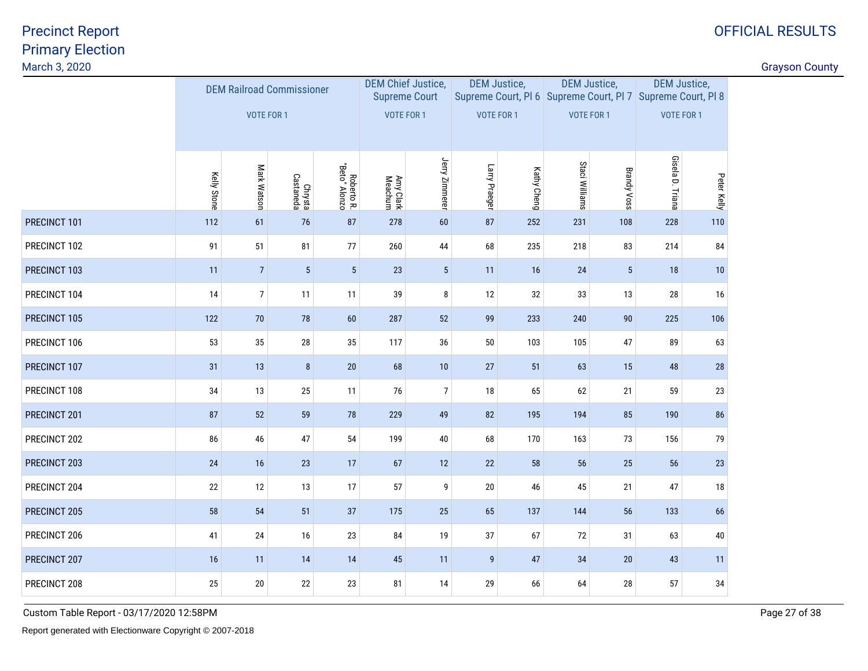| March 3, 2020 |             |                                  |                      |                             |                           |                      |                  |                     |                                                                                    |                    |                     |             | <b>Grayson County</b> |
|---------------|-------------|----------------------------------|----------------------|-----------------------------|---------------------------|----------------------|------------------|---------------------|------------------------------------------------------------------------------------|--------------------|---------------------|-------------|-----------------------|
|               |             | <b>DEM Railroad Commissioner</b> |                      |                             | <b>DEM Chief Justice,</b> | <b>Supreme Court</b> |                  | <b>DEM Justice,</b> | <b>DEM Justice,</b><br>Supreme Court, PI 6 Supreme Court, PI 7 Supreme Court, PI 8 |                    | <b>DEM Justice,</b> |             |                       |
|               |             | <b>VOTE FOR 1</b>                |                      |                             | <b>VOTE FOR 1</b>         |                      | VOTE FOR 1       |                     | <b>VOTE FOR 1</b>                                                                  |                    | <b>VOTE FOR 1</b>   |             |                       |
|               | Kelly Stone | Mark Watson                      | Chrysta<br>Castaneda | Roberto R.<br>"Beto" Alonzo | Amy Clark<br>Meachum      | Jerry Zimmerer       | Larry Praeger    | Kathy Cheng         | Staci Williams                                                                     | <b>Brandy Voss</b> | Gisela D. Triana    | Peter Kelly |                       |
| PRECINCT 101  | 112         | 61                               | 76                   | 87                          | 278                       | 60                   | 87               | 252                 | 231                                                                                | 108                | 228                 | 110         |                       |
| PRECINCT 102  | 91          | 51                               | 81                   | $77\,$                      | 260                       | 44                   | 68               | 235                 | 218                                                                                | 83                 | 214                 | 84          |                       |
| PRECINCT 103  | 11          | $7\overline{ }$                  | $\sqrt{5}$           | $\sqrt{5}$                  | $23\,$                    | $5\phantom{.0}$      | 11               | 16                  | 24                                                                                 | $5\phantom{.0}$    | 18                  | 10          |                       |
| PRECINCT 104  | 14          | $\overline{7}$                   | 11                   | 11                          | 39                        | 8 <sup>1</sup>       | 12               | 32                  | 33                                                                                 | 13                 | 28                  | 16          |                       |
| PRECINCT 105  | 122         | 70                               | 78                   | 60                          | 287                       | 52                   | 99               | 233                 | 240                                                                                | 90                 | 225                 | 106         |                       |
| PRECINCT 106  | 53          | 35                               | 28                   | 35                          | 117                       | $36\,$               | $50\,$           | 103                 | 105                                                                                | 47                 | 89                  | 63          |                       |
| PRECINCT 107  | 31          | 13                               | 8                    | $20\,$                      | 68                        | 10                   | 27               | 51                  | 63                                                                                 | 15                 | 48                  | 28          |                       |
| PRECINCT 108  | 34          | 13                               | 25                   | 11                          | 76                        | $\overline{7}$       | $18\,$           | 65                  | 62                                                                                 | 21                 | 59                  | 23          |                       |
| PRECINCT 201  | 87          | 52                               | 59                   | 78                          | 229                       | 49                   | 82               | 195                 | 194                                                                                | 85                 | 190                 | 86          |                       |
| PRECINCT 202  | 86          | 46                               | $47\,$               | $54\,$                      | 199                       | 40                   | 68               | 170                 | 163                                                                                | 73                 | 156                 | 79          |                       |
| PRECINCT 203  | 24          | 16                               | 23                   | 17                          | 67                        | 12                   | 22               | 58                  | 56                                                                                 | 25                 | 56                  | 23          |                       |
| PRECINCT 204  | 22          | 12                               | 13                   | 17                          | 57                        | 9                    | 20               | 46                  | 45                                                                                 | 21                 | 47                  | 18          |                       |
| PRECINCT 205  | 58          | 54                               | 51                   | 37                          | 175                       | 25                   | 65               | 137                 | 144                                                                                | 56                 | 133                 | 66          |                       |
| PRECINCT 206  | 41          | 24                               | 16                   | 23                          | 84                        | 19                   | 37               | 67                  | 72                                                                                 | 31                 | 63                  | 40          |                       |
| PRECINCT 207  | 16          | 11                               | 14                   | 14                          | 45                        | 11                   | $\boldsymbol{9}$ | 47                  | 34                                                                                 | 20                 | 43                  | 11          |                       |
| PRECINCT 208  | 25          | $20\,$                           | $22\,$               | 23                          | 81                        | 14                   | 29               | 66                  | 64                                                                                 | 28                 | 57                  | $34\,$      |                       |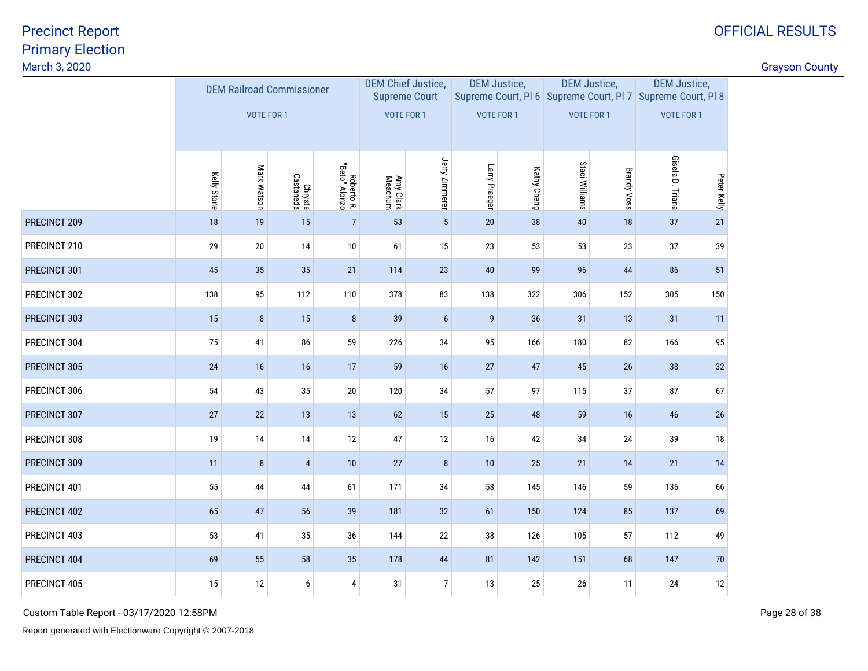| March 3, 2020 |             |                                  |                      |                             |                           |                      |                  |                     |                                                                                    |                    |                     |             | <b>Grayson County</b> |
|---------------|-------------|----------------------------------|----------------------|-----------------------------|---------------------------|----------------------|------------------|---------------------|------------------------------------------------------------------------------------|--------------------|---------------------|-------------|-----------------------|
|               |             | <b>DEM Railroad Commissioner</b> |                      |                             | <b>DEM Chief Justice,</b> | <b>Supreme Court</b> |                  | <b>DEM Justice,</b> | <b>DEM Justice,</b><br>Supreme Court, PI 6 Supreme Court, PI 7 Supreme Court, PI 8 |                    | <b>DEM Justice,</b> |             |                       |
|               |             | <b>VOTE FOR 1</b>                |                      |                             | <b>VOTE FOR 1</b>         |                      | VOTE FOR 1       |                     | <b>VOTE FOR 1</b>                                                                  |                    | <b>VOTE FOR 1</b>   |             |                       |
|               | Kelly Stone | Mark Watson                      | Chrysta<br>Castaneda | Roberto R.<br>"Beto" Alonzo | Amy Clark<br>Meachum      | Jerry Zimmerer       | Larry Praeger    | Kathy Cheng         | Staci Williams                                                                     | <b>Brandy Voss</b> | Gisela D. Triana    | Peter Kelly |                       |
| PRECINCT 209  | $18$        | 19                               | 15                   | $\overline{7}$              | 53                        | $5\phantom{.0}$      | $20\,$           | 38                  | 40                                                                                 | 18                 | 37                  | 21          |                       |
| PRECINCT 210  | 29          | $20\,$                           | 14                   | $10\,$                      | 61                        | 15                   | 23               | 53                  | 53                                                                                 | 23                 | 37                  | 39          |                       |
| PRECINCT 301  | 45          | 35                               | 35                   | $21$                        | 114                       | $23\,$               | 40               | 99                  | 96                                                                                 | 44                 | 86                  | 51          |                       |
| PRECINCT 302  | 138         | 95                               | 112                  | 110                         | 378                       | 83                   | 138              | 322                 | 306                                                                                | 152                | 305                 | 150         |                       |
| PRECINCT 303  | 15          | $\bf 8$                          | 15                   | 8                           | 39                        | $6\phantom{a}$       | $\boldsymbol{9}$ | 36                  | 31                                                                                 | 13                 | 31                  | 11          |                       |
| PRECINCT 304  | 75          | 41                               | 86                   | 59                          | 226                       | 34                   | 95               | 166                 | 180                                                                                | 82                 | 166                 | 95          |                       |
| PRECINCT 305  | 24          | 16                               | 16                   | 17                          | 59                        | 16                   | 27               | 47                  | 45                                                                                 | 26                 | 38                  | 32          |                       |
| PRECINCT 306  | 54          | 43                               | 35                   | $20\,$                      | 120                       | 34                   | 57               | 97                  | 115                                                                                | 37                 | 87                  | 67          |                       |
| PRECINCT 307  | 27          | 22                               | 13                   | 13                          | 62                        | 15                   | 25               | 48                  | 59                                                                                 | 16                 | 46                  | 26          |                       |
| PRECINCT 308  | 19          | 14                               | 14                   | 12                          | 47                        | 12                   | 16               | 42                  | 34                                                                                 | 24                 | 39                  | 18          |                       |
| PRECINCT 309  | 11          | $\bf 8$                          | $\overline{4}$       | $10$                        | $27\,$                    | 8                    | 10               | 25                  | 21                                                                                 | 14                 | 21                  | 14          |                       |
| PRECINCT 401  | 55          | 44                               | 44                   | 61                          | 171                       | 34                   | 58               | 145                 | 146                                                                                | 59                 | 136                 | 66          |                       |
| PRECINCT 402  | 65          | 47                               | 56                   | 39                          | 181                       | 32                   | 61               | 150                 | 124                                                                                | 85                 | 137                 | 69          |                       |
| PRECINCT 403  | 53          | 41                               | 35                   | 36                          | 144                       | 22                   | 38               | 126                 | 105                                                                                | 57                 | 112                 | 49          |                       |
| PRECINCT 404  | 69          | 55                               | 58                   | 35                          | 178                       | $44\,$               | 81               | 142                 | 151                                                                                | 68                 | 147                 | 70          |                       |
| PRECINCT 405  | 15          | 12                               | 6                    | 4                           | 31                        | 7 <sup>1</sup>       | 13               | 25                  | $26\,$                                                                             | 11                 | 24                  | 12          |                       |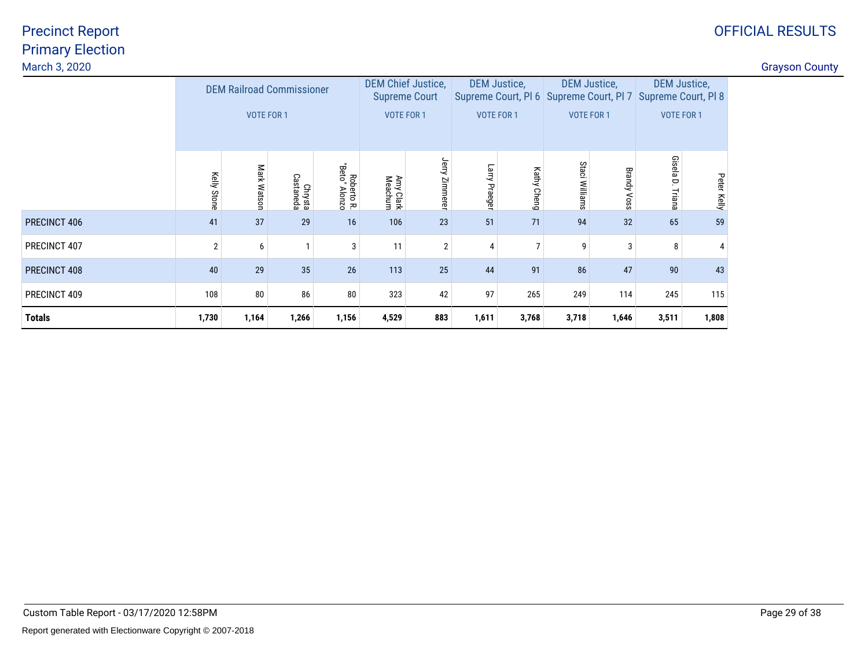| March 3, 2020 |             |                                  |                      |                             |                                                   |                   |                     |                |                   |                     |                                                                                    |             | <b>Grayson County</b> |
|---------------|-------------|----------------------------------|----------------------|-----------------------------|---------------------------------------------------|-------------------|---------------------|----------------|-------------------|---------------------|------------------------------------------------------------------------------------|-------------|-----------------------|
|               |             | <b>DEM Railroad Commissioner</b> |                      |                             | <b>DEM Chief Justice,</b><br><b>Supreme Court</b> |                   | <b>DEM Justice,</b> |                |                   | <b>DEM Justice,</b> | <b>DEM Justice,</b><br>Supreme Court, PI 6 Supreme Court, PI 7 Supreme Court, PI 8 |             |                       |
|               |             | <b>VOTE FOR 1</b>                |                      |                             | <b>VOTE FOR 1</b>                                 |                   | <b>VOTE FOR 1</b>   |                |                   | <b>VOTE FOR 1</b>   | <b>VOTE FOR 1</b>                                                                  |             |                       |
|               | Kelly Stone | Mark<br><b>Watson</b>            | Chrysta<br>Castaneda | Roberto R.<br>"Beto" Alonzo | Amy Clark<br>Meachum                              | Jerry<br>Zimmerer | Larry<br>Praeger    | Kathy<br>Cheng | Staci<br>Williams | B18<br>ਵਿ<br>Voss   | Gisela<br>$\Box$<br>Triana                                                         | Peter Kelly |                       |
| PRECINCT 406  | 41          | 37                               | 29                   | 16                          | 106                                               | 23                | 51                  | 71             | 94                | 32                  | 65                                                                                 | 59          |                       |
| PRECINCT 407  | 2           | 6                                |                      | $\mathbf{3}$                | 11                                                | $\overline{2}$    | 4                   |                | 9                 | 3                   | 8                                                                                  |             |                       |
| PRECINCT 408  | 40          | 29                               | 35                   | 26                          | 113                                               | 25                | 44                  | 91             | 86                | 47                  | 90                                                                                 | 43          |                       |
| PRECINCT 409  | 108         | 80                               | 86                   | 80                          | 323                                               | 42                | 97                  | 265            | 249               | 114                 | 245                                                                                | 115         |                       |
| <b>Totals</b> | 1,730       | 1,164                            | 1,266                | 1,156                       | 4,529                                             | 883               | 1,611               | 3,768          | 3,718             | 1,646               | 3,511                                                                              | 1,808       |                       |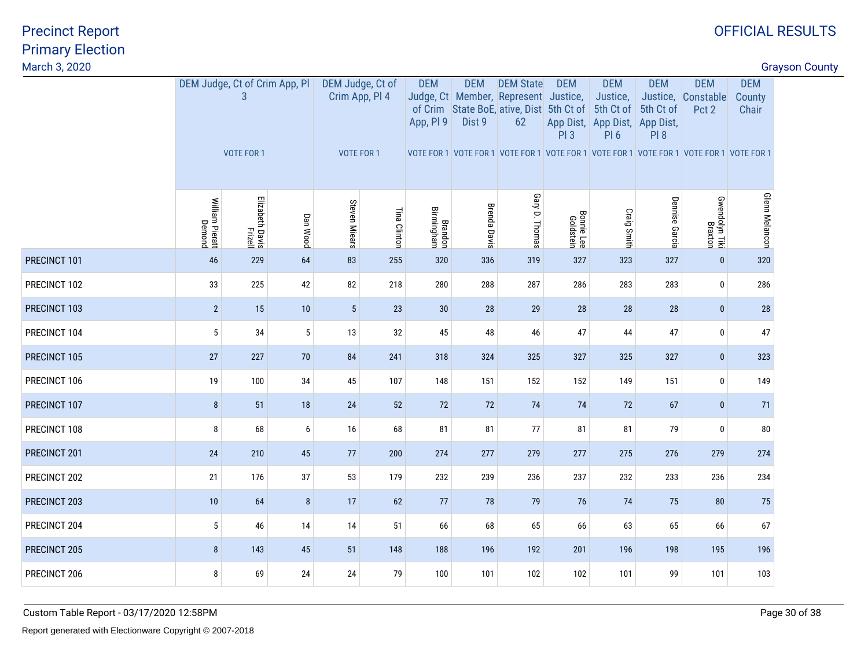| March 3, 2020 |                           |                                    |          |                                    |              |                         |                      |                                                                                                            |                                |                                                                      |                         |                                                                                         |                               | <b>Grayson County</b> |
|---------------|---------------------------|------------------------------------|----------|------------------------------------|--------------|-------------------------|----------------------|------------------------------------------------------------------------------------------------------------|--------------------------------|----------------------------------------------------------------------|-------------------------|-----------------------------------------------------------------------------------------|-------------------------------|-----------------------|
|               |                           | DEM Judge, Ct of Crim App, PI<br>3 |          | DEM Judge, Ct of<br>Crim App, Pl 4 |              | <b>DEM</b><br>App, PI 9 | <b>DEM</b><br>Dist 9 | <b>DEM State</b><br>Judge, Ct Member, Represent Justice,<br>of Crim State BoE, ative, Dist 5th Ct of<br>62 | <b>DEM</b>                     | <b>DEM</b><br>Justice,<br>5th Ct of<br>App Dist, App Dist, App Dist, | <b>DEM</b><br>5th Ct of | <b>DEM</b><br>Justice, Constable<br>Pct 2                                               | <b>DEM</b><br>County<br>Chair |                       |
|               |                           | <b>VOTE FOR 1</b>                  |          | VOTE FOR 1                         |              |                         |                      |                                                                                                            | PI3                            | PI6                                                                  | PI 8                    | VOTE FOR 1 VOTE FOR 1 VOTE FOR 1 VOTE FOR 1 VOTE FOR 1 VOTE FOR 1 VOTE FOR 1 VOTE FOR 1 |                               |                       |
|               | William Pieratt<br>Demond | Elizabeth Davis<br>Frizell         | Dan Wood | Steven Miears                      | Tina Clinton | Brandon<br>Birmingham   | <b>Brenda Davis</b>  | Gary D. Thomas                                                                                             | <b>Bonnie Lee</b><br>Goldstein | Craig Smith                                                          | Dennise Garcia          | Gwendolyn Tiki<br>Braxton                                                               | <b>Glenn Melancon</b>         |                       |
| PRECINCT 101  | 46                        | 229                                | 64       | 83                                 | 255          | 320                     | 336                  | 319                                                                                                        | 327                            | 323                                                                  | 327                     | $\mathbf{0}$                                                                            | 320                           |                       |
| PRECINCT 102  | 33                        | 225                                | 42       | 82                                 | 218          | 280                     | 288                  | 287                                                                                                        | 286                            | 283                                                                  | 283                     | $\mathbf 0$                                                                             | 286                           |                       |
| PRECINCT 103  | $\overline{2}$            | 15                                 | 10       | $5\phantom{.0}$                    | 23           | 30                      | 28                   | 29                                                                                                         | 28                             | 28                                                                   | 28                      | $\bf{0}$                                                                                | 28                            |                       |
| PRECINCT 104  | 5                         | 34                                 | $5\,$    | 13                                 | $32\,$       | 45                      | 48                   | 46                                                                                                         | 47                             | 44                                                                   | 47                      | $\bm{0}$                                                                                | 47                            |                       |
| PRECINCT 105  | 27                        | 227                                | 70       | 84                                 | 241          | 318                     | 324                  | 325                                                                                                        | 327                            | 325                                                                  | 327                     | $\bf{0}$                                                                                | 323                           |                       |
| PRECINCT 106  | 19                        | 100                                | $34\,$   | 45                                 | 107          | 148                     | 151                  | 152                                                                                                        | 152                            | 149                                                                  | 151                     | $\bf{0}$                                                                                | 149                           |                       |
| PRECINCT 107  | $\bf 8$                   | 51                                 | 18       | 24                                 | 52           | 72                      | 72                   | 74                                                                                                         | 74                             | 72                                                                   | 67                      | $\mathbf{0}$                                                                            | 71                            |                       |
| PRECINCT 108  | 8                         | 68                                 | 6        | 16                                 | 68           | 81                      | 81                   | 77                                                                                                         | 81                             | 81                                                                   | 79                      | $\pmb{0}$                                                                               | 80                            |                       |
| PRECINCT 201  | 24                        | 210                                | 45       | 77                                 | 200          | 274                     | 277                  | 279                                                                                                        | 277                            | 275                                                                  | 276                     | 279                                                                                     | 274                           |                       |
| PRECINCT 202  | 21                        | 176                                | 37       | 53                                 | 179          | 232                     | 239                  | 236                                                                                                        | 237                            | 232                                                                  | 233                     | 236                                                                                     | 234                           |                       |
| PRECINCT 203  | 10                        | 64                                 | 8        | 17                                 | 62           | 77                      | 78                   | 79                                                                                                         | 76                             | 74                                                                   | 75                      | 80                                                                                      | 75                            |                       |
| PRECINCT 204  | 5                         | 46                                 | 14       | 14                                 | 51           | 66                      | 68                   | 65                                                                                                         | 66                             | 63                                                                   | 65                      | 66                                                                                      | 67                            |                       |
| PRECINCT 205  | 8                         | 143                                | 45       | 51                                 | 148          | 188                     | 196                  | 192                                                                                                        | 201                            | 196                                                                  | 198                     | 195                                                                                     | 196                           |                       |
| PRECINCT 206  | 8                         | 69                                 | 24       | 24                                 | 79           | 100                     | 101                  | 102                                                                                                        | 102                            | 101                                                                  | 99                      | 101                                                                                     | 103                           |                       |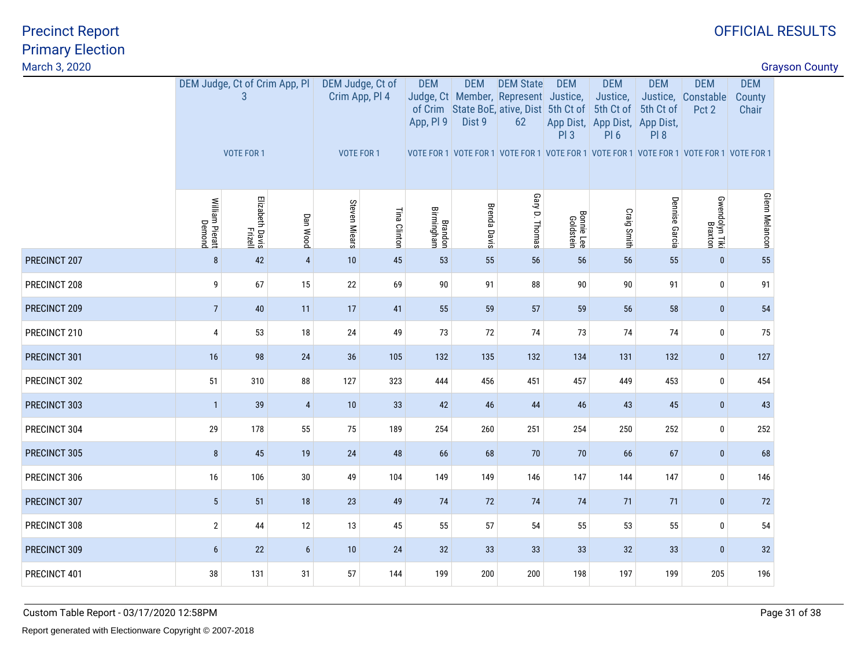| March 3, 2020 |                           |                                    |                 |                                    |              |                         |                      |                                                                                                            |                                |                                                                      |                         |                                                                                         | <b>Grayson County</b>         |  |
|---------------|---------------------------|------------------------------------|-----------------|------------------------------------|--------------|-------------------------|----------------------|------------------------------------------------------------------------------------------------------------|--------------------------------|----------------------------------------------------------------------|-------------------------|-----------------------------------------------------------------------------------------|-------------------------------|--|
|               |                           | DEM Judge, Ct of Crim App, PI<br>3 |                 | DEM Judge, Ct of<br>Crim App, Pl 4 |              | <b>DEM</b><br>App, PI 9 | <b>DEM</b><br>Dist 9 | <b>DEM State</b><br>Judge, Ct Member, Represent Justice,<br>of Crim State BoE, ative, Dist 5th Ct of<br>62 | <b>DEM</b>                     | <b>DEM</b><br>Justice,<br>5th Ct of<br>App Dist, App Dist, App Dist, | <b>DEM</b><br>5th Ct of | <b>DEM</b><br>Justice, Constable<br>Pct 2                                               | <b>DEM</b><br>County<br>Chair |  |
|               |                           | <b>VOTE FOR 1</b>                  |                 | VOTE FOR 1                         |              |                         |                      |                                                                                                            | PI3                            | <b>PI6</b>                                                           | PI 8                    | VOTE FOR 1 VOTE FOR 1 VOTE FOR 1 VOTE FOR 1 VOTE FOR 1 VOTE FOR 1 VOTE FOR 1 VOTE FOR 1 |                               |  |
|               | William Pieratt<br>Demond | Elizabeth Davis<br>Frizell         | Dan Wood        | Steven Miears                      | Tina Clinton | Brandon<br>Birmingham   | <b>Brenda Davis</b>  | Gary D. Thomas                                                                                             | <b>Bonnie Lee</b><br>Goldstein | Craig Smith                                                          | Dennise Garcia          | Gwendolyn Tiki<br>Braxton                                                               | <b>Glenn Melancon</b>         |  |
| PRECINCT 207  | 8                         | 42                                 | $\overline{4}$  | 10                                 | 45           | 53                      | 55                   | 56                                                                                                         | 56                             | 56                                                                   | 55                      | $\mathbf{0}$                                                                            | 55                            |  |
| PRECINCT 208  | 9                         | 67                                 | 15              | $22\,$                             | 69           | 90                      | 91                   | 88                                                                                                         | 90                             | $90\,$                                                               | 91                      | $\pmb{0}$                                                                               | 91                            |  |
| PRECINCT 209  | $\overline{7}$            | 40                                 | 11              | 17                                 | 41           | 55                      | 59                   | 57                                                                                                         | 59                             | 56                                                                   | 58                      | $\bf{0}$                                                                                | 54                            |  |
| PRECINCT 210  | $\overline{4}$            | 53                                 | 18              | 24                                 | 49           | 73                      | 72                   | 74                                                                                                         | 73                             | 74                                                                   | 74                      | $\mathbf 0$                                                                             | 75                            |  |
| PRECINCT 301  | 16                        | 98                                 | 24              | 36                                 | 105          | 132                     | 135                  | 132                                                                                                        | 134                            | 131                                                                  | 132                     | $\bf{0}$                                                                                | 127                           |  |
| PRECINCT 302  | 51                        | 310                                | 88              | 127                                | 323          | 444                     | 456                  | 451                                                                                                        | 457                            | 449                                                                  | 453                     | $\pmb{0}$                                                                               | 454                           |  |
| PRECINCT 303  | $\mathbf{1}$              | 39                                 | $\overline{4}$  | 10                                 | 33           | 42                      | 46                   | 44                                                                                                         | 46                             | 43                                                                   | 45                      | $\bf{0}$                                                                                | 43                            |  |
| PRECINCT 304  | 29                        | 178                                | 55              | 75                                 | 189          | 254                     | 260                  | 251                                                                                                        | 254                            | 250                                                                  | 252                     | $\bf{0}$                                                                                | 252                           |  |
| PRECINCT 305  | 8                         | 45                                 | 19              | 24                                 | 48           | 66                      | 68                   | 70                                                                                                         | 70                             | 66                                                                   | 67                      | $\bf{0}$                                                                                | 68                            |  |
| PRECINCT 306  | 16                        | 106                                | 30              | 49                                 | 104          | 149                     | 149                  | 146                                                                                                        | 147                            | 144                                                                  | 147                     | $\bf{0}$                                                                                | 146                           |  |
| PRECINCT 307  | $5\phantom{.0}$           | 51                                 | 18              | 23                                 | 49           | 74                      | 72                   | 74                                                                                                         | 74                             | 71                                                                   | 71                      | $\bf{0}$                                                                                | 72                            |  |
| PRECINCT 308  | $\overline{2}$            | 44                                 | 12              | 13                                 | 45           | 55                      | 57                   | 54                                                                                                         | 55                             | 53                                                                   | 55                      | $\bf{0}$                                                                                | 54                            |  |
| PRECINCT 309  | $6\phantom{1}$            | 22                                 | $6\phantom{.}6$ | 10                                 | 24           | 32                      | 33                   | 33                                                                                                         | 33                             | 32                                                                   | 33                      | $\bf{0}$                                                                                | 32                            |  |
| PRECINCT 401  | 38                        | 131                                | 31              | 57                                 | 144          | 199                     | 200                  | 200                                                                                                        | 198                            | 197                                                                  | 199                     | 205                                                                                     | 196                           |  |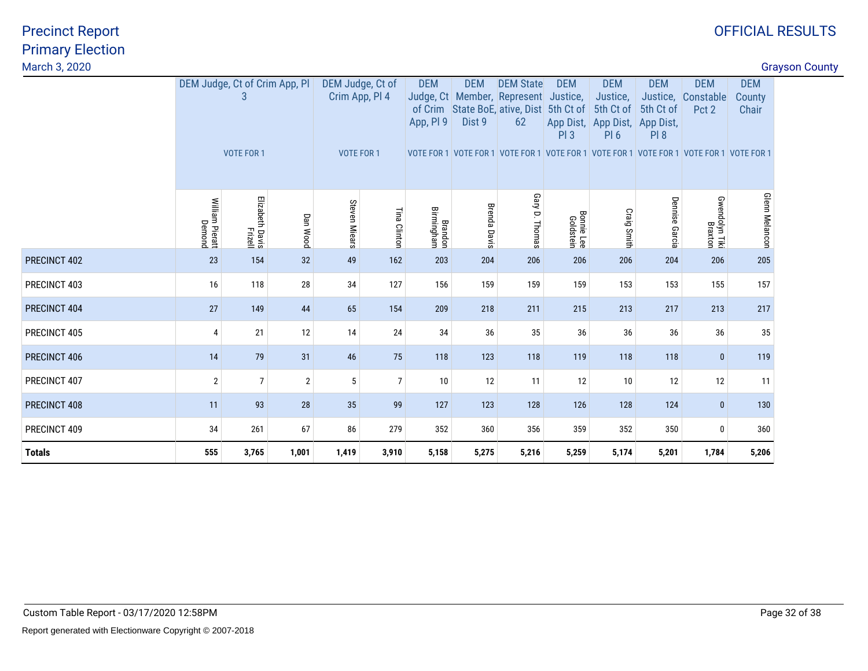| March 3, 2020 |                               |                            |                |               |                                                         |                         |                      |                                                                                                            |                                |                                                                                         |                                 |                                                                                                                                      |                               | <b>Grayson County</b> |
|---------------|-------------------------------|----------------------------|----------------|---------------|---------------------------------------------------------|-------------------------|----------------------|------------------------------------------------------------------------------------------------------------|--------------------------------|-----------------------------------------------------------------------------------------|---------------------------------|--------------------------------------------------------------------------------------------------------------------------------------|-------------------------------|-----------------------|
|               | DEM Judge, Ct of Crim App, Pl | 3<br>VOTE FOR 1            |                |               | DEM Judge, Ct of<br>Crim App, Pl 4<br><b>VOTE FOR 1</b> | <b>DEM</b><br>App, PI 9 | <b>DEM</b><br>Dist 9 | <b>DEM State</b><br>Judge, Ct Member, Represent Justice,<br>of Crim State BoE, ative, Dist 5th Ct of<br>62 | <b>DEM</b><br>PI3              | <b>DEM</b><br>Justice,<br>5th Ct of<br>App Dist, App Dist, App Dist,<br>PI <sub>6</sub> | <b>DEM</b><br>5th Ct of<br>PI 8 | <b>DEM</b><br>Justice, Constable<br>Pct 2<br>VOTE FOR 1 VOTE FOR 1 VOTE FOR 1 VOTE FOR 1 VOTE FOR 1 VOTE FOR 1 VOTE FOR 1 VOTE FOR 1 | <b>DEM</b><br>County<br>Chair |                       |
|               | William Pieratt<br>Demond     | Elizabeth Davis<br>Frizell | Dan Wood       | Steven Miears | Tina Clinton                                            | Brandon<br>Birmingham   | <b>Brenda Davis</b>  | Gary D. Thomas                                                                                             | <b>Bonnie Lee</b><br>Goldstein | Craig Smith                                                                             | Dennise Garcia                  | Gwendolyn Tiki<br>Braxton                                                                                                            | <b>Glenn Melancon</b>         |                       |
| PRECINCT 402  | 23                            | 154                        | 32             | 49            | 162                                                     | 203                     | 204                  | 206                                                                                                        | 206                            | 206                                                                                     | 204                             | 206                                                                                                                                  | 205                           |                       |
| PRECINCT 403  | 16                            | 118                        | 28             | 34            | 127                                                     | 156                     | 159                  | 159                                                                                                        | 159                            | 153                                                                                     | 153                             | 155                                                                                                                                  | 157                           |                       |
| PRECINCT 404  | 27                            | 149                        | 44             | 65            | 154                                                     | 209                     | 218                  | 211                                                                                                        | 215                            | 213                                                                                     | 217                             | 213                                                                                                                                  | 217                           |                       |
| PRECINCT 405  | 4                             | 21                         | 12             | 14            | 24                                                      | 34                      | 36                   | 35                                                                                                         | 36                             | 36                                                                                      | 36                              | 36                                                                                                                                   | 35                            |                       |
| PRECINCT 406  | 14                            | 79                         | 31             | 46            | 75                                                      | 118                     | 123                  | 118                                                                                                        | 119                            | 118                                                                                     | 118                             | $\mathbf{0}$                                                                                                                         | 119                           |                       |
| PRECINCT 407  | $\overline{2}$                | $\overline{7}$             | $\overline{2}$ | 5             | $\overline{7}$                                          | 10                      | 12                   | 11                                                                                                         | 12                             | 10                                                                                      | 12                              | 12                                                                                                                                   | 11                            |                       |
| PRECINCT 408  | 11                            | 93                         | 28             | 35            | 99                                                      | 127                     | 123                  | 128                                                                                                        | 126                            | 128                                                                                     | 124                             | $\mathbf{0}$                                                                                                                         | 130                           |                       |
| PRECINCT 409  | 34                            | 261                        | 67             | 86            | 279                                                     | 352                     | 360                  | 356                                                                                                        | 359                            | 352                                                                                     | 350                             | $\bf{0}$                                                                                                                             | 360                           |                       |
| <b>Totals</b> | 555                           | 3,765                      | 1,001          | 1,419         | 3,910                                                   | 5,158                   | 5,275                | 5,216                                                                                                      | 5,259                          | 5,174                                                                                   | 5,201                           | 1,784                                                                                                                                | 5,206                         |                       |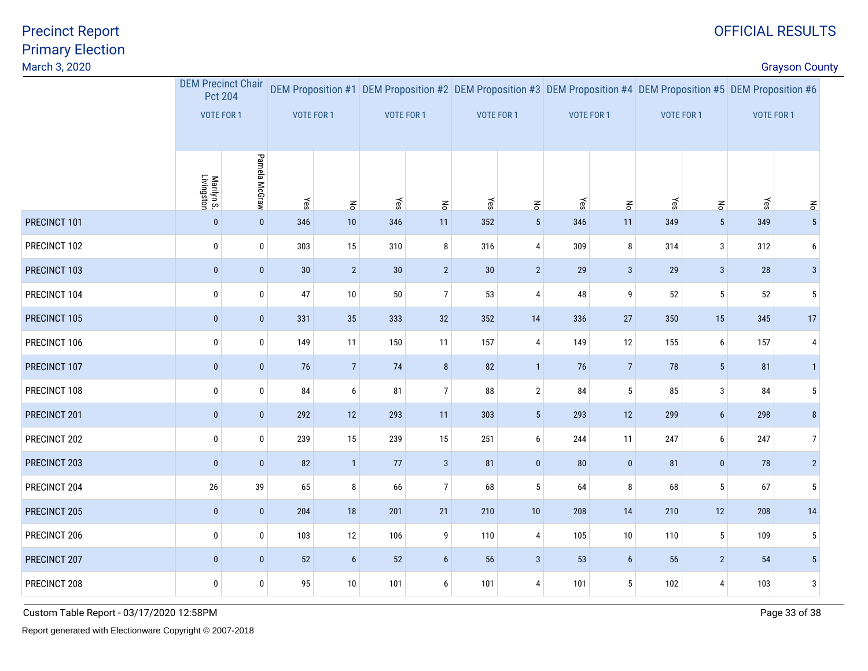discussion of the country of the country of the country of the country of the country of the country of the country of the country of the country of the country of the country of the country of the country of the country o

|              | <b>DEM Precinct Chair</b><br><b>Pct 204</b> |               |                   |                    |            |                |            |                           |                   |                |                   |                 | DEM Proposition #1 DEM Proposition #2 DEM Proposition #3 DEM Proposition #4 DEM Proposition #5 DEM Proposition #6 |                 |
|--------------|---------------------------------------------|---------------|-------------------|--------------------|------------|----------------|------------|---------------------------|-------------------|----------------|-------------------|-----------------|-------------------------------------------------------------------------------------------------------------------|-----------------|
|              | VOTE FOR 1                                  |               | <b>VOTE FOR 1</b> |                    | VOTE FOR 1 |                | VOTE FOR 1 |                           | <b>VOTE FOR 1</b> |                | <b>VOTE FOR 1</b> |                 | VOTE FOR 1                                                                                                        |                 |
|              |                                             |               |                   |                    |            |                |            |                           |                   |                |                   |                 |                                                                                                                   |                 |
|              | Marilyn S.<br>Livingston                    | Pamela McGraw | Yes               | $\mathsf{S}% _{T}$ | Yes        | $\mathbf{g}$   | $\chi$ es  | $\mathbf{r}_{\mathbf{S}}$ | Yes               | $\mathbf{g}$   | Yes               | $\mathsf{S}$    | Yes                                                                                                               | $\epsilon$      |
| PRECINCT 101 | $\pmb{0}$                                   | $\pmb{0}$     | 346               | $10$               | 346        | 11             | 352        | $5\phantom{.0}$           | 346               | 11             | 349               | $5\phantom{.0}$ | 349                                                                                                               | 5 <sup>5</sup>  |
| PRECINCT 102 | 0                                           | $\pmb{0}$     | 303               | 15                 | 310        | 8              | 316        | $\overline{4}$            | 309               | 8              | 314               | $\mathbf{3}$    | 312                                                                                                               | 6               |
| PRECINCT 103 | $\pmb{0}$                                   | $\pmb{0}$     | $30\,$            | $\sqrt{2}$         | 30         | $\overline{2}$ | 30         | $\overline{2}$            | 29                | $\mathbf{3}$   | 29                | $\mathbf{3}$    | 28                                                                                                                | $\mathbf{3}$    |
| PRECINCT 104 | 0                                           | $\pmb{0}$     | 47                | 10                 | 50         | $\overline{7}$ | 53         | 4                         | 48                | 9              | 52                | $5\phantom{.0}$ | 52                                                                                                                | 5               |
| PRECINCT 105 | $\pmb{0}$                                   | $\pmb{0}$     | 331               | 35                 | 333        | 32             | 352        | $14$                      | 336               | $27\,$         | 350               | 15              | 345                                                                                                               | 17              |
| PRECINCT 106 | 0                                           | $\pmb{0}$     | 149               | 11                 | 150        | 11             | 157        | 4                         | 149               | 12             | 155               | 6               | 157                                                                                                               | 4               |
| PRECINCT 107 | $\pmb{0}$                                   | $\pmb{0}$     | 76                | $7\overline{ }$    | 74         | 8              | 82         | $\mathbf{1}$              | 76                | $\sqrt{7}$     | 78                | 5 <sup>5</sup>  | 81                                                                                                                | $\mathbf{1}$    |
| PRECINCT 108 | 0                                           | $\pmb{0}$     | 84                | 6                  | 81         | $\overline{7}$ | 88         | $\mathbf{2}$              | 84                | 5              | 85                | 3               | 84                                                                                                                | 5               |
| PRECINCT 201 | $\pmb{0}$                                   | $\pmb{0}$     | 292               | 12                 | 293        | 11             | 303        | $5\phantom{.0}$           | 293               | 12             | 299               | $6\overline{6}$ | 298                                                                                                               | 8               |
| PRECINCT 202 | 0                                           | $\pmb{0}$     | 239               | 15                 | 239        | 15             | 251        | 6                         | 244               | 11             | 247               | 6               | 247                                                                                                               | $\overline{7}$  |
| PRECINCT 203 | $\pmb{0}$                                   | $\mathbf{0}$  | 82                | $\mathbf{1}$       | 77         | $\mathbf{3}$   | 81         | $\bf{0}$                  | 80                | $\pmb{0}$      | 81                | $\mathbf{0}$    | 78                                                                                                                | $\overline{2}$  |
| PRECINCT 204 | $26\,$                                      | 39            | 65                | 8                  | 66         | $\overline{7}$ | 68         | 5                         | 64                | 8              | 68                | $5\phantom{.0}$ | 67                                                                                                                | 5               |
| PRECINCT 205 | $\pmb{0}$                                   | $\pmb{0}$     | 204               | $18$               | 201        | 21             | 210        | $10$                      | 208               | 14             | 210               | 12              | 208                                                                                                               | $14$            |
| PRECINCT 206 | 0                                           | $\pmb{0}$     | 103               | 12                 | 106        | 9              | 110        | $\overline{4}$            | 105               | 10             | 110               | $5\phantom{.0}$ | 109                                                                                                               | 5               |
| PRECINCT 207 | $\bf{0}$                                    | $\pmb{0}$     | 52                | $6\phantom{.0}$    | $52\,$     | $6\phantom{a}$ | 56         | $\mathbf{3}$              | 53                | $6\phantom{1}$ | 56                | $2^{\circ}$     | 54                                                                                                                | $5\phantom{.0}$ |
| PRECINCT 208 | 0                                           | $\mathbf 0$   | 95                | 10                 | 101        | 6              | 101        | 4                         | 101               | 5              | 102               | 4               | 103                                                                                                               | 3               |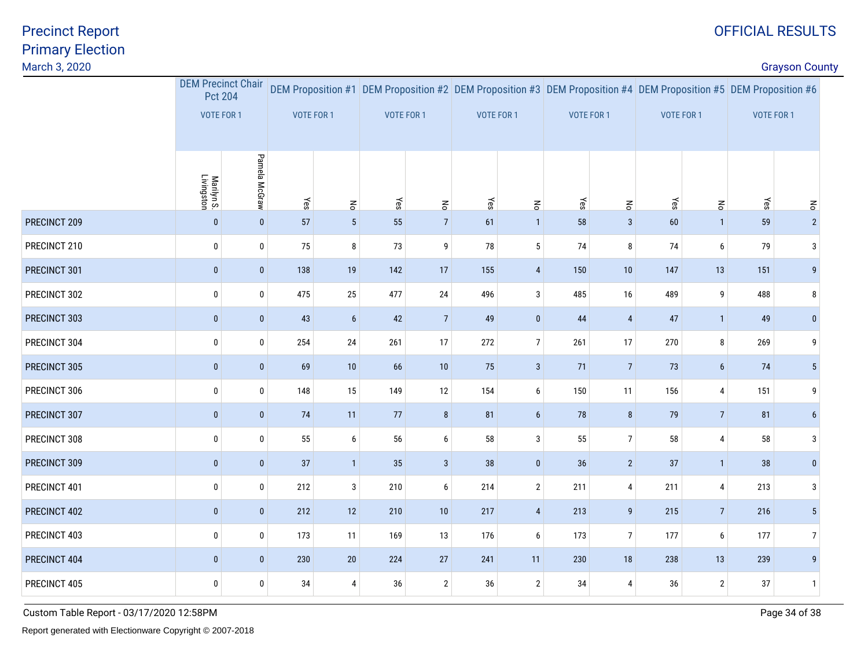discussion of the country of the country of the country of the country of the country of the country of the country of the country of the country of the country of the country of the country of the country of the country o

|              | <b>DEM Precinct Chair</b><br><b>Pct 204</b><br>VOTE FOR 1 |                | VOTE FOR 1 |                 | DEM Proposition #1 DEM Proposition #2 DEM Proposition #3 DEM Proposition #4 DEM Proposition #5 DEM Proposition #6<br>VOTE FOR 1 |                | VOTE FOR 1 |                       | VOTE FOR 1 |                | VOTE FOR 1 |                | VOTE FOR 1 |                 |
|--------------|-----------------------------------------------------------|----------------|------------|-----------------|---------------------------------------------------------------------------------------------------------------------------------|----------------|------------|-----------------------|------------|----------------|------------|----------------|------------|-----------------|
|              |                                                           |                |            |                 |                                                                                                                                 |                |            |                       |            |                |            |                |            |                 |
|              |                                                           |                |            |                 |                                                                                                                                 |                |            |                       |            |                |            |                |            |                 |
|              | Marilyn S.<br>Livingston                                  | Pamela McGraw  | Yes        | $\mathbf{g}$    | $\leq$                                                                                                                          | $\mathbf{g}$   | Yes        | $\overline{\epsilon}$ | Yes        | $\overline{5}$ | $\leq$ ss  | $\mathbf{g}$   | Yes        | $\epsilon$      |
| PRECINCT 209 | $\pmb{0}$                                                 | $\mathbf{0}$   | 57         | $5\phantom{.0}$ | 55                                                                                                                              | $\overline{7}$ | 61         | $\mathbf{1}$          | 58         | $\sqrt{3}$     | 60         | $\overline{1}$ | 59         | 2 <sup>2</sup>  |
| PRECINCT 210 | $\pmb{0}$                                                 | $\mathbf{0}$   | 75         | 8               | 73                                                                                                                              | 9              | 78         | $5\phantom{.0}$       | $74$       | 8              | 74         | 6              | 79         | 3               |
| PRECINCT 301 | $\pmb{0}$                                                 | $\overline{0}$ | 138        | 19              | 142                                                                                                                             | 17             | 155        | $\overline{4}$        | 150        | 10             | 147        | 13             | 151        | 9               |
| PRECINCT 302 | $\pmb{0}$                                                 | $\pmb{0}$      | 475        | 25              | 477                                                                                                                             | 24             | 496        | $\mathbf{3}$          | 485        | 16             | 489        | 9              | 488        | 8               |
| PRECINCT 303 | $\mathbf 0$                                               | $\bf{0}$       | 43         | $6\phantom{1}$  | 42                                                                                                                              | $\overline{7}$ | 49         | $\mathbf{0}$          | 44         | $\overline{4}$ | 47         | $\overline{1}$ | 49         | $\mathbf{0}$    |
| PRECINCT 304 | $\pmb{0}$                                                 | $\mathbf{0}$   | 254        | 24              | 261                                                                                                                             | 17             | 272        | 7 <sup>1</sup>        | 261        | 17             | 270        | 8              | 269        | 9               |
| PRECINCT 305 | $\pmb{0}$                                                 | $\pmb{0}$      | 69         | 10              | 66                                                                                                                              | 10             | 75         | $\mathbf{3}$          | 71         | $\overline{7}$ | 73         | $6\phantom{.}$ | 74         | 5 <sup>1</sup>  |
| PRECINCT 306 | $\pmb{0}$                                                 | $\pmb{0}$      | 148        | 15              | 149                                                                                                                             | 12             | 154        | 6                     | 150        | 11             | 156        | 4              | 151        | 9               |
| PRECINCT 307 | $\mathbf 0$                                               | $\overline{0}$ | 74         | 11              | 77                                                                                                                              | 8              | 81         | $6\overline{6}$       | 78         | $\bf 8$        | 79         | $\overline{7}$ | 81         | $6\overline{6}$ |
| PRECINCT 308 | $\pmb{0}$                                                 | $\mathbf{0}$   | 55         | 6               | 56                                                                                                                              | 6              | 58         | 3                     | 55         | $\overline{7}$ | 58         | 4              | 58         | 3               |
| PRECINCT 309 | $\mathbf 0$                                               | $\pmb{0}$      | 37         | 1               | 35                                                                                                                              | $\mathbf{3}$   | 38         | $\bf{0}$              | 36         | $\overline{2}$ | 37         | $\overline{1}$ | 38         | $\mathbf{0}$    |
| PRECINCT 401 | $\pmb{0}$                                                 | $\mathbf{0}$   | 212        | $\mathbf{3}$    | 210                                                                                                                             | 6              | 214        | $\overline{2}$        | 211        | $\overline{4}$ | 211        | 4              | 213        | 3               |
| PRECINCT 402 | $\bf{0}$                                                  | $\overline{0}$ | 212        | 12              | 210                                                                                                                             | $10$           | 217        | 4                     | 213        | 9              | 215        | 7              | 216        | 5 <sup>1</sup>  |
| PRECINCT 403 | $\pmb{0}$                                                 | $\mathbf{0}$   | 173        | 11              | 169                                                                                                                             | 13             | 176        | $6\phantom{.0}$       | 173        | $\overline{7}$ | 177        | 6              | 177        | $\overline{7}$  |
| PRECINCT 404 | $\pmb{0}$                                                 | $\mathbf{0}$   | 230        | $20\,$          | 224                                                                                                                             | $27\,$         | 241        | 11                    | 230        | 18             | 238        | 13             | 239        | 9               |
| PRECINCT 405 | $\pmb{0}$                                                 | 0              | 34         | 4               | 36                                                                                                                              | $\sqrt{2}$     | 36         | $\overline{2}$        | 34         | 4              | 36         | $\overline{2}$ | $37\,$     | $\mathbf{1}$    |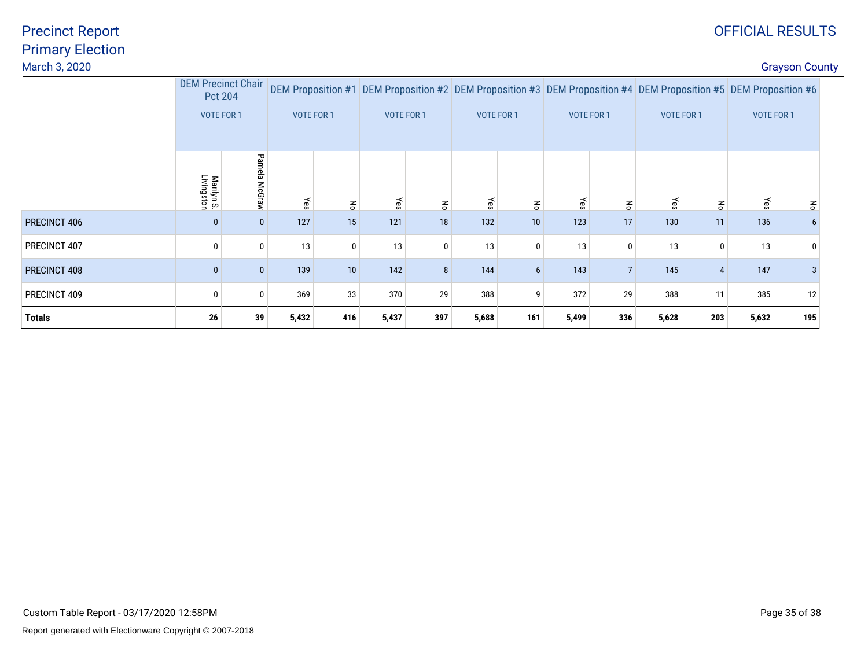# OFFICIAL RESULTS

discussion of the country of the country of the country of the country of the country of the country of the country of the country of the country of the country of the country of the country of the country of the country o

|               | <b>DEM Precinct Chair</b><br>Pct 204 |               | <b>VOTE FOR 1</b> |              | DEM Proposition #1 DEM Proposition #2 DEM Proposition #3 DEM Proposition #4 DEM Proposition #5 DEM Proposition #6<br>VOTE FOR 1<br><b>VOTE FOR 1</b> |              |       |                 |                   |                |                   |            |                   |                 |
|---------------|--------------------------------------|---------------|-------------------|--------------|------------------------------------------------------------------------------------------------------------------------------------------------------|--------------|-------|-----------------|-------------------|----------------|-------------------|------------|-------------------|-----------------|
|               | VOTE FOR 1                           |               |                   |              |                                                                                                                                                      |              |       |                 | <b>VOTE FOR 1</b> |                | <b>VOTE FOR 1</b> |            | <b>VOTE FOR 1</b> |                 |
|               | Marilyn S.<br>Livingston             | Pamela McGraw | Yes               | $\mathbf{g}$ | Yes                                                                                                                                                  | $\mathbf{g}$ | Yes   | $\mathbf{g}$    | Yes               | $\mathbf{g}$   | Yes               | $\epsilon$ | yes               | $\epsilon$      |
| PRECINCT 406  | 0                                    | $\mathbf{0}$  | 127               | 15           | 121                                                                                                                                                  | 18           | 132   | 10              | 123               | 17             | 130               | 11         | 136               | $6\phantom{.0}$ |
| PRECINCT 407  | 0                                    | 0             | 13                |              | 13                                                                                                                                                   | $\mathbf 0$  | 13    | 0               | 13                | $\mathbf{0}$   | 13                | $\Omega$   | 13                | 0               |
| PRECINCT 408  | $\mathbf{0}$                         | $\mathbf{0}$  | 139               | 10           | 142                                                                                                                                                  | 8            | 144   | $6\overline{6}$ | 143               | $\overline{7}$ | 145               |            | 147               | 3 <sup>1</sup>  |
| PRECINCT 409  | 0                                    | 0             | 369               | 33           | 370                                                                                                                                                  | 29           | 388   | 9               | 372               | 29             | 388               | 11         | 385               | 12              |
| <b>Totals</b> | 26                                   | 39            | 5,432             | 416          | 5,437                                                                                                                                                | 397          | 5,688 | 161             | 5,499             | 336            | 5,628             | 203        | 5,632             | 195             |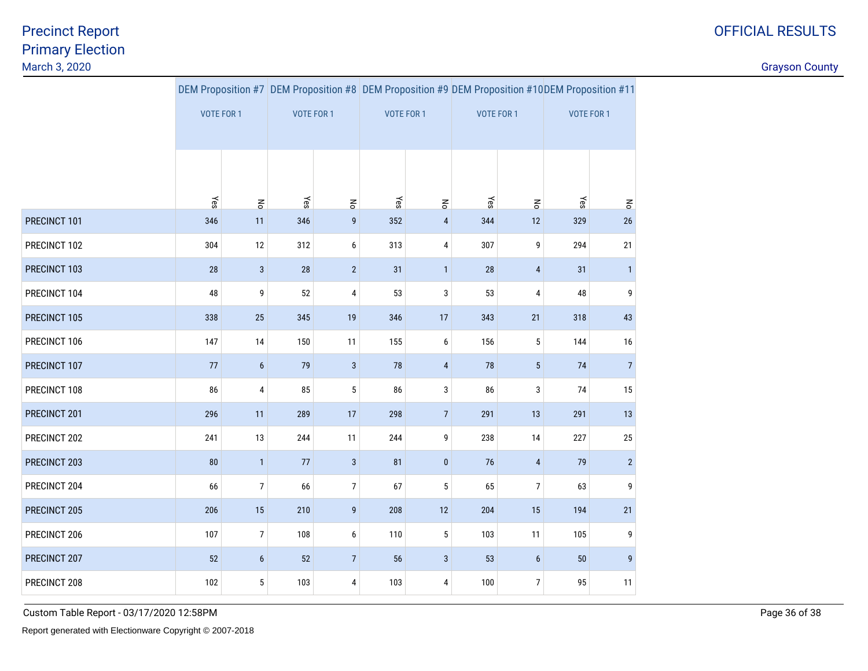discussion of the country of the country of the country of the country of the country of the country of the country of the country of the country of the country of the country of the country of the country of the country o

|              |            |                  |            |                       |            |                       | DEM Proposition #7 DEM Proposition #8 DEM Proposition #9 DEM Proposition #10DEM Proposition #11 |                       |                   |                         |  |
|--------------|------------|------------------|------------|-----------------------|------------|-----------------------|-------------------------------------------------------------------------------------------------|-----------------------|-------------------|-------------------------|--|
|              | VOTE FOR 1 |                  | VOTE FOR 1 |                       | VOTE FOR 1 |                       | VOTE FOR 1                                                                                      |                       | <b>VOTE FOR 1</b> |                         |  |
|              |            |                  |            |                       |            |                       |                                                                                                 |                       |                   |                         |  |
|              |            |                  |            |                       |            |                       |                                                                                                 |                       |                   |                         |  |
|              |            |                  |            |                       |            |                       |                                                                                                 |                       |                   |                         |  |
|              | Yes        | $\mathsf{R}$     | Yes        | $\mathop{\mathsf{S}}$ | Yes        | $\mathop{\mathsf{S}}$ | Yes                                                                                             | $\mathop{\mathsf{S}}$ | Yes               | $\mathbf{r}_\mathbf{0}$ |  |
| PRECINCT 101 | 346        | 11               | 346        | $\boldsymbol{9}$      | 352        | $\overline{4}$        | 344                                                                                             | 12                    | 329               | 26                      |  |
| PRECINCT 102 | 304        | 12               | 312        | 6                     | 313        | 4                     | 307                                                                                             | $\boldsymbol{9}$      | 294               | 21                      |  |
| PRECINCT 103 | 28         | $\sqrt{3}$       | 28         | $\overline{2}$        | 31         | $\mathbf{1}$          | 28                                                                                              | $\overline{4}$        | 31                | $\mathbf{1}$            |  |
| PRECINCT 104 | 48         | 9                | 52         | $\sqrt{4}$            | 53         | 3                     | 53                                                                                              | $\overline{4}$        | 48                | 9                       |  |
| PRECINCT 105 | 338        | 25               | 345        | 19                    | 346        | 17                    | 343                                                                                             | 21                    | 318               | 43                      |  |
| PRECINCT 106 | 147        | 14               | 150        | 11                    | 155        | 6                     | 156                                                                                             | $\sqrt{5}$            | 144               | $16\,$                  |  |
| PRECINCT 107 | 77         | $6\phantom{1}$   | 79         | $\sqrt{3}$            | 78         | $\overline{4}$        | 78                                                                                              | $5\phantom{.0}$       | 74                | $\overline{7}$          |  |
| PRECINCT 108 | 86         | 4                | 85         | $\sqrt{5}$            | 86         | 3                     | 86                                                                                              | $\sqrt{3}$            | 74                | 15                      |  |
| PRECINCT 201 | 296        | 11               | 289        | 17                    | 298        | $\overline{7}$        | 291                                                                                             | 13                    | 291               | 13                      |  |
| PRECINCT 202 | 241        | 13               | 244        | 11                    | 244        | 9                     | 238                                                                                             | 14                    | 227               | 25                      |  |
| PRECINCT 203 | 80         | $\mathbf{1}$     | 77         | $\mathbf{3}$          | 81         | $\bf{0}$              | 76                                                                                              | $\overline{4}$        | 79                | $\overline{2}$          |  |
| PRECINCT 204 | 66         | $\overline{7}$   | 66         | $\overline{7}$        | 67         | $\sqrt{5}$            | 65                                                                                              | $\overline{7}$        | 63                | 9                       |  |
| PRECINCT 205 | 206        | 15               | 210        | $\boldsymbol{9}$      | 208        | 12                    | 204                                                                                             | 15                    | 194               | 21                      |  |
| PRECINCT 206 | 107        | $\boldsymbol{7}$ | 108        | 6                     | 110        | $5\,$                 | 103                                                                                             | 11                    | 105               | 9                       |  |
| PRECINCT 207 | 52         | $6\phantom{1}$   | 52         | $\overline{7}$        | 56         | $\sqrt{3}$            | 53                                                                                              | $6\phantom{1}$        | $50\,$            | $\overline{9}$          |  |
| PRECINCT 208 | 102        | $5\,$            | 103        | 4                     | 103        | 4                     | 100                                                                                             | $\boldsymbol{7}$      | 95                | 11                      |  |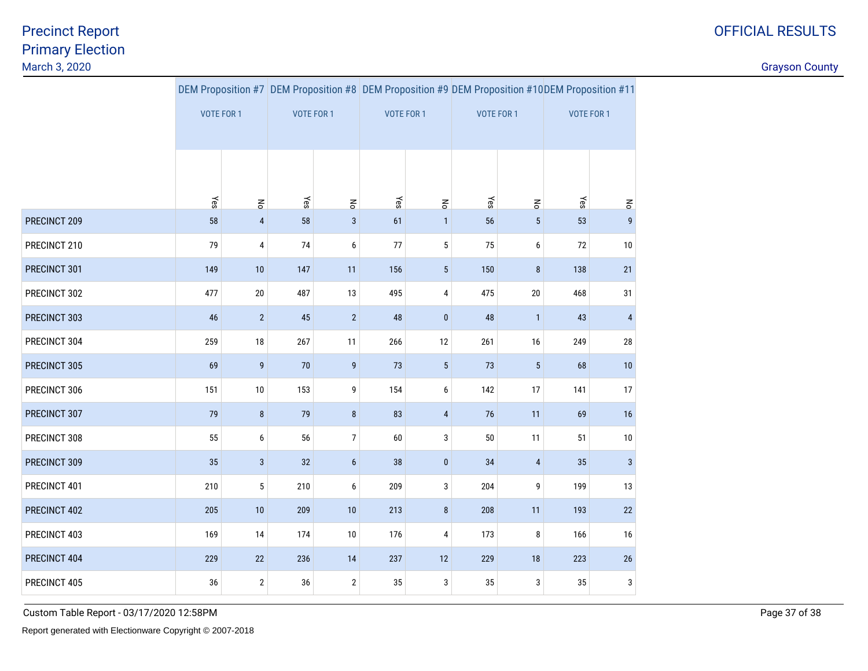discussion of the country of the country of the country of the country of the country of the country of the country of the country of the country of the country of the country of the country of the country of the country o

|              |                   |                  |            |                  |            |                       | DEM Proposition #7 DEM Proposition #8 DEM Proposition #9 DEM Proposition #10DEM Proposition #11 |                 |                   |                |  |
|--------------|-------------------|------------------|------------|------------------|------------|-----------------------|-------------------------------------------------------------------------------------------------|-----------------|-------------------|----------------|--|
|              | <b>VOTE FOR 1</b> |                  | VOTE FOR 1 |                  | VOTE FOR 1 |                       | <b>VOTE FOR 1</b>                                                                               |                 | <b>VOTE FOR 1</b> |                |  |
|              |                   |                  |            |                  |            |                       |                                                                                                 |                 |                   |                |  |
|              |                   |                  |            |                  |            |                       |                                                                                                 |                 |                   |                |  |
|              |                   |                  |            |                  |            |                       |                                                                                                 |                 |                   |                |  |
|              | Yes               | $\mathsf{R}$     | Yes        | $\mathsf{R}$     | Yes        | $\mathop{\mathsf{S}}$ | Yes                                                                                             | $\overline{5}$  | Yes               | $\mathsf{S}$   |  |
| PRECINCT 209 | 58                | $\overline{4}$   | 58         | $\sqrt{3}$       | 61         | $\mathbf{1}$          | 56                                                                                              | $5\phantom{.0}$ | 53                | $\overline{9}$ |  |
| PRECINCT 210 | 79                | 4                | 74         | 6                | 77         | $\sqrt{5}$            | 75                                                                                              | 6               | 72                | 10             |  |
| PRECINCT 301 | 149               | 10               | 147        | 11               | 156        | $5\phantom{.0}$       | 150                                                                                             | $\bf 8$         | 138               | $21\,$         |  |
| PRECINCT 302 | 477               | $20\,$           | 487        | 13               | 495        | 4                     | 475                                                                                             | $20\,$          | 468               | 31             |  |
| PRECINCT 303 | 46                | $\overline{2}$   | 45         | $\overline{2}$   | 48         | $\pmb{0}$             | 48                                                                                              | $\mathbf{1}$    | 43                | $\overline{4}$ |  |
| PRECINCT 304 | 259               | 18               | 267        | 11               | 266        | 12                    | 261                                                                                             | 16              | 249               | 28             |  |
| PRECINCT 305 | 69                | $\boldsymbol{9}$ | 70         | $\boldsymbol{9}$ | 73         | $\sqrt{5}$            | 73                                                                                              | $5\phantom{.0}$ | 68                | 10             |  |
| PRECINCT 306 | 151               | 10               | 153        | 9                | 154        | 6                     | 142                                                                                             | 17              | 141               | 17             |  |
| PRECINCT 307 | 79                | $\bf 8$          | 79         | $\bf 8$          | 83         | $\sqrt{4}$            | 76                                                                                              | 11              | 69                | 16             |  |
| PRECINCT 308 | 55                | $\boldsymbol{6}$ | 56         | $\overline{7}$   | 60         | 3                     | $50\,$                                                                                          | 11              | 51                | 10             |  |
| PRECINCT 309 | 35                | $\mathbf{3}$     | 32         | $\boldsymbol{6}$ | 38         | $\bf{0}$              | 34                                                                                              | $\overline{4}$  | 35                | $\mathbf{3}$   |  |
| PRECINCT 401 | 210               | $\sqrt{5}$       | 210        | 6                | 209        | 3                     | 204                                                                                             | 9               | 199               | 13             |  |
| PRECINCT 402 | 205               | 10               | 209        | $10$             | 213        | $\pmb{8}$             | 208                                                                                             | 11              | 193               | 22             |  |
| PRECINCT 403 | 169               | 14               | 174        | 10               | 176        | 4                     | 173                                                                                             | 8               | 166               | $16$           |  |
| PRECINCT 404 | 229               | $22\,$           | 236        | 14               | 237        | 12                    | 229                                                                                             | 18              | 223               | 26             |  |
| PRECINCT 405 | 36                | $\overline{2}$   | $36\,$     | $\overline{2}$   | 35         | $\sqrt{3}$            | 35                                                                                              | 3               | 35                | 3              |  |